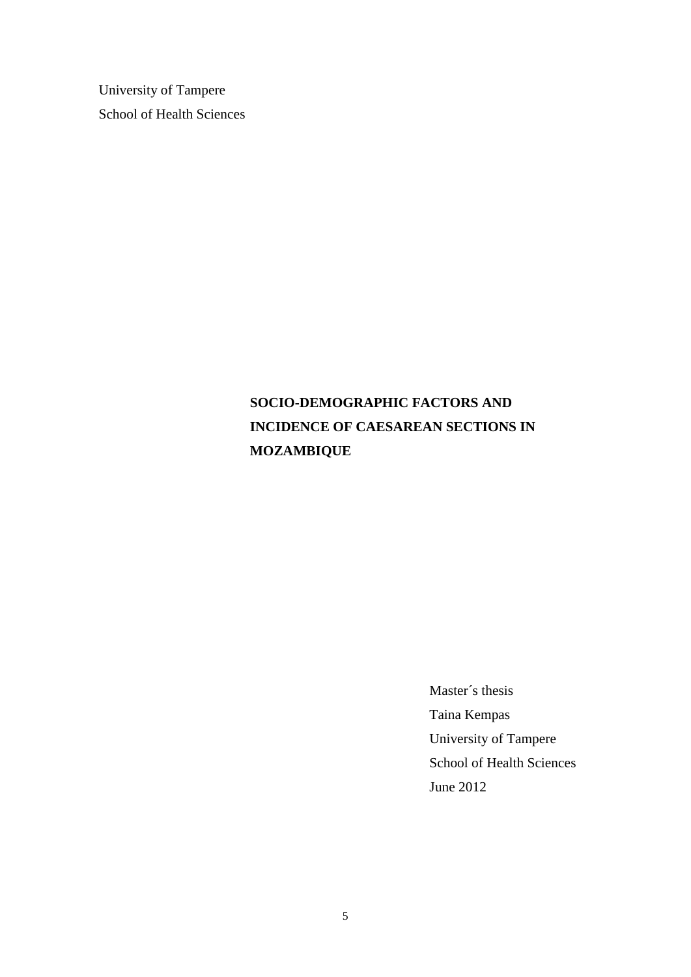University of Tampere School of Health Sciences

# **SOCIO-DEMOGRAPHIC FACTORS AND INCIDENCE OF CAESAREAN SECTIONS IN MOZAMBIQUE**

Master´s thesis Taina Kempas University of Tampere School of Health Sciences June 2012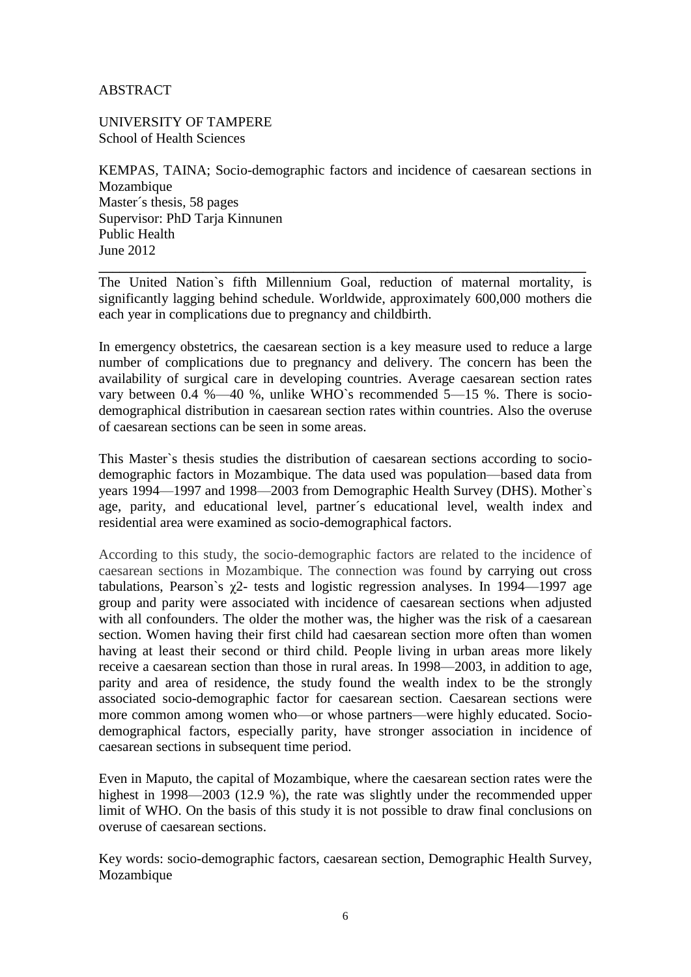#### ABSTRACT

UNIVERSITY OF TAMPERE School of Health Sciences

KEMPAS, TAINA; Socio-demographic factors and incidence of caesarean sections in Mozambique Master´s thesis, 58 pages Supervisor: PhD Tarja Kinnunen Public Health June 2012

**\_\_\_\_\_\_\_\_\_\_\_\_\_\_\_\_\_\_\_\_\_\_\_\_\_\_\_\_\_\_\_\_\_\_\_\_\_\_\_\_\_\_\_\_\_\_\_\_\_\_\_\_\_\_\_\_\_\_\_\_\_\_\_\_\_\_\_\_\_\_** The United Nation`s fifth Millennium Goal, reduction of maternal mortality, is significantly lagging behind schedule. Worldwide, approximately 600,000 mothers die each year in complications due to pregnancy and childbirth.

In emergency obstetrics, the caesarean section is a key measure used to reduce a large number of complications due to pregnancy and delivery. The concern has been the availability of surgical care in developing countries. Average caesarean section rates vary between 0.4 %—40 %, unlike WHO`s recommended 5—15 %. There is sociodemographical distribution in caesarean section rates within countries. Also the overuse of caesarean sections can be seen in some areas.

This Master`s thesis studies the distribution of caesarean sections according to sociodemographic factors in Mozambique. The data used was population—based data from years 1994—1997 and 1998—2003 from Demographic Health Survey (DHS). Mother`s age, parity, and educational level, partner´s educational level, wealth index and residential area were examined as socio-demographical factors.

According to this study, the socio-demographic factors are related to the incidence of caesarean sections in Mozambique. The connection was found by carrying out cross tabulations, Pearson's  $\chi$ 2- tests and logistic regression analyses. In 1994—1997 age group and parity were associated with incidence of caesarean sections when adjusted with all confounders. The older the mother was, the higher was the risk of a caesarean section. Women having their first child had caesarean section more often than women having at least their second or third child. People living in urban areas more likely receive a caesarean section than those in rural areas. In 1998—2003, in addition to age, parity and area of residence, the study found the wealth index to be the strongly associated socio-demographic factor for caesarean section. Caesarean sections were more common among women who—or whose partners—were highly educated. Sociodemographical factors, especially parity, have stronger association in incidence of caesarean sections in subsequent time period.

Even in Maputo, the capital of Mozambique, where the caesarean section rates were the highest in 1998—2003 (12.9 %), the rate was slightly under the recommended upper limit of WHO. On the basis of this study it is not possible to draw final conclusions on overuse of caesarean sections.

Key words: socio-demographic factors, caesarean section, Demographic Health Survey, Mozambique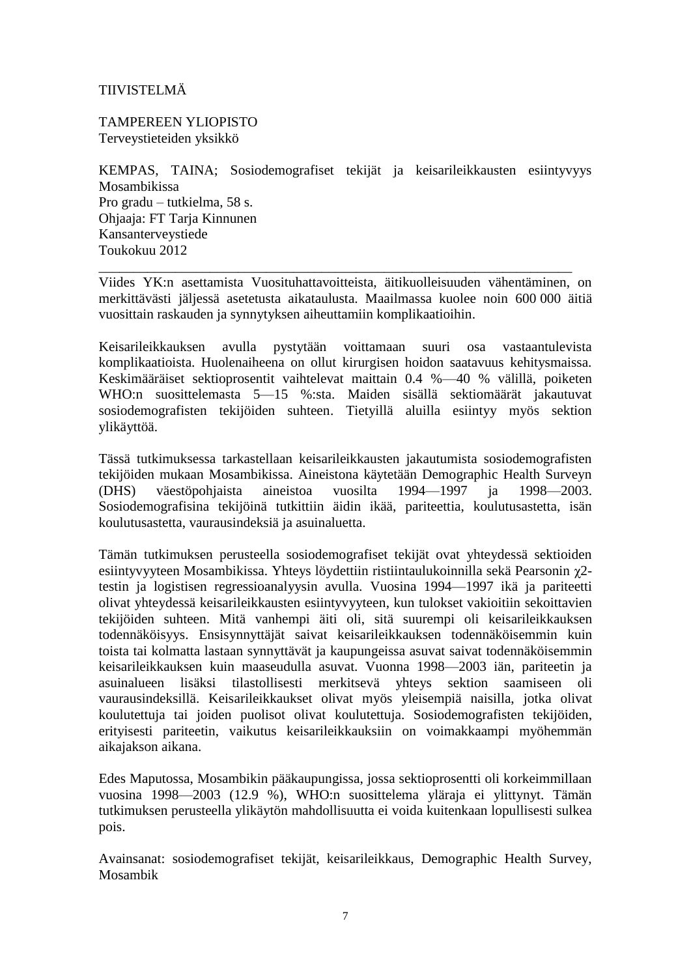### TIIVISTELMÄ

TAMPEREEN YLIOPISTO Terveystieteiden yksikkö

KEMPAS, TAINA; Sosiodemografiset tekijät ja keisarileikkausten esiintyvyys Mosambikissa Pro gradu – tutkielma, 58 s. Ohjaaja: FT Tarja Kinnunen Kansanterveystiede Toukokuu 2012

Viides YK:n asettamista Vuosituhattavoitteista, äitikuolleisuuden vähentäminen, on merkittävästi jäljessä asetetusta aikataulusta. Maailmassa kuolee noin 600 000 äitiä vuosittain raskauden ja synnytyksen aiheuttamiin komplikaatioihin.

\_\_\_\_\_\_\_\_\_\_\_\_\_\_\_\_\_\_\_\_\_\_\_\_\_\_\_\_\_\_\_\_\_\_\_\_\_\_\_\_\_\_\_\_\_\_\_\_\_\_\_\_\_\_\_\_\_\_\_\_\_\_\_\_\_\_\_\_

Keisarileikkauksen avulla pystytään voittamaan suuri osa vastaantulevista komplikaatioista. Huolenaiheena on ollut kirurgisen hoidon saatavuus kehitysmaissa. Keskimääräiset sektioprosentit vaihtelevat maittain 0.4 %—40 % välillä, poiketen WHO:n suosittelemasta 5—15 %:sta. Maiden sisällä sektiomäärät jakautuvat sosiodemografisten tekijöiden suhteen. Tietyillä aluilla esiintyy myös sektion ylikäyttöä.

Tässä tutkimuksessa tarkastellaan keisarileikkausten jakautumista sosiodemografisten tekijöiden mukaan Mosambikissa. Aineistona käytetään Demographic Health Surveyn<br>(DHS) väestöpohiaista aineistoa vuosilta 1994–1997 ja 1998–2003. (DHS) väestöpohjaista aineistoa vuosilta 1994—1997 ja 1998—2003. Sosiodemografisina tekijöinä tutkittiin äidin ikää, pariteettia, koulutusastetta, isän koulutusastetta, vaurausindeksiä ja asuinaluetta.

Tämän tutkimuksen perusteella sosiodemografiset tekijät ovat yhteydessä sektioiden esiintyvyyteen Mosambikissa. Yhteys löydettiin ristiintaulukoinnilla sekä Pearsonin χ2 testin ja logistisen regressioanalyysin avulla. Vuosina 1994—1997 ikä ja pariteetti olivat yhteydessä keisarileikkausten esiintyvyyteen, kun tulokset vakioitiin sekoittavien tekijöiden suhteen. Mitä vanhempi äiti oli, sitä suurempi oli keisarileikkauksen todennäköisyys. Ensisynnyttäjät saivat keisarileikkauksen todennäköisemmin kuin toista tai kolmatta lastaan synnyttävät ja kaupungeissa asuvat saivat todennäköisemmin keisarileikkauksen kuin maaseudulla asuvat. Vuonna 1998—2003 iän, pariteetin ja asuinalueen lisäksi tilastollisesti merkitsevä yhteys sektion saamiseen oli vaurausindeksillä. Keisarileikkaukset olivat myös yleisempiä naisilla, jotka olivat koulutettuja tai joiden puolisot olivat koulutettuja. Sosiodemografisten tekijöiden, erityisesti pariteetin, vaikutus keisarileikkauksiin on voimakkaampi myöhemmän aikajakson aikana.

Edes Maputossa, Mosambikin pääkaupungissa, jossa sektioprosentti oli korkeimmillaan vuosina 1998—2003 (12.9 %), WHO:n suosittelema yläraja ei ylittynyt. Tämän tutkimuksen perusteella ylikäytön mahdollisuutta ei voida kuitenkaan lopullisesti sulkea pois.

Avainsanat: sosiodemografiset tekijät, keisarileikkaus, Demographic Health Survey, Mosambik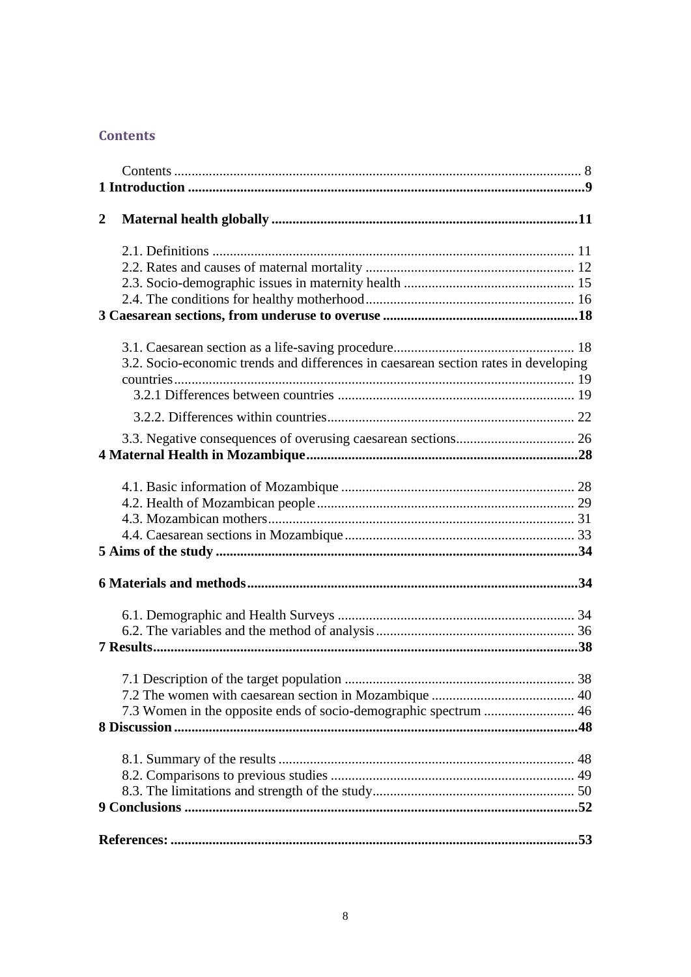### <span id="page-3-0"></span>**Contents**

| $\overline{2}$ |                                                                                     |  |
|----------------|-------------------------------------------------------------------------------------|--|
|                |                                                                                     |  |
|                |                                                                                     |  |
|                |                                                                                     |  |
|                |                                                                                     |  |
|                |                                                                                     |  |
|                |                                                                                     |  |
|                |                                                                                     |  |
|                | 3.2. Socio-economic trends and differences in caesarean section rates in developing |  |
|                |                                                                                     |  |
|                |                                                                                     |  |
|                |                                                                                     |  |
|                |                                                                                     |  |
|                |                                                                                     |  |
|                |                                                                                     |  |
|                |                                                                                     |  |
|                |                                                                                     |  |
|                |                                                                                     |  |
|                |                                                                                     |  |
|                |                                                                                     |  |
|                |                                                                                     |  |
|                |                                                                                     |  |
|                |                                                                                     |  |
|                |                                                                                     |  |
|                |                                                                                     |  |
|                |                                                                                     |  |
|                |                                                                                     |  |
|                |                                                                                     |  |
|                | 7.3 Women in the opposite ends of socio-demographic spectrum  46                    |  |
|                |                                                                                     |  |
|                |                                                                                     |  |
|                |                                                                                     |  |
|                |                                                                                     |  |
|                |                                                                                     |  |
|                |                                                                                     |  |
|                |                                                                                     |  |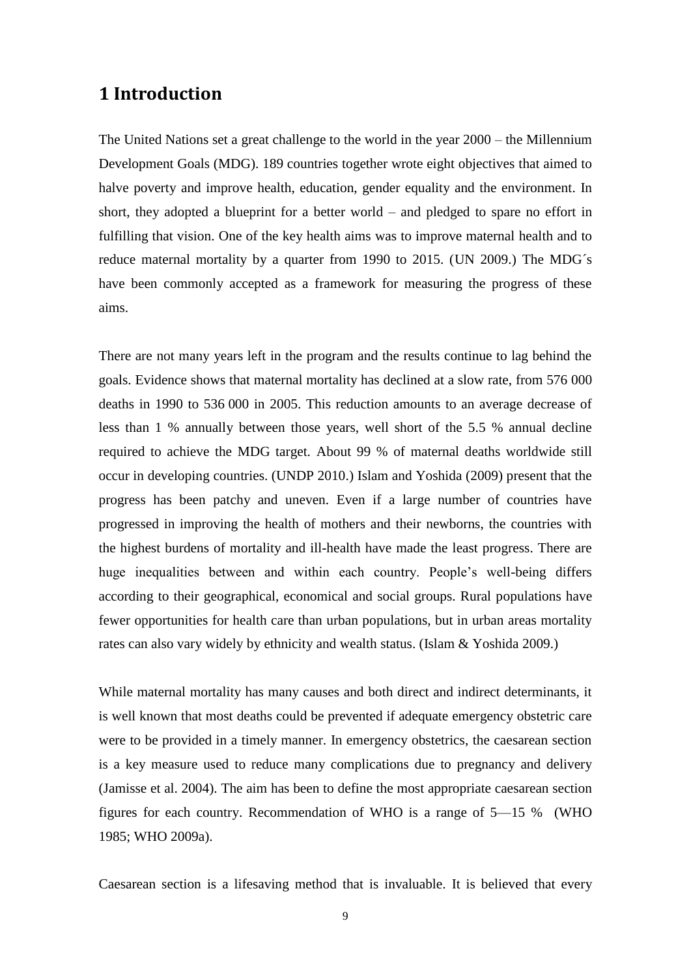### <span id="page-4-0"></span>**1 Introduction**

The United Nations set a great challenge to the world in the year 2000 – the Millennium Development Goals (MDG). 189 countries together wrote eight objectives that aimed to halve poverty and improve health, education, gender equality and the environment. In short, they adopted a blueprint for a better world – and pledged to spare no effort in fulfilling that vision. One of the key health aims was to improve maternal health and to reduce maternal mortality by a quarter from 1990 to 2015. (UN 2009.) The MDG´s have been commonly accepted as a framework for measuring the progress of these aims.

There are not many years left in the program and the results continue to lag behind the goals. Evidence shows that maternal mortality has declined at a slow rate, from 576 000 deaths in 1990 to 536 000 in 2005. This reduction amounts to an average decrease of less than 1 % annually between those years, well short of the 5.5 % annual decline required to achieve the MDG target. About 99 % of maternal deaths worldwide still occur in developing countries. (UNDP 2010.) Islam and Yoshida (2009) present that the progress has been patchy and uneven. Even if a large number of countries have progressed in improving the health of mothers and their newborns, the countries with the highest burdens of mortality and ill-health have made the least progress. There are huge inequalities between and within each country. People's well-being differs according to their geographical, economical and social groups. Rural populations have fewer opportunities for health care than urban populations, but in urban areas mortality rates can also vary widely by ethnicity and wealth status. (Islam & Yoshida 2009.)

While maternal mortality has many causes and both direct and indirect determinants, it is well known that most deaths could be prevented if adequate emergency obstetric care were to be provided in a timely manner. In emergency obstetrics, the caesarean section is a key measure used to reduce many complications due to pregnancy and delivery (Jamisse et al. 2004). The aim has been to define the most appropriate caesarean section figures for each country. Recommendation of WHO is a range of 5—15 % (WHO 1985; WHO 2009a).

Caesarean section is a lifesaving method that is invaluable. It is believed that every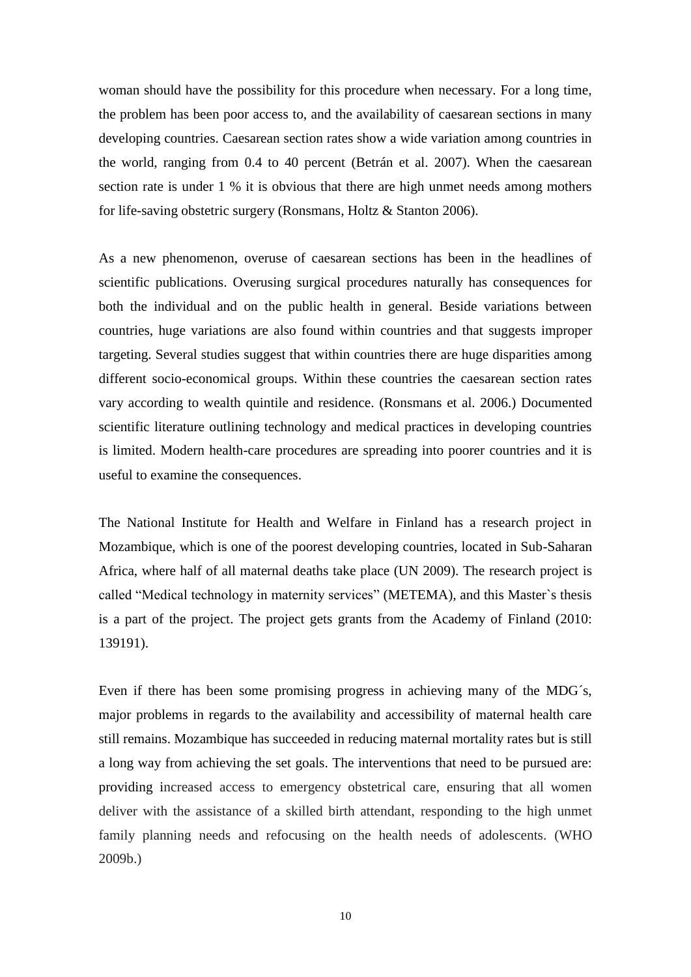woman should have the possibility for this procedure when necessary. For a long time, the problem has been poor access to, and the availability of caesarean sections in many developing countries. Caesarean section rates show a wide variation among countries in the world, ranging from 0.4 to 40 percent (Betrán et al. 2007). When the caesarean section rate is under 1 % it is obvious that there are high unmet needs among mothers for life-saving obstetric surgery (Ronsmans, Holtz & Stanton 2006).

As a new phenomenon, overuse of caesarean sections has been in the headlines of scientific publications. Overusing surgical procedures naturally has consequences for both the individual and on the public health in general. Beside variations between countries, huge variations are also found within countries and that suggests improper targeting. Several studies suggest that within countries there are huge disparities among different socio-economical groups. Within these countries the caesarean section rates vary according to wealth quintile and residence. (Ronsmans et al. 2006.) Documented scientific literature outlining technology and medical practices in developing countries is limited. Modern health-care procedures are spreading into poorer countries and it is useful to examine the consequences.

The National Institute for Health and Welfare in Finland has a research project in Mozambique, which is one of the poorest developing countries, located in Sub-Saharan Africa, where half of all maternal deaths take place (UN 2009). The research project is called "Medical technology in maternity services" (METEMA), and this Master`s thesis is a part of the project. The project gets grants from the Academy of Finland (2010: 139191).

Even if there has been some promising progress in achieving many of the MDG´s, major problems in regards to the availability and accessibility of maternal health care still remains. Mozambique has succeeded in reducing maternal mortality rates but is still a long way from achieving the set goals. The interventions that need to be pursued are: providing increased access to emergency obstetrical care, ensuring that all women deliver with the assistance of a skilled birth attendant, responding to the high unmet family planning needs and refocusing on the health needs of adolescents. (WHO 2009b.)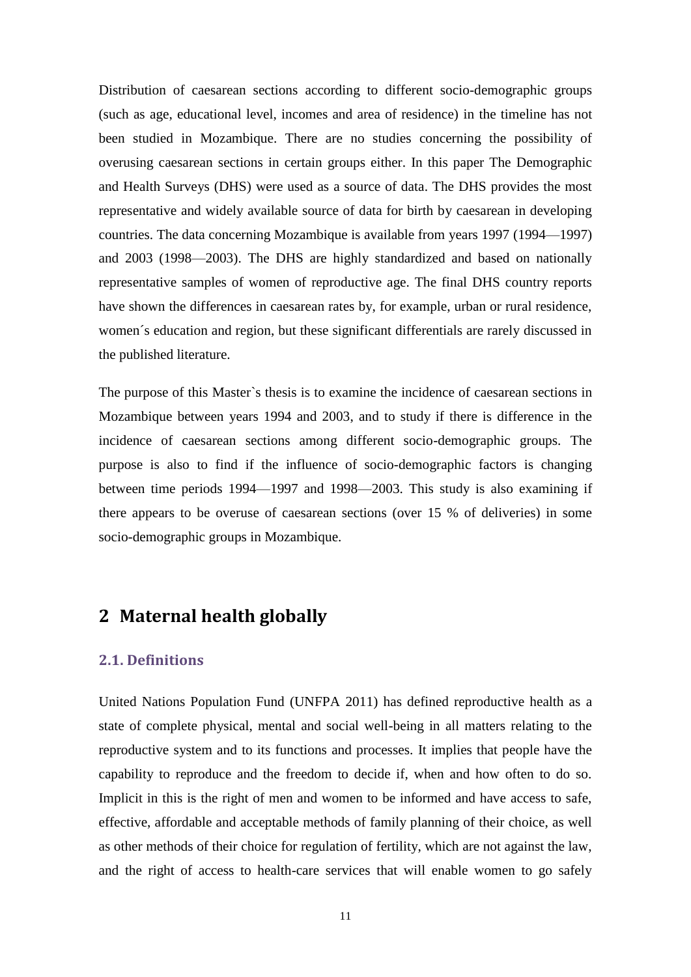Distribution of caesarean sections according to different socio-demographic groups (such as age, educational level, incomes and area of residence) in the timeline has not been studied in Mozambique. There are no studies concerning the possibility of overusing caesarean sections in certain groups either. In this paper The Demographic and Health Surveys (DHS) were used as a source of data. The DHS provides the most representative and widely available source of data for birth by caesarean in developing countries. The data concerning Mozambique is available from years 1997 (1994—1997) and 2003 (1998—2003). The DHS are highly standardized and based on nationally representative samples of women of reproductive age. The final DHS country reports have shown the differences in caesarean rates by, for example, urban or rural residence, women´s education and region, but these significant differentials are rarely discussed in the published literature.

The purpose of this Master`s thesis is to examine the incidence of caesarean sections in Mozambique between years 1994 and 2003, and to study if there is difference in the incidence of caesarean sections among different socio-demographic groups. The purpose is also to find if the influence of socio-demographic factors is changing between time periods 1994—1997 and 1998—2003. This study is also examining if there appears to be overuse of caesarean sections (over 15 % of deliveries) in some socio-demographic groups in Mozambique.

## <span id="page-6-0"></span>**2 Maternal health globally**

#### <span id="page-6-1"></span>**2.1. Definitions**

United Nations Population Fund (UNFPA 2011) has defined reproductive health as a state of complete physical, mental and social well-being in all matters relating to the reproductive system and to its functions and processes. It implies that people have the capability to reproduce and the freedom to decide if, when and how often to do so. Implicit in this is the right of men and women to be informed and have access to safe, effective, affordable and acceptable methods of family planning of their choice, as well as other methods of their choice for regulation of fertility, which are not against the law, and the right of access to health-care services that will enable women to go safely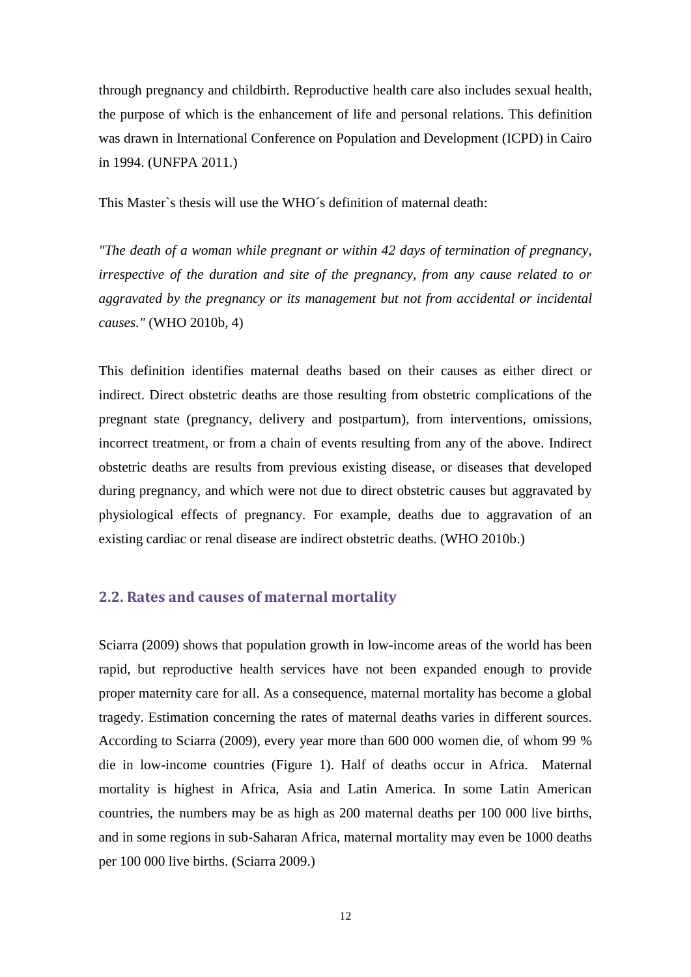through pregnancy and childbirth. Reproductive health care also includes sexual health, the purpose of which is the enhancement of life and personal relations. This definition was drawn in International Conference on Population and Development (ICPD) in Cairo in 1994. (UNFPA 2011.)

This Master`s thesis will use the WHO´s definition of maternal death:

*"The death of a woman while pregnant or within 42 days of termination of pregnancy, irrespective of the duration and site of the pregnancy, from any cause related to or aggravated by the pregnancy or its management but not from accidental or incidental causes."* (WHO 2010b, 4)

This definition identifies maternal deaths based on their causes as either direct or indirect. Direct obstetric deaths are those resulting from obstetric complications of the pregnant state (pregnancy, delivery and postpartum), from interventions, omissions, incorrect treatment, or from a chain of events resulting from any of the above. Indirect obstetric deaths are results from previous existing disease, or diseases that developed during pregnancy, and which were not due to direct obstetric causes but aggravated by physiological effects of pregnancy. For example, deaths due to aggravation of an existing cardiac or renal disease are indirect obstetric deaths. (WHO 2010b.)

### <span id="page-7-0"></span>**2.2. Rates and causes of maternal mortality**

Sciarra (2009) shows that population growth in low-income areas of the world has been rapid, but reproductive health services have not been expanded enough to provide proper maternity care for all. As a consequence, maternal mortality has become a global tragedy. Estimation concerning the rates of maternal deaths varies in different sources. According to Sciarra (2009), every year more than 600 000 women die, of whom 99 % die in low-income countries (Figure 1). Half of deaths occur in Africa. Maternal mortality is highest in Africa, Asia and Latin America. In some Latin American countries, the numbers may be as high as 200 maternal deaths per 100 000 live births, and in some regions in sub-Saharan Africa, maternal mortality may even be 1000 deaths per 100 000 live births. (Sciarra 2009.)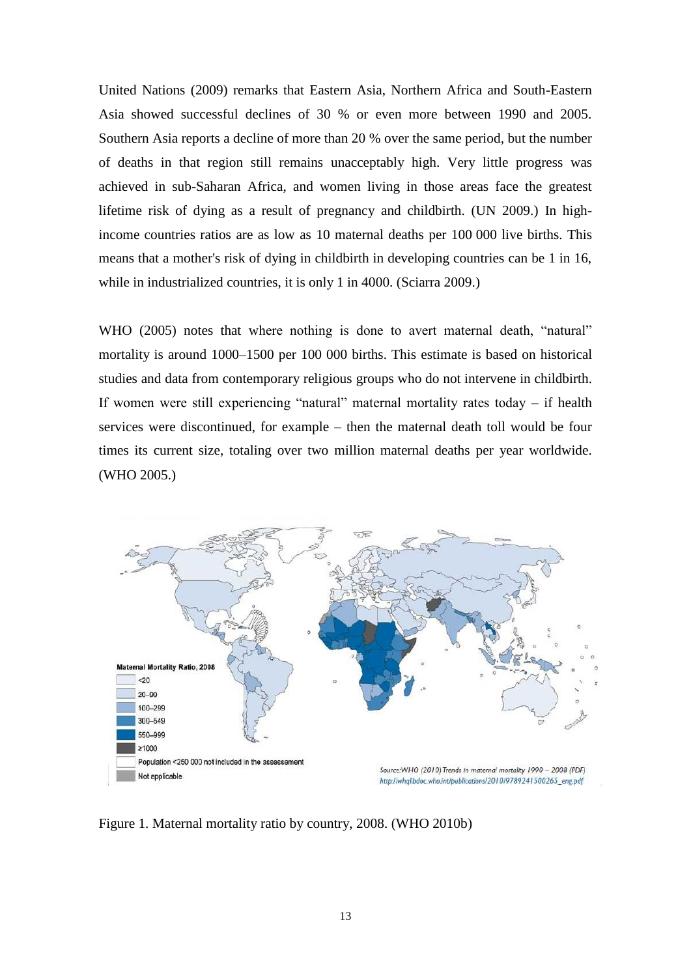United Nations (2009) remarks that Eastern Asia, Northern Africa and South-Eastern Asia showed successful declines of 30 % or even more between 1990 and 2005. Southern Asia reports a decline of more than 20 % over the same period, but the number of deaths in that region still remains unacceptably high. Very little progress was achieved in sub-Saharan Africa, and women living in those areas face the greatest lifetime risk of dying as a result of pregnancy and childbirth. (UN 2009.) In highincome countries ratios are as low as 10 maternal deaths per 100 000 live births. This means that a mother's risk of dying in childbirth in developing countries can be 1 in 16, while in industrialized countries, it is only 1 in 4000. (Sciarra 2009.)

WHO (2005) notes that where nothing is done to avert maternal death, "natural" mortality is around 1000–1500 per 100 000 births. This estimate is based on historical studies and data from contemporary religious groups who do not intervene in childbirth. If women were still experiencing "natural" maternal mortality rates today – if health services were discontinued, for example – then the maternal death toll would be four times its current size, totaling over two million maternal deaths per year worldwide. (WHO 2005.)



Figure 1. Maternal mortality ratio by country, 2008. (WHO 2010b)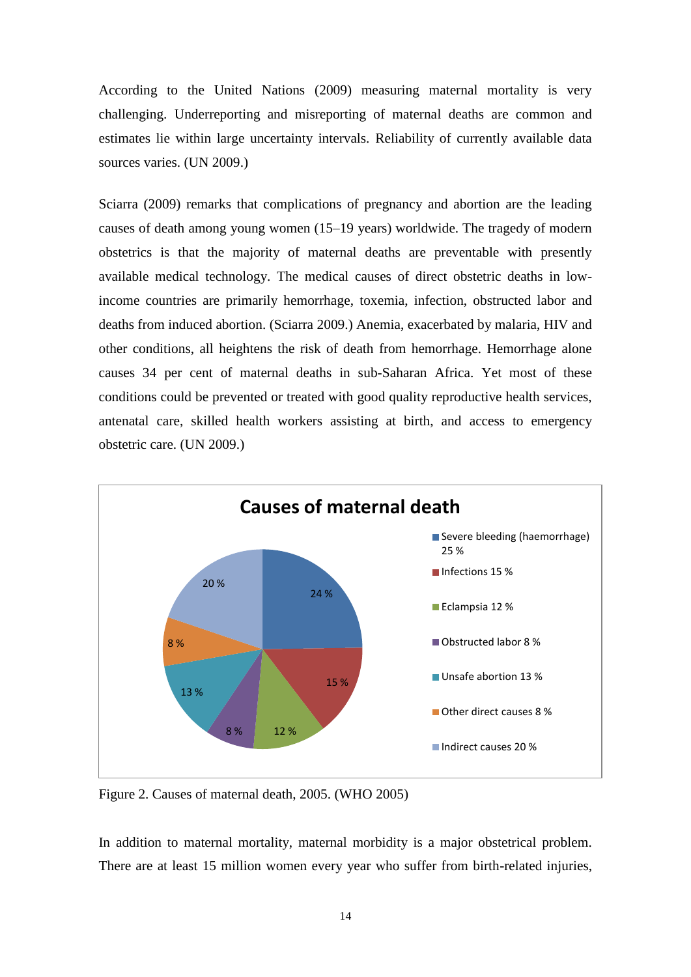According to the United Nations (2009) measuring maternal mortality is very challenging. Underreporting and misreporting of maternal deaths are common and estimates lie within large uncertainty intervals. Reliability of currently available data sources varies. (UN 2009.)

Sciarra (2009) remarks that complications of pregnancy and abortion are the leading causes of death among young women (15–19 years) worldwide. The tragedy of modern obstetrics is that the majority of maternal deaths are preventable with presently available medical technology. The medical causes of direct obstetric deaths in lowincome countries are primarily hemorrhage, toxemia, infection, obstructed labor and deaths from induced abortion. (Sciarra 2009.) Anemia, exacerbated by malaria, HIV and other conditions, all heightens the risk of death from hemorrhage. Hemorrhage alone causes 34 per cent of maternal deaths in sub-Saharan Africa. Yet most of these conditions could be prevented or treated with good quality reproductive health services, antenatal care, skilled health workers assisting at birth, and access to emergency obstetric care. (UN 2009.)



Figure 2. Causes of maternal death, 2005. (WHO 2005)

In addition to maternal mortality, maternal morbidity is a major obstetrical problem. There are at least 15 million women every year who suffer from birth-related injuries,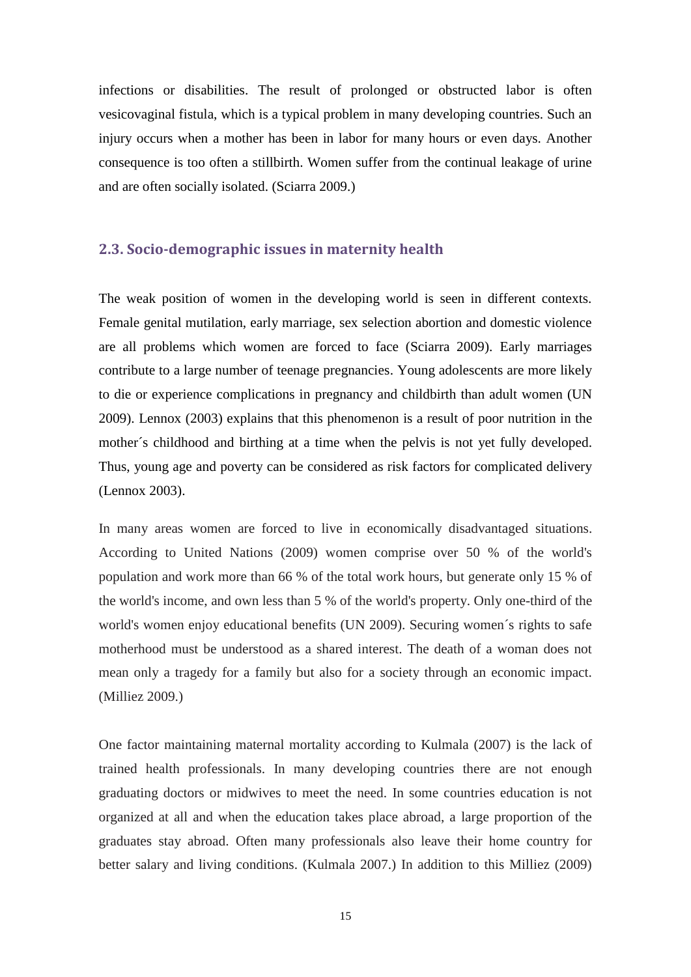infections or disabilities. The result of prolonged or obstructed labor is often vesicovaginal fistula, which is a typical problem in many developing countries. Such an injury occurs when a mother has been in labor for many hours or even days. Another consequence is too often a stillbirth. Women suffer from the continual leakage of urine and are often socially isolated. (Sciarra 2009.)

#### <span id="page-10-0"></span>**2.3. Socio-demographic issues in maternity health**

The weak position of women in the developing world is seen in different contexts. Female genital mutilation, early marriage, sex selection abortion and domestic violence are all problems which women are forced to face (Sciarra 2009). Early marriages contribute to a large number of teenage pregnancies. Young adolescents are more likely to die or experience complications in pregnancy and childbirth than adult women (UN 2009). Lennox (2003) explains that this phenomenon is a result of poor nutrition in the mother´s childhood and birthing at a time when the pelvis is not yet fully developed. Thus, young age and poverty can be considered as risk factors for complicated delivery (Lennox 2003).

In many areas women are forced to live in economically disadvantaged situations. According to United Nations (2009) women comprise over 50 % of the world's population and work more than 66 % of the total work hours, but generate only 15 % of the world's income, and own less than 5 % of the world's property. Only one-third of the world's women enjoy educational benefits (UN 2009). Securing women´s rights to safe motherhood must be understood as a shared interest. The death of a woman does not mean only a tragedy for a family but also for a society through an economic impact. (Milliez 2009.)

One factor maintaining maternal mortality according to Kulmala (2007) is the lack of trained health professionals. In many developing countries there are not enough graduating doctors or midwives to meet the need. In some countries education is not organized at all and when the education takes place abroad, a large proportion of the graduates stay abroad. Often many professionals also leave their home country for better salary and living conditions. (Kulmala 2007.) In addition to this Milliez (2009)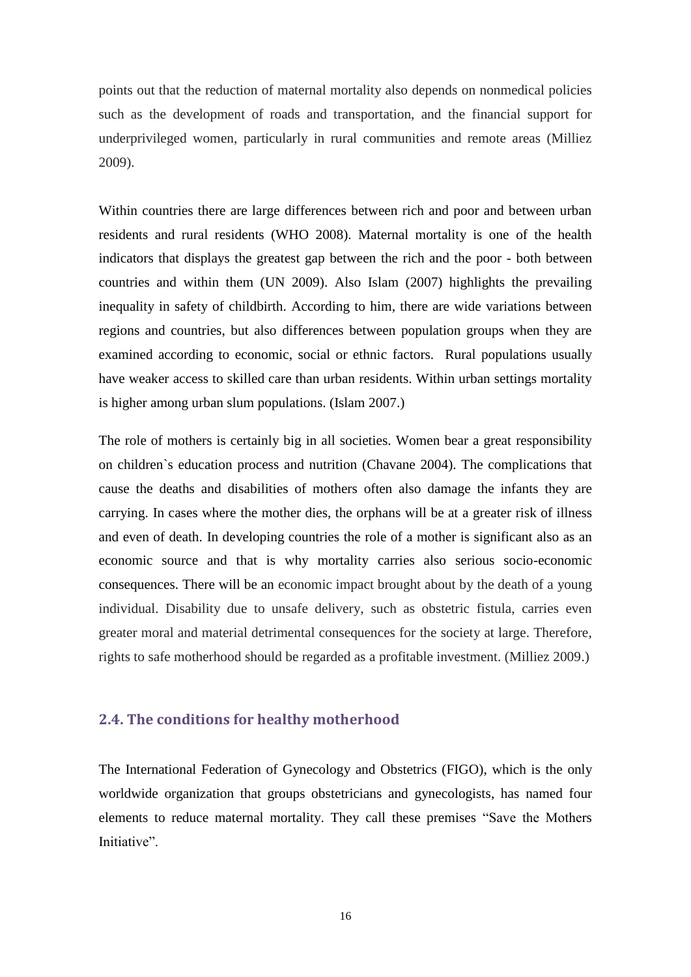points out that the reduction of maternal mortality also depends on nonmedical policies such as the development of roads and transportation, and the financial support for underprivileged women, particularly in rural communities and remote areas (Milliez 2009).

Within countries there are large differences between rich and poor and between urban residents and rural residents (WHO 2008). Maternal mortality is one of the health indicators that displays the greatest gap between the rich and the poor - both between countries and within them (UN 2009). Also Islam (2007) highlights the prevailing inequality in safety of childbirth. According to him, there are wide variations between regions and countries, but also differences between population groups when they are examined according to economic, social or ethnic factors. Rural populations usually have weaker access to skilled care than urban residents. Within urban settings mortality is higher among urban slum populations. (Islam 2007.)

The role of mothers is certainly big in all societies. Women bear a great responsibility on children`s education process and nutrition (Chavane 2004). The complications that cause the deaths and disabilities of mothers often also damage the infants they are carrying. In cases where the mother dies, the orphans will be at a greater risk of illness and even of death. In developing countries the role of a mother is significant also as an economic source and that is why mortality carries also serious socio-economic consequences. There will be an economic impact brought about by the death of a young individual. Disability due to unsafe delivery, such as obstetric fistula, carries even greater moral and material detrimental consequences for the society at large. Therefore, rights to safe motherhood should be regarded as a profitable investment. (Milliez 2009.)

### <span id="page-11-0"></span>**2.4. The conditions for healthy motherhood**

The International Federation of Gynecology and Obstetrics (FIGO), which is the only worldwide organization that groups obstetricians and gynecologists, has named four elements to reduce maternal mortality. They call these premises "Save the Mothers Initiative".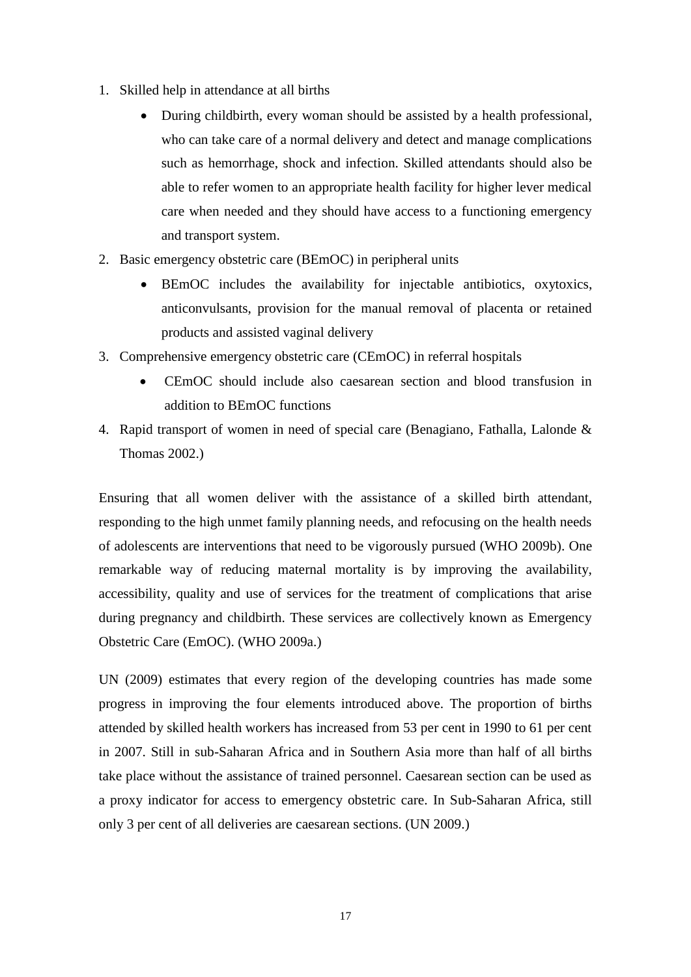- 1. Skilled help in attendance at all births
	- During childbirth, every woman should be assisted by a health professional, who can take care of a normal delivery and detect and manage complications such as hemorrhage, shock and infection. Skilled attendants should also be able to refer women to an appropriate health facility for higher lever medical care when needed and they should have access to a functioning emergency and transport system.
- 2. Basic emergency obstetric care (BEmOC) in peripheral units
	- BEmOC includes the availability for injectable antibiotics, oxytoxics, anticonvulsants, provision for the manual removal of placenta or retained products and assisted vaginal delivery
- 3. Comprehensive emergency obstetric care (CEmOC) in referral hospitals
	- CEmOC should include also caesarean section and blood transfusion in addition to BEmOC functions
- 4. Rapid transport of women in need of special care (Benagiano, Fathalla, Lalonde & Thomas 2002.)

Ensuring that all women deliver with the assistance of a skilled birth attendant, responding to the high unmet family planning needs, and refocusing on the health needs of adolescents are interventions that need to be vigorously pursued (WHO 2009b). One remarkable way of reducing maternal mortality is by improving the availability, accessibility, quality and use of services for the treatment of complications that arise during pregnancy and childbirth. These services are collectively known as Emergency Obstetric Care (EmOC). (WHO 2009a.)

UN (2009) estimates that every region of the developing countries has made some progress in improving the four elements introduced above. The proportion of births attended by skilled health workers has increased from 53 per cent in 1990 to 61 per cent in 2007. Still in sub-Saharan Africa and in Southern Asia more than half of all births take place without the assistance of trained personnel. Caesarean section can be used as a proxy indicator for access to emergency obstetric care. In Sub-Saharan Africa, still only 3 per cent of all deliveries are caesarean sections. (UN 2009.)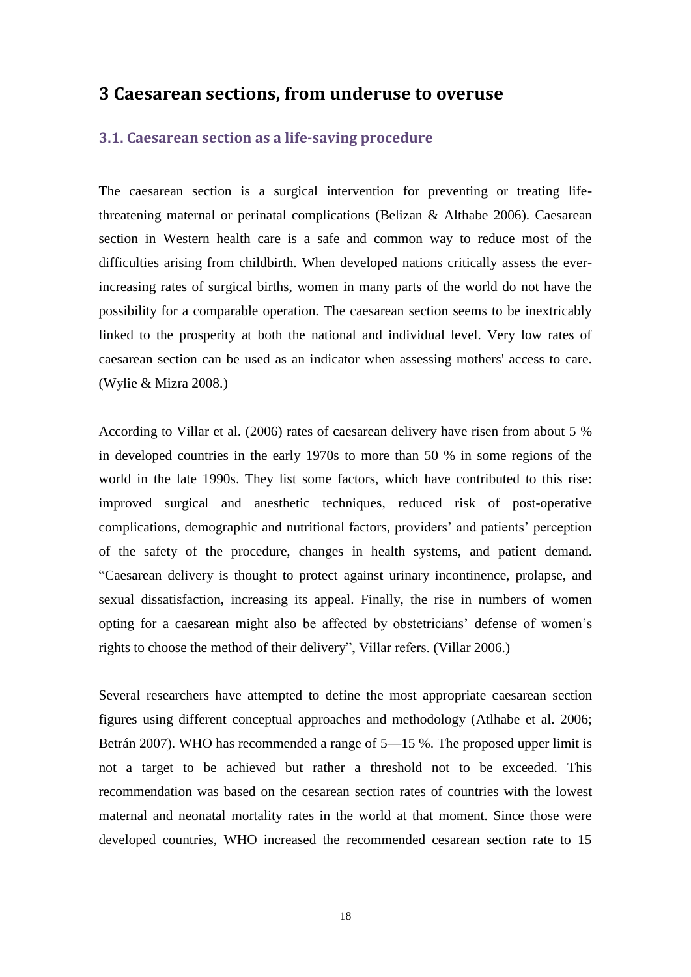### <span id="page-13-0"></span>**3 Caesarean sections, from underuse to overuse**

#### <span id="page-13-1"></span>**3.1. Caesarean section as a life-saving procedure**

The caesarean section is a surgical intervention for preventing or treating lifethreatening maternal or perinatal complications (Belizan & Althabe 2006). Caesarean section in Western health care is a safe and common way to reduce most of the difficulties arising from childbirth. When developed nations critically assess the everincreasing rates of surgical births, women in many parts of the world do not have the possibility for a comparable operation. The caesarean section seems to be inextricably linked to the prosperity at both the national and individual level. Very low rates of caesarean section can be used as an indicator when assessing mothers' access to care. (Wylie & Mizra 2008.)

According to Villar et al. (2006) rates of caesarean delivery have risen from about 5 % in developed countries in the early 1970s to more than 50 % in some regions of the world in the late 1990s. They list some factors, which have contributed to this rise: improved surgical and anesthetic techniques, reduced risk of post-operative complications, demographic and nutritional factors, providers' and patients' perception of the safety of the procedure, changes in health systems, and patient demand. "Caesarean delivery is thought to protect against urinary incontinence, prolapse, and sexual dissatisfaction, increasing its appeal. Finally, the rise in numbers of women opting for a caesarean might also be affected by obstetricians' defense of women's rights to choose the method of their delivery", Villar refers. (Villar 2006.)

Several researchers have attempted to define the most appropriate caesarean section figures using different conceptual approaches and methodology (Atlhabe et al. 2006; Betrán 2007). WHO has recommended a range of 5—15 %. The proposed upper limit is not a target to be achieved but rather a threshold not to be exceeded. This recommendation was based on the cesarean section rates of countries with the lowest maternal and neonatal mortality rates in the world at that moment. Since those were developed countries, WHO increased the recommended cesarean section rate to 15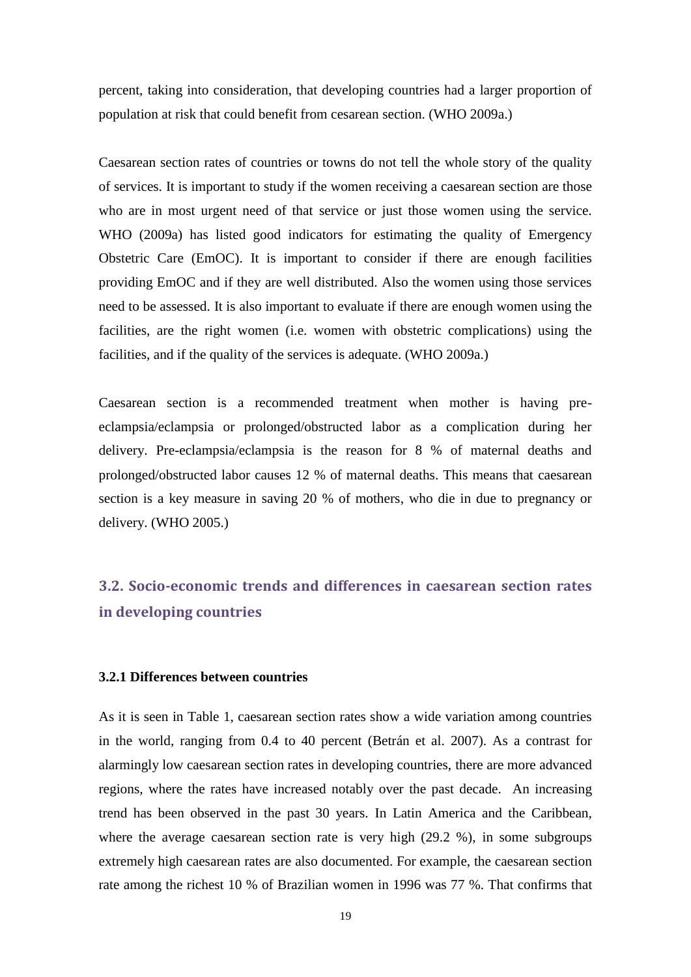percent, taking into consideration, that developing countries had a larger proportion of population at risk that could benefit from cesarean section. (WHO 2009a.)

Caesarean section rates of countries or towns do not tell the whole story of the quality of services. It is important to study if the women receiving a caesarean section are those who are in most urgent need of that service or just those women using the service. WHO (2009a) has listed good indicators for estimating the quality of Emergency Obstetric Care (EmOC). It is important to consider if there are enough facilities providing EmOC and if they are well distributed. Also the women using those services need to be assessed. It is also important to evaluate if there are enough women using the facilities, are the right women (i.e. women with obstetric complications) using the facilities, and if the quality of the services is adequate. (WHO 2009a.)

Caesarean section is a recommended treatment when mother is having preeclampsia/eclampsia or prolonged/obstructed labor as a complication during her delivery. Pre-eclampsia/eclampsia is the reason for 8 % of maternal deaths and prolonged/obstructed labor causes 12 % of maternal deaths. This means that caesarean section is a key measure in saving 20 % of mothers, who die in due to pregnancy or delivery. (WHO 2005.)

# <span id="page-14-0"></span>**3.2. Socio-economic trends and differences in caesarean section rates in developing countries**

#### <span id="page-14-1"></span>**3.2.1 Differences between countries**

As it is seen in Table 1, caesarean section rates show a wide variation among countries in the world, ranging from 0.4 to 40 percent (Betrán et al. 2007). As a contrast for alarmingly low caesarean section rates in developing countries, there are more advanced regions, where the rates have increased notably over the past decade. An increasing trend has been observed in the past 30 years. In Latin America and the Caribbean, where the average caesarean section rate is very high (29.2 %), in some subgroups extremely high caesarean rates are also documented. For example, the caesarean section rate among the richest 10 % of Brazilian women in 1996 was 77 %. That confirms that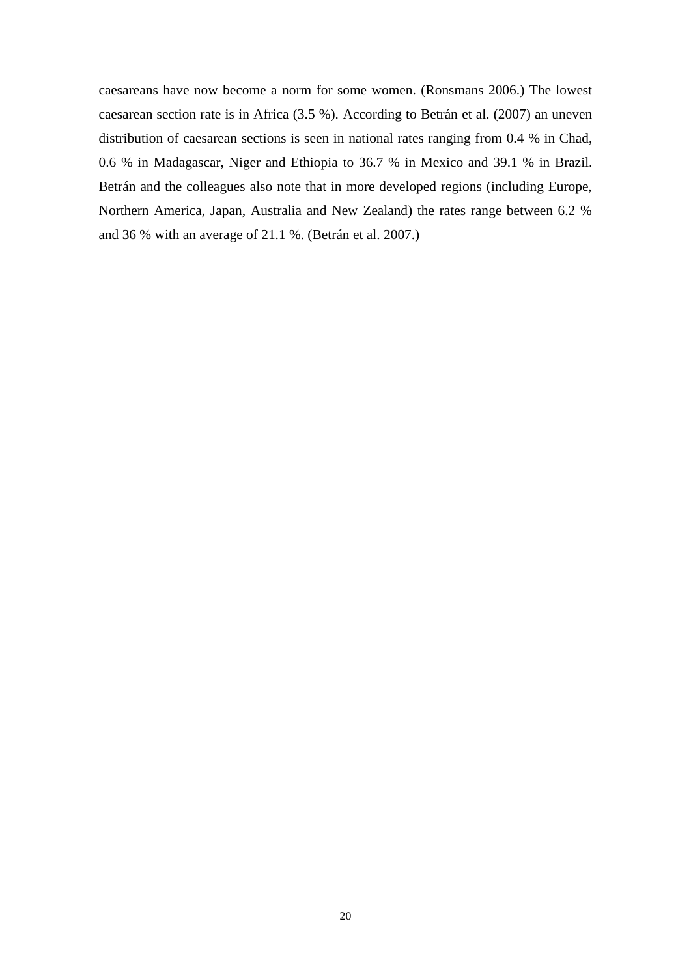caesareans have now become a norm for some women. (Ronsmans 2006.) The lowest caesarean section rate is in Africa (3.5 %). According to Betrán et al. (2007) an uneven distribution of caesarean sections is seen in national rates ranging from 0.4 % in Chad, 0.6 % in Madagascar, Niger and Ethiopia to 36.7 % in Mexico and 39.1 % in Brazil. Betrán and the colleagues also note that in more developed regions (including Europe, Northern America, Japan, Australia and New Zealand) the rates range between 6.2 % and 36 % with an average of 21.1 %. (Betrán et al. 2007.)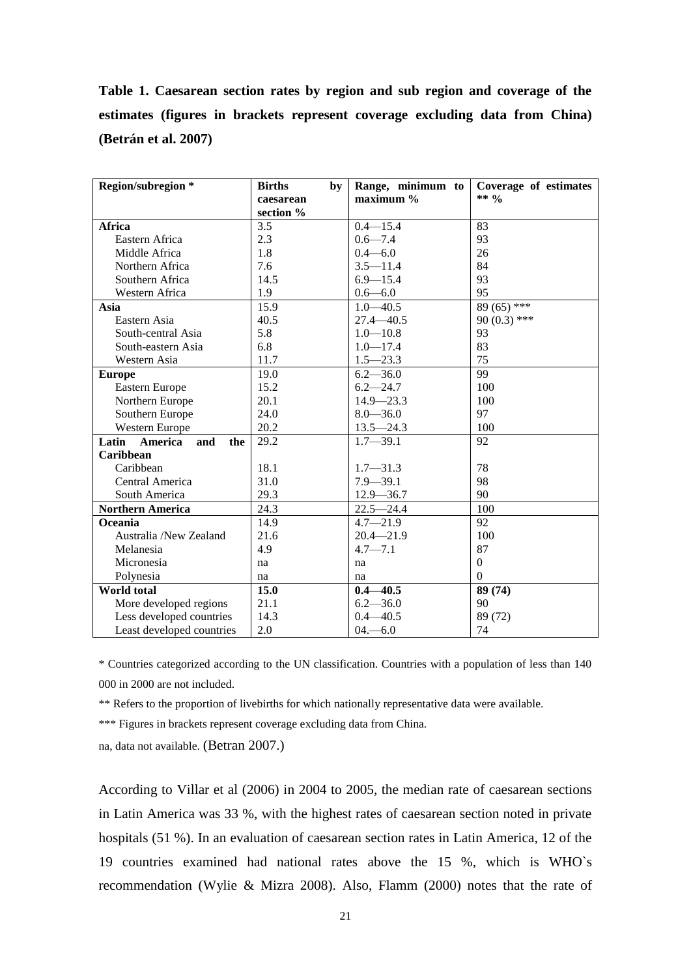**Table 1. Caesarean section rates by region and sub region and coverage of the estimates (figures in brackets represent coverage excluding data from China) (Betrán et al. 2007)**

| Region/subregion *          | <b>Births</b><br>by | Range, minimum to | Coverage of estimates |
|-----------------------------|---------------------|-------------------|-----------------------|
|                             | caesarean           | maximum %         | ** $\frac{0}{0}$      |
|                             | section %           |                   |                       |
| Africa                      | 3.5                 | $0.4 - 15.4$      | 83                    |
| Eastern Africa              | 2.3                 | $0.6 - 7.4$       | 93                    |
| Middle Africa               | 1.8                 | $0.4 - 6.0$       | 26                    |
| Northern Africa             | 7.6                 | $3.5 - 11.4$      | 84                    |
| Southern Africa             | 14.5                | $6.9 - 15.4$      | 93                    |
| Western Africa              | 1.9                 | $0.6 - 6.0$       | 95                    |
| Asia                        | 15.9                | $1.0 - 40.5$      | 89 (65) ***           |
| Eastern Asia                | 40.5                | $27.4 - 40.5$     | $90(0.3)$ ***         |
| South-central Asia          | 5.8                 | $1.0 - 10.8$      | 93                    |
| South-eastern Asia          | 6.8                 | $1.0 - 17.4$      | 83                    |
| Western Asia                | 11.7                | $1.5 - 23.3$      | 75                    |
| <b>Europe</b>               | 19.0                | $6.2 - 36.0$      | 99                    |
| Eastern Europe              | 15.2                | $6.2 - 24.7$      | 100                   |
| Northern Europe             | 20.1                | $14.9 - 23.3$     | 100                   |
| Southern Europe             | 24.0                | $8.0 - 36.0$      | 97                    |
| Western Europe              | 20.2                | $13.5 - 24.3$     | 100                   |
| Latin America<br>and<br>the | 29.2                | $1.7 - 39.1$      | 92                    |
| Caribbean                   |                     |                   |                       |
| Caribbean                   | 18.1                | $1.7 - 31.3$      | 78                    |
| Central America             | 31.0                | $7.9 - 39.1$      | 98                    |
| South America               | 29.3                | $12.9 - 36.7$     | 90                    |
| <b>Northern America</b>     | 24.3                | $22.5 - 24.4$     | 100                   |
| Oceania                     | 14.9                | $4.7 - 21.9$      | 92                    |
| Australia /New Zealand      | 21.6                | $20.4 - 21.9$     | 100                   |
| Melanesia                   | 4.9                 | $4.7 - 7.1$       | 87                    |
| Micronesia                  | na                  | na                | $\Omega$              |
| Polynesia                   | na                  | na                | $\Omega$              |
| <b>World</b> total          | 15.0                | $0.4 - 40.5$      | 89 (74)               |
| More developed regions      | 21.1                | $6.2 - 36.0$      | 90                    |
| Less developed countries    | 14.3                | $0.4 - 40.5$      | 89 (72)               |
| Least developed countries   | 2.0                 | $04 - 6.0$        | 74                    |

\* Countries categorized according to the UN classification. Countries with a population of less than 140 000 in 2000 are not included.

\*\* Refers to the proportion of livebirths for which nationally representative data were available.

\*\*\* Figures in brackets represent coverage excluding data from China.

na, data not available. (Betran 2007.)

According to Villar et al (2006) in 2004 to 2005, the median rate of caesarean sections in Latin America was 33 %, with the highest rates of caesarean section noted in private hospitals (51 %). In an evaluation of caesarean section rates in Latin America, 12 of the 19 countries examined had national rates above the 15 %, which is WHO`s recommendation (Wylie & Mizra 2008). Also, Flamm (2000) notes that the rate of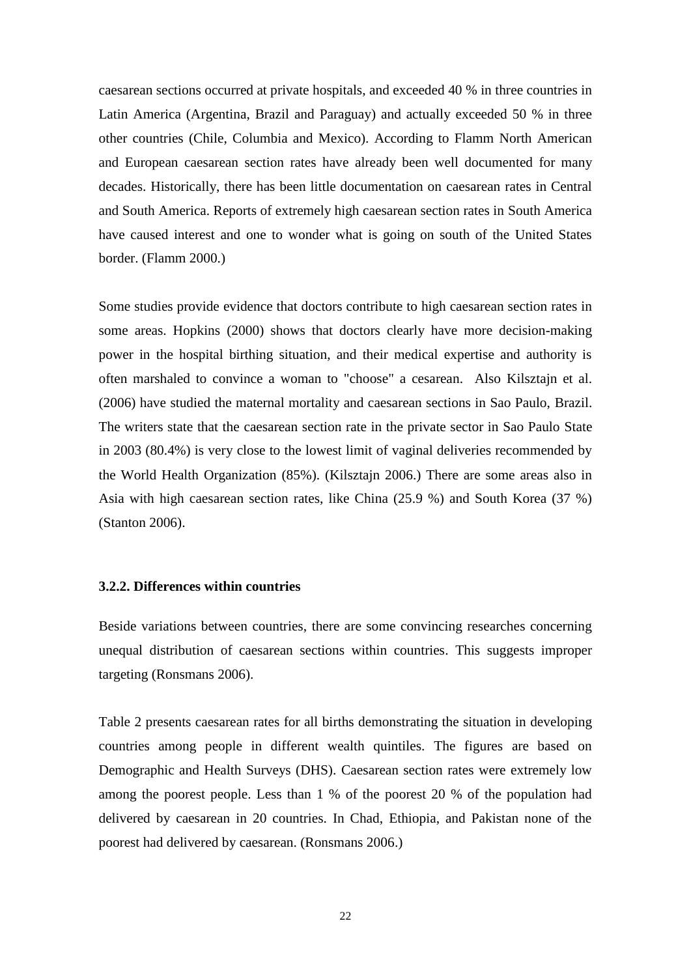caesarean sections occurred at private hospitals, and exceeded 40 % in three countries in Latin America (Argentina, Brazil and Paraguay) and actually exceeded 50 % in three other countries (Chile, Columbia and Mexico). According to Flamm North American and European caesarean section rates have already been well documented for many decades. Historically, there has been little documentation on caesarean rates in Central and South America. Reports of extremely high caesarean section rates in South America have caused interest and one to wonder what is going on south of the United States border. (Flamm 2000.)

Some studies provide evidence that doctors contribute to high caesarean section rates in some areas. Hopkins (2000) shows that doctors clearly have more decision-making power in the hospital birthing situation, and their medical expertise and authority is often marshaled to convince a woman to "choose" a cesarean. Also Kilsztajn et al. (2006) have studied the maternal mortality and caesarean sections in Sao Paulo, Brazil. The writers state that the caesarean section rate in the private sector in Sao Paulo State in 2003 (80.4%) is very close to the lowest limit of vaginal deliveries recommended by the World Health Organization (85%). (Kilsztajn 2006.) There are some areas also in Asia with high caesarean section rates, like China (25.9 %) and South Korea (37 %) (Stanton 2006).

#### <span id="page-17-0"></span>**3.2.2. Differences within countries**

Beside variations between countries, there are some convincing researches concerning unequal distribution of caesarean sections within countries. This suggests improper targeting (Ronsmans 2006).

Table 2 presents caesarean rates for all births demonstrating the situation in developing countries among people in different wealth quintiles. The figures are based on Demographic and Health Surveys (DHS). Caesarean section rates were extremely low among the poorest people. Less than 1 % of the poorest 20 % of the population had delivered by caesarean in 20 countries. In Chad, Ethiopia, and Pakistan none of the poorest had delivered by caesarean. (Ronsmans 2006.)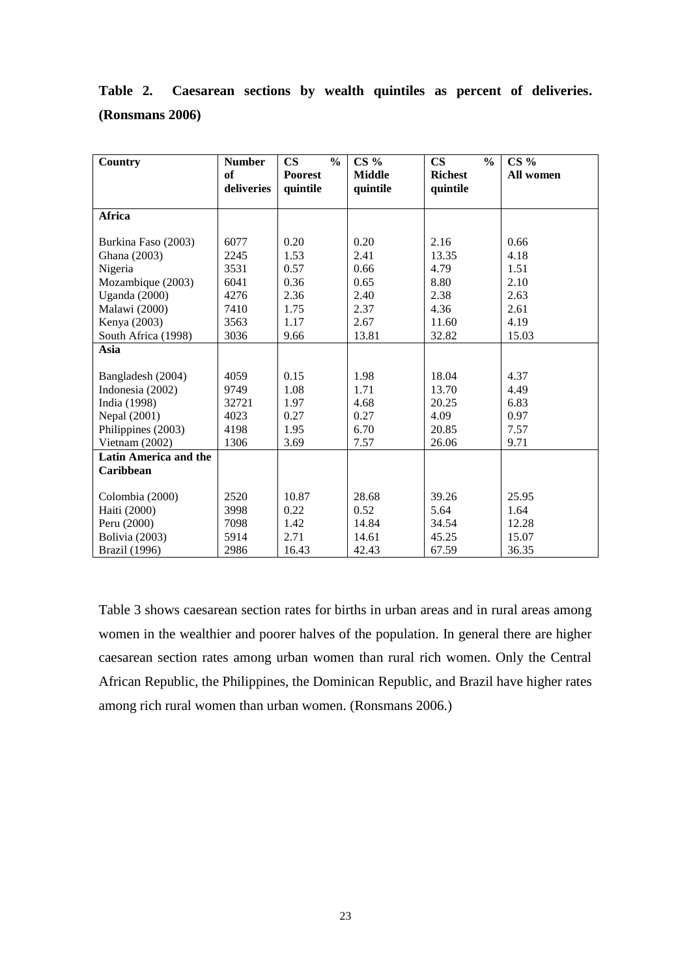| Country                      | <b>Number</b>    | $\frac{0}{0}$<br>$\mathbf{CS}$ | $CS\%$                    | $\mathbf{CS}$<br>$\frac{0}{0}$ | $CS\%$    |
|------------------------------|------------------|--------------------------------|---------------------------|--------------------------------|-----------|
|                              | of<br>deliveries | <b>Poorest</b><br>quintile     | <b>Middle</b><br>quintile | <b>Richest</b><br>quintile     | All women |
|                              |                  |                                |                           |                                |           |
| Africa                       |                  |                                |                           |                                |           |
|                              |                  |                                |                           |                                |           |
| Burkina Faso (2003)          | 6077             | 0.20                           | 0.20                      | 2.16                           | 0.66      |
| Ghana (2003)                 | 2245             | 1.53                           | 2.41                      | 13.35                          | 4.18      |
| Nigeria                      | 3531             | 0.57                           | 0.66                      | 4.79                           | 1.51      |
| Mozambique (2003)            | 6041             | 0.36                           | 0.65                      | 8.80                           | 2.10      |
| Uganda (2000)                | 4276             | 2.36                           | 2.40                      | 2.38                           | 2.63      |
| Malawi (2000)                | 7410             | 1.75                           | 2.37                      | 4.36                           | 2.61      |
| Kenya (2003)                 | 3563             | 1.17                           | 2.67                      | 11.60                          | 4.19      |
| South Africa (1998)          | 3036             | 9.66                           | 13.81                     | 32.82                          | 15.03     |
| Asia                         |                  |                                |                           |                                |           |
|                              |                  |                                |                           |                                |           |
| Bangladesh (2004)            | 4059             | 0.15                           | 1.98                      | 18.04                          | 4.37      |
| Indonesia (2002)             | 9749             | 1.08                           | 1.71                      | 13.70                          | 4.49      |
| India (1998)                 | 32721            | 1.97                           | 4.68                      | 20.25                          | 6.83      |
| Nepal (2001)                 | 4023             | 0.27                           | 0.27                      | 4.09                           | 0.97      |
| Philippines (2003)           | 4198             | 1.95                           | 6.70                      | 20.85                          | 7.57      |
| Vietnam (2002)               | 1306             | 3.69                           | 7.57                      | 26.06                          | 9.71      |
| <b>Latin America and the</b> |                  |                                |                           |                                |           |
| Caribbean                    |                  |                                |                           |                                |           |
|                              |                  |                                |                           |                                |           |
| Colombia (2000)              | 2520             | 10.87                          | 28.68                     | 39.26                          | 25.95     |
| Haiti (2000)                 | 3998             | 0.22                           | 0.52                      | 5.64                           | 1.64      |
| Peru (2000)                  | 7098             | 1.42                           | 14.84                     | 34.54                          | 12.28     |
| Bolivia (2003)               | 5914             | 2.71                           | 14.61                     | 45.25                          | 15.07     |
| Brazil (1996)                | 2986             | 16.43                          | 42.43                     | 67.59                          | 36.35     |

**Table 2. Caesarean sections by wealth quintiles as percent of deliveries. (Ronsmans 2006)**

Table 3 shows caesarean section rates for births in urban areas and in rural areas among women in the wealthier and poorer halves of the population. In general there are higher caesarean section rates among urban women than rural rich women. Only the Central African Republic, the Philippines, the Dominican Republic, and Brazil have higher rates among rich rural women than urban women. (Ronsmans 2006.)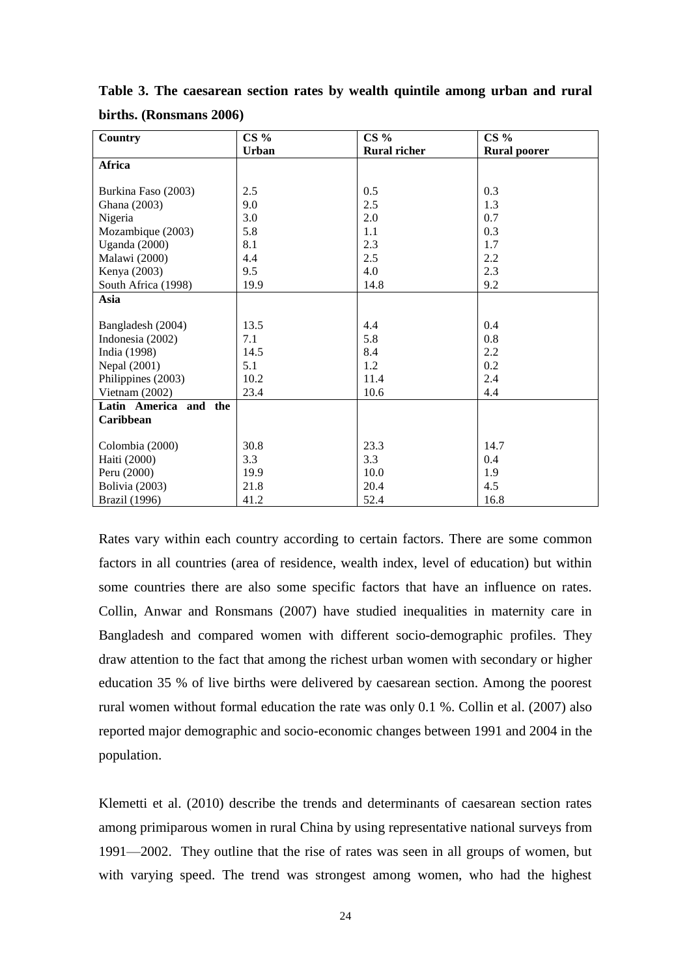| <b>Country</b>        | $CS\%$       | $CS\%$              | $CS\%$              |
|-----------------------|--------------|---------------------|---------------------|
|                       | <b>Urban</b> | <b>Rural richer</b> | <b>Rural poorer</b> |
| Africa                |              |                     |                     |
|                       |              |                     |                     |
| Burkina Faso (2003)   | 2.5          | 0.5                 | 0.3                 |
| Ghana (2003)          | 9.0          | 2.5                 | 1.3                 |
| Nigeria               | 3.0          | 2.0                 | 0.7                 |
| Mozambique (2003)     | 5.8          | 1.1                 | 0.3                 |
| <b>Uganda</b> (2000)  | 8.1          | 2.3                 | 1.7                 |
| Malawi (2000)         | 4.4          | 2.5                 | 2.2                 |
| Kenya (2003)          | 9.5          | 4.0                 | 2.3                 |
| South Africa (1998)   | 19.9         | 14.8                | 9.2                 |
| Asia                  |              |                     |                     |
|                       |              |                     |                     |
| Bangladesh (2004)     | 13.5         | 4.4                 | 0.4                 |
| Indonesia (2002)      | 7.1          | 5.8                 | 0.8                 |
| India (1998)          | 14.5         | 8.4                 | 2.2                 |
| Nepal (2001)          | 5.1          | 1.2                 | 0.2                 |
| Philippines (2003)    | 10.2         | 11.4                | 2.4                 |
| Vietnam (2002)        | 23.4         | 10.6                | 4.4                 |
| Latin America and the |              |                     |                     |
| Caribbean             |              |                     |                     |
|                       |              |                     |                     |
| Colombia (2000)       | 30.8         | 23.3                | 14.7                |
| Haiti (2000)          | 3.3          | 3.3                 | 0.4                 |
| Peru (2000)           | 19.9         | 10.0                | 1.9                 |
| Bolivia (2003)        | 21.8         | 20.4                | 4.5                 |
| <b>Brazil</b> (1996)  | 41.2         | 52.4                | 16.8                |

**Table 3. The caesarean section rates by wealth quintile among urban and rural births. (Ronsmans 2006)**

Rates vary within each country according to certain factors. There are some common factors in all countries (area of residence, wealth index, level of education) but within some countries there are also some specific factors that have an influence on rates. Collin, Anwar and Ronsmans (2007) have studied inequalities in maternity care in Bangladesh and compared women with different socio-demographic profiles. They draw attention to the fact that among the richest urban women with secondary or higher education 35 % of live births were delivered by caesarean section. Among the poorest rural women without formal education the rate was only 0.1 %. Collin et al. (2007) also reported major demographic and socio-economic changes between 1991 and 2004 in the population.

Klemetti et al. (2010) describe the trends and determinants of caesarean section rates among primiparous women in rural China by using representative national surveys from 1991—2002. They outline that the rise of rates was seen in all groups of women, but with varying speed. The trend was strongest among women, who had the highest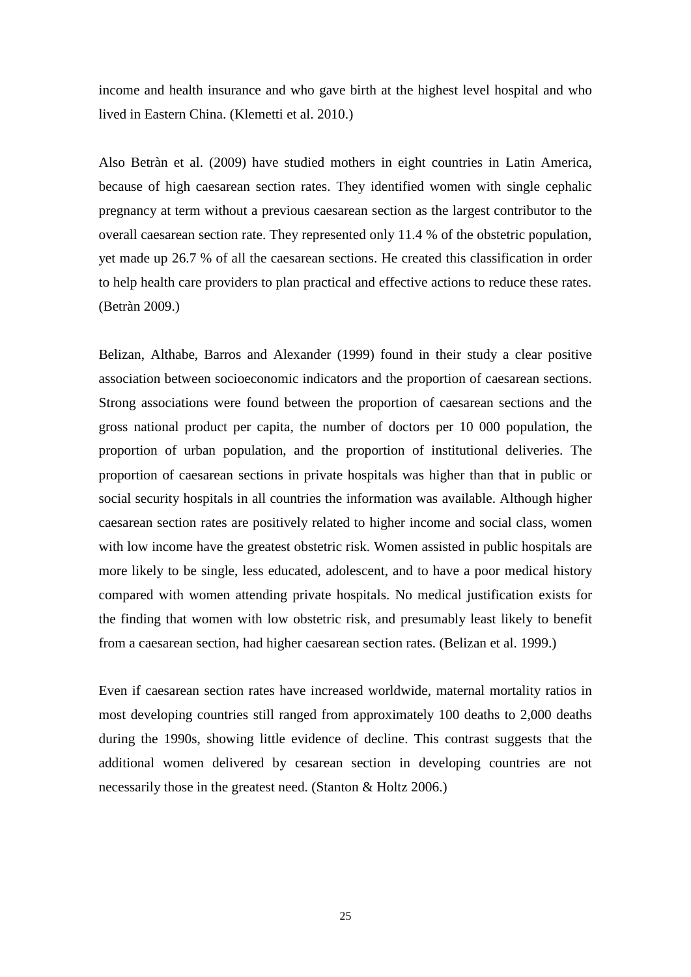income and health insurance and who gave birth at the highest level hospital and who lived in Eastern China. (Klemetti et al. 2010.)

Also Betràn et al. (2009) have studied mothers in eight countries in Latin America, because of high caesarean section rates. They identified women with single cephalic pregnancy at term without a previous caesarean section as the largest contributor to the overall caesarean section rate. They represented only 11.4 % of the obstetric population, yet made up 26.7 % of all the caesarean sections. He created this classification in order to help health care providers to plan practical and effective actions to reduce these rates. (Betràn 2009.)

Belizan, Althabe, Barros and Alexander (1999) found in their study a clear positive association between socioeconomic indicators and the proportion of caesarean sections. Strong associations were found between the proportion of caesarean sections and the gross national product per capita, the number of doctors per 10 000 population, the proportion of urban population, and the proportion of institutional deliveries. The proportion of caesarean sections in private hospitals was higher than that in public or social security hospitals in all countries the information was available. Although higher caesarean section rates are positively related to higher income and social class, women with low income have the greatest obstetric risk. Women assisted in public hospitals are more likely to be single, less educated, adolescent, and to have a poor medical history compared with women attending private hospitals. No medical justification exists for the finding that women with low obstetric risk, and presumably least likely to benefit from a caesarean section, had higher caesarean section rates. (Belizan et al. 1999.)

Even if caesarean section rates have increased worldwide, maternal mortality ratios in most developing countries still ranged from approximately 100 deaths to 2,000 deaths during the 1990s, showing little evidence of decline. This contrast suggests that the additional women delivered by cesarean section in developing countries are not necessarily those in the greatest need. (Stanton & Holtz 2006.)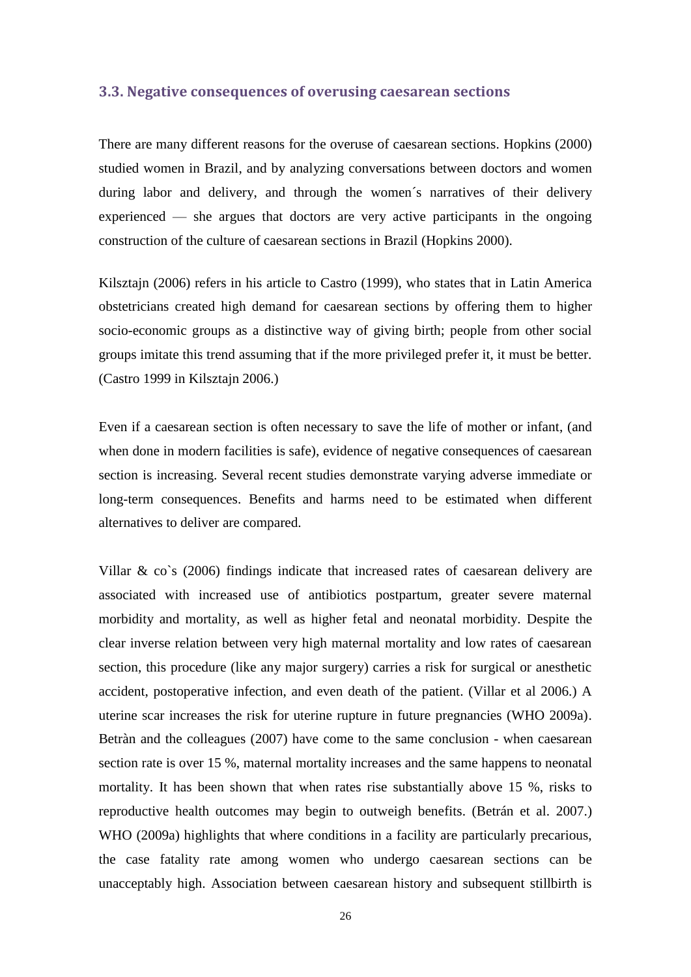#### <span id="page-21-0"></span>**3.3. Negative consequences of overusing caesarean sections**

There are many different reasons for the overuse of caesarean sections. Hopkins (2000) studied women in Brazil, and by analyzing conversations between doctors and women during labor and delivery, and through the women´s narratives of their delivery experienced — she argues that doctors are very active participants in the ongoing construction of the culture of caesarean sections in Brazil (Hopkins 2000).

Kilsztajn (2006) refers in his article to Castro (1999), who states that in Latin America obstetricians created high demand for caesarean sections by offering them to higher socio-economic groups as a distinctive way of giving birth; people from other social groups imitate this trend assuming that if the more privileged prefer it, it must be better. (Castro 1999 in Kilsztajn 2006.)

Even if a caesarean section is often necessary to save the life of mother or infant, (and when done in modern facilities is safe), evidence of negative consequences of caesarean section is increasing. Several recent studies demonstrate varying adverse immediate or long-term consequences. Benefits and harms need to be estimated when different alternatives to deliver are compared.

Villar & co`s (2006) findings indicate that increased rates of caesarean delivery are associated with increased use of antibiotics postpartum, greater severe maternal morbidity and mortality, as well as higher fetal and neonatal morbidity. Despite the clear inverse relation between very high maternal mortality and low rates of caesarean section, this procedure (like any major surgery) carries a risk for surgical or anesthetic accident, postoperative infection, and even death of the patient. (Villar et al 2006.) A uterine scar increases the risk for uterine rupture in future pregnancies (WHO 2009a). Betràn and the colleagues (2007) have come to the same conclusion - when caesarean section rate is over 15 %, maternal mortality increases and the same happens to neonatal mortality. It has been shown that when rates rise substantially above 15 %, risks to reproductive health outcomes may begin to outweigh benefits. (Betrán et al. 2007.) WHO (2009a) highlights that where conditions in a facility are particularly precarious, the case fatality rate among women who undergo caesarean sections can be unacceptably high. Association between caesarean history and subsequent stillbirth is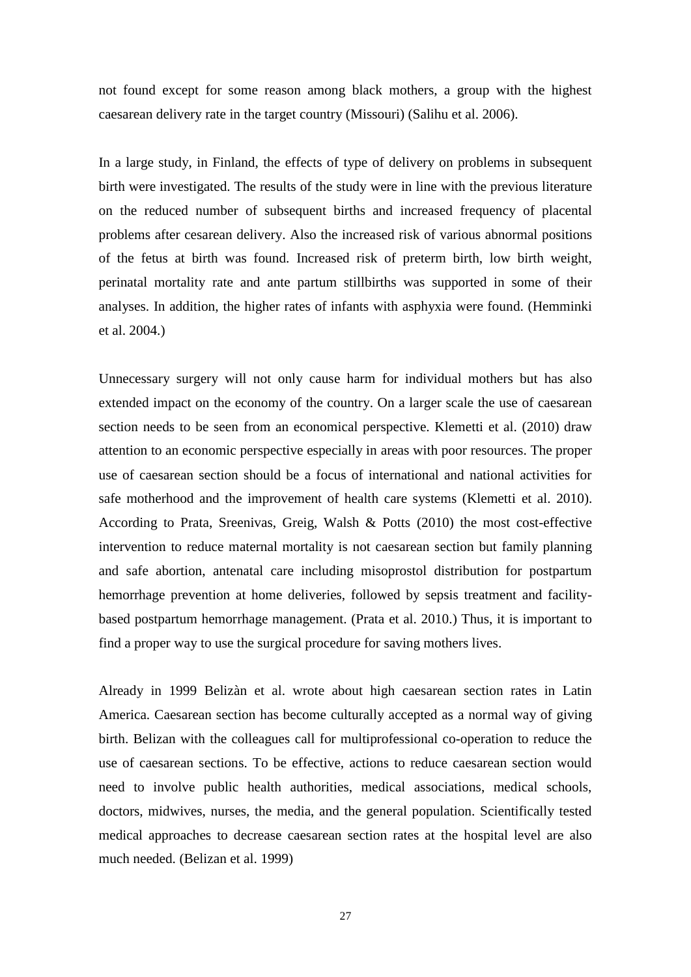not found except for some reason among black mothers, a group with the highest caesarean delivery rate in the target country (Missouri) (Salihu et al. 2006).

In a large study, in Finland, the effects of type of delivery on problems in subsequent birth were investigated. The results of the study were in line with the previous literature on the reduced number of subsequent births and increased frequency of placental problems after cesarean delivery. Also the increased risk of various abnormal positions of the fetus at birth was found. Increased risk of preterm birth, low birth weight, perinatal mortality rate and ante partum stillbirths was supported in some of their analyses. In addition, the higher rates of infants with asphyxia were found. (Hemminki et al. 2004.)

Unnecessary surgery will not only cause harm for individual mothers but has also extended impact on the economy of the country. On a larger scale the use of caesarean section needs to be seen from an economical perspective. Klemetti et al. (2010) draw attention to an economic perspective especially in areas with poor resources. The proper use of caesarean section should be a focus of international and national activities for safe motherhood and the improvement of health care systems (Klemetti et al. 2010). According to Prata, Sreenivas, Greig, Walsh & Potts (2010) the most cost-effective intervention to reduce maternal mortality is not caesarean section but family planning and safe abortion, antenatal care including misoprostol distribution for postpartum hemorrhage prevention at home deliveries, followed by sepsis treatment and facilitybased postpartum hemorrhage management. (Prata et al. 2010.) Thus, it is important to find a proper way to use the surgical procedure for saving mothers lives.

Already in 1999 Belizàn et al. wrote about high caesarean section rates in Latin America. Caesarean section has become culturally accepted as a normal way of giving birth. Belizan with the colleagues call for multiprofessional co-operation to reduce the use of caesarean sections. To be effective, actions to reduce caesarean section would need to involve public health authorities, medical associations, medical schools, doctors, midwives, nurses, the media, and the general population. Scientifically tested medical approaches to decrease caesarean section rates at the hospital level are also much needed. (Belizan et al. 1999)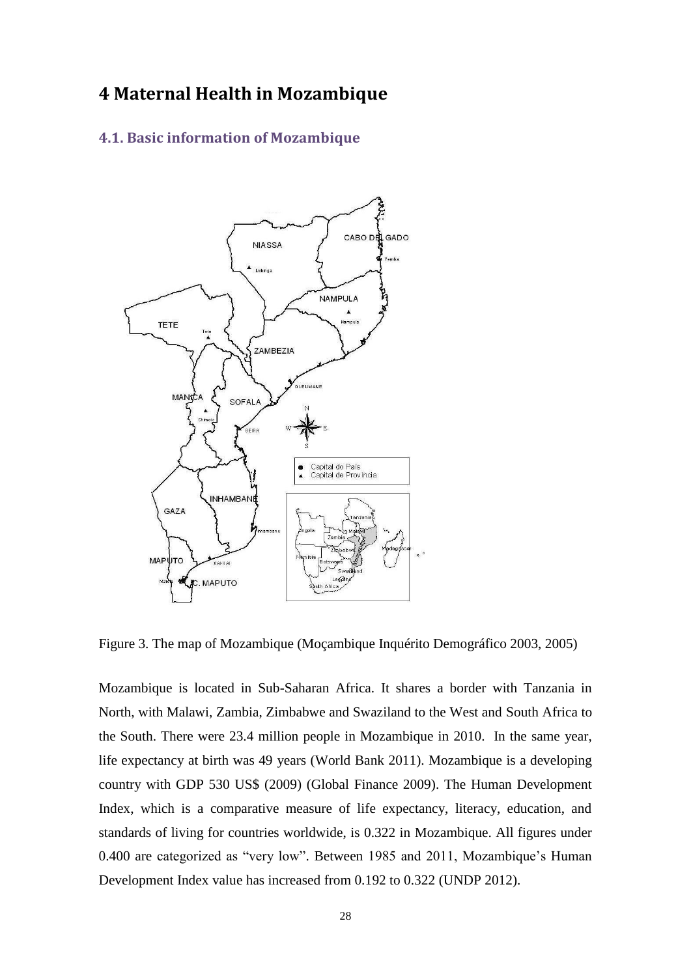## <span id="page-23-0"></span>**4 Maternal Health in Mozambique**

### <span id="page-23-1"></span>**4.1. Basic information of Mozambique**



Figure 3. The map of Mozambique (Moçambique Inquérito Demográfico 2003, 2005)

Mozambique is located in Sub-Saharan Africa. It shares a border with Tanzania in North, with Malawi, Zambia, Zimbabwe and Swaziland to the West and South Africa to the South. There were 23.4 million people in Mozambique in 2010. In the same year, life expectancy at birth was 49 years (World Bank 2011). Mozambique is a developing country with GDP 530 US\$ (2009) (Global Finance 2009). The Human Development Index, which is a comparative measure of life expectancy, literacy, education, and standards of living for countries worldwide, is 0.322 in Mozambique. All figures under 0.400 are categorized as "very low". Between 1985 and 2011, Mozambique's Human Development Index value has increased from 0.192 to 0.322 (UNDP 2012).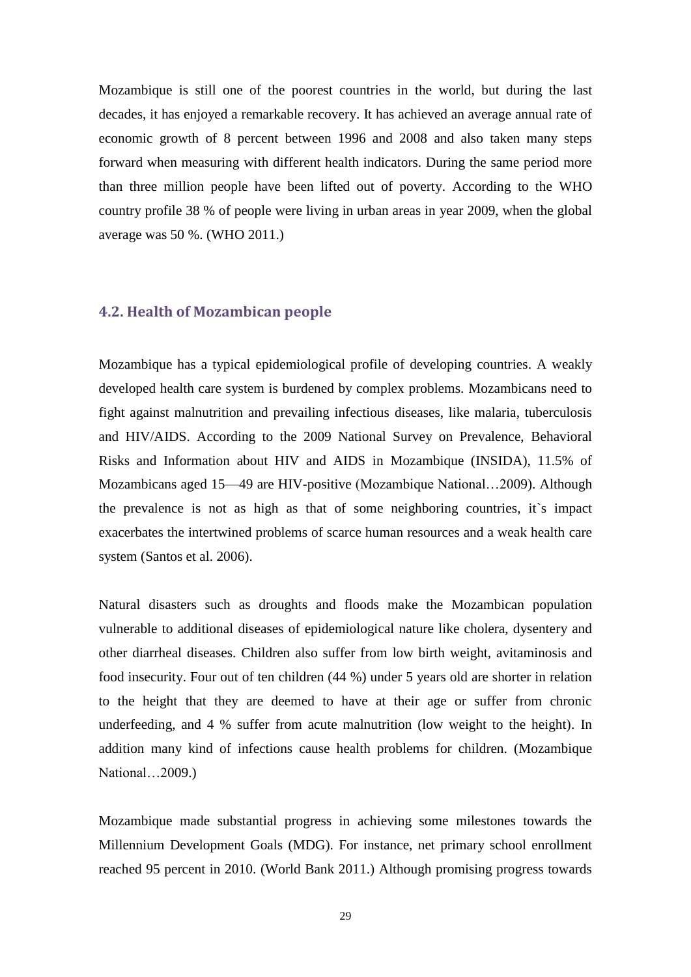Mozambique is still one of the poorest countries in the world, but during the last decades, it has enjoyed a remarkable recovery. It has achieved an average annual rate of economic growth of 8 percent between 1996 and 2008 and also taken many steps forward when measuring with different health indicators. During the same period more than three million people have been lifted out of poverty. According to the WHO country profile 38 % of people were living in urban areas in year 2009, when the global average was 50 %. (WHO 2011.)

### <span id="page-24-0"></span>**4.2. Health of Mozambican people**

Mozambique has a typical epidemiological profile of developing countries. A weakly developed health care system is burdened by complex problems. Mozambicans need to fight against malnutrition and prevailing infectious diseases, like malaria, tuberculosis and HIV/AIDS. According to the 2009 National Survey on Prevalence, Behavioral Risks and Information about HIV and AIDS in Mozambique (INSIDA), 11.5% of Mozambicans aged 15—49 are HIV-positive (Mozambique National…2009). Although the prevalence is not as high as that of some neighboring countries, it`s impact exacerbates the intertwined problems of scarce human resources and a weak health care system (Santos et al. 2006).

Natural disasters such as droughts and floods make the Mozambican population vulnerable to additional diseases of epidemiological nature like cholera, dysentery and other diarrheal diseases. Children also suffer from low birth weight, avitaminosis and food insecurity. Four out of ten children (44 %) under 5 years old are shorter in relation to the height that they are deemed to have at their age or suffer from chronic underfeeding, and 4 % suffer from acute malnutrition (low weight to the height). In addition many kind of infections cause health problems for children. (Mozambique National…2009.)

Mozambique made substantial progress in achieving some milestones towards the Millennium Development Goals (MDG). For instance, net primary school enrollment reached 95 percent in 2010. (World Bank 2011.) Although promising progress towards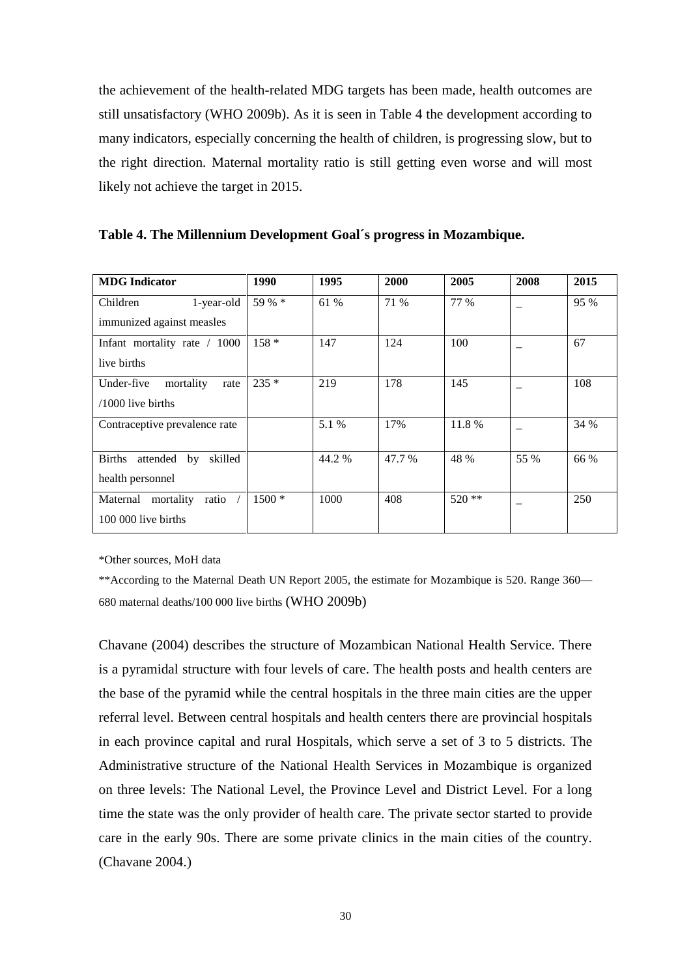the achievement of the health-related MDG targets has been made, health outcomes are still unsatisfactory (WHO 2009b). As it is seen in Table 4 the development according to many indicators, especially concerning the health of children, is progressing slow, but to the right direction. Maternal mortality ratio is still getting even worse and will most likely not achieve the target in 2015.

| <b>MDG</b> Indicator                       | 1990    | 1995   | 2000   | 2005    | 2008 | 2015 |
|--------------------------------------------|---------|--------|--------|---------|------|------|
| Children<br>1-year-old                     | 59 % *  | 61 %   | 71 %   | 77 %    |      | 95 % |
| immunized against measles                  |         |        |        |         |      |      |
| Infant mortality rate / 1000               | $158*$  | 147    | 124    | 100     |      | 67   |
| live births                                |         |        |        |         |      |      |
| Under-five<br>mortality<br>rate            | $235*$  | 219    | 178    | 145     |      | 108  |
| $/1000$ live births                        |         |        |        |         |      |      |
| Contraceptive prevalence rate              |         | 5.1 %  | 17%    | 11.8 %  |      | 34 % |
|                                            |         |        |        |         |      |      |
| <b>Births</b><br>skilled<br>attended<br>by |         | 44.2 % | 47.7 % | 48 %    | 55 % | 66 % |
| health personnel                           |         |        |        |         |      |      |
| mortality<br>ratio $\sqrt{ }$<br>Maternal  | $1500*$ | 1000   | 408    | $520**$ |      | 250  |
| 100 000 live births                        |         |        |        |         |      |      |
|                                            |         |        |        |         |      |      |

**Table 4. The Millennium Development Goal´s progress in Mozambique.**

\*Other sources, MoH data

\*\*According to the Maternal Death UN Report 2005, the estimate for Mozambique is 520. Range 360— 680 maternal deaths/100 000 live births (WHO 2009b)

Chavane (2004) describes the structure of Mozambican National Health Service. There is a pyramidal structure with four levels of care. The health posts and health centers are the base of the pyramid while the central hospitals in the three main cities are the upper referral level. Between central hospitals and health centers there are provincial hospitals in each province capital and rural Hospitals, which serve a set of 3 to 5 districts. The Administrative structure of the National Health Services in Mozambique is organized on three levels: The National Level, the Province Level and District Level. For a long time the state was the only provider of health care. The private sector started to provide care in the early 90s. There are some private clinics in the main cities of the country. (Chavane 2004.)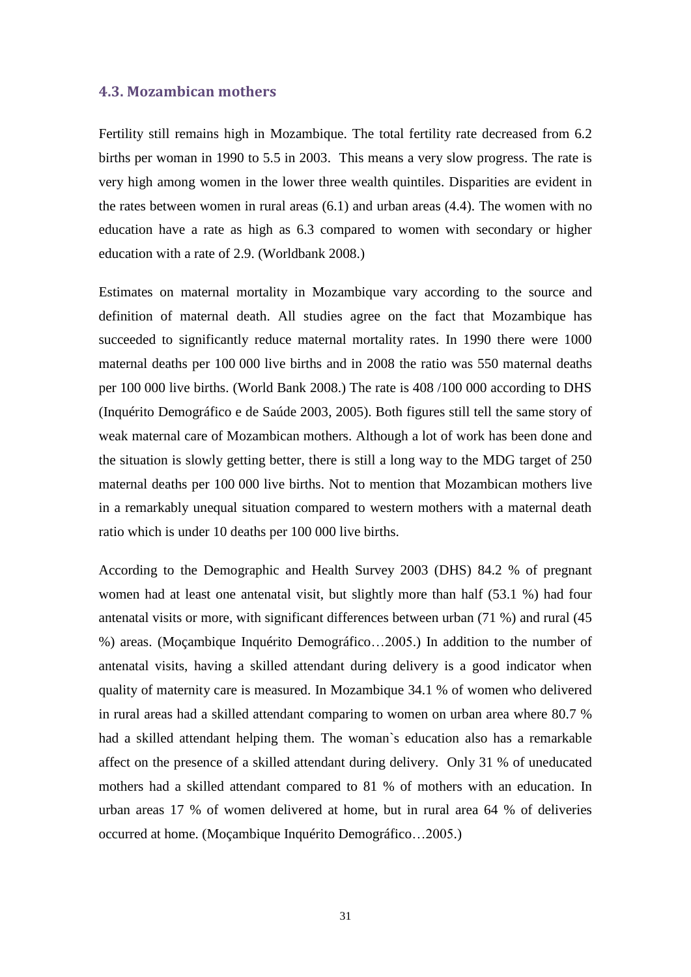#### <span id="page-26-0"></span>**4.3. Mozambican mothers**

Fertility still remains high in Mozambique. The total fertility rate decreased from 6.2 births per woman in 1990 to 5.5 in 2003. This means a very slow progress. The rate is very high among women in the lower three wealth quintiles. Disparities are evident in the rates between women in rural areas (6.1) and urban areas (4.4). The women with no education have a rate as high as 6.3 compared to women with secondary or higher education with a rate of 2.9. (Worldbank 2008.)

Estimates on maternal mortality in Mozambique vary according to the source and definition of maternal death. All studies agree on the fact that Mozambique has succeeded to significantly reduce maternal mortality rates. In 1990 there were 1000 maternal deaths per 100 000 live births and in 2008 the ratio was 550 maternal deaths per 100 000 live births. (World Bank 2008.) The rate is 408 /100 000 according to DHS (Inquérito Demográfico e de Saúde 2003, 2005). Both figures still tell the same story of weak maternal care of Mozambican mothers. Although a lot of work has been done and the situation is slowly getting better, there is still a long way to the MDG target of 250 maternal deaths per 100 000 live births. Not to mention that Mozambican mothers live in a remarkably unequal situation compared to western mothers with a maternal death ratio which is under 10 deaths per 100 000 live births.

According to the Demographic and Health Survey 2003 (DHS) 84.2 % of pregnant women had at least one antenatal visit, but slightly more than half (53.1 %) had four antenatal visits or more, with significant differences between urban (71 %) and rural (45 %) areas. (Moçambique Inquérito Demográfico…2005.) In addition to the number of antenatal visits, having a skilled attendant during delivery is a good indicator when quality of maternity care is measured. In Mozambique 34.1 % of women who delivered in rural areas had a skilled attendant comparing to women on urban area where 80.7 % had a skilled attendant helping them. The woman`s education also has a remarkable affect on the presence of a skilled attendant during delivery. Only 31 % of uneducated mothers had a skilled attendant compared to 81 % of mothers with an education. In urban areas 17 % of women delivered at home, but in rural area 64 % of deliveries occurred at home. (Moçambique Inquérito Demográfico…2005.)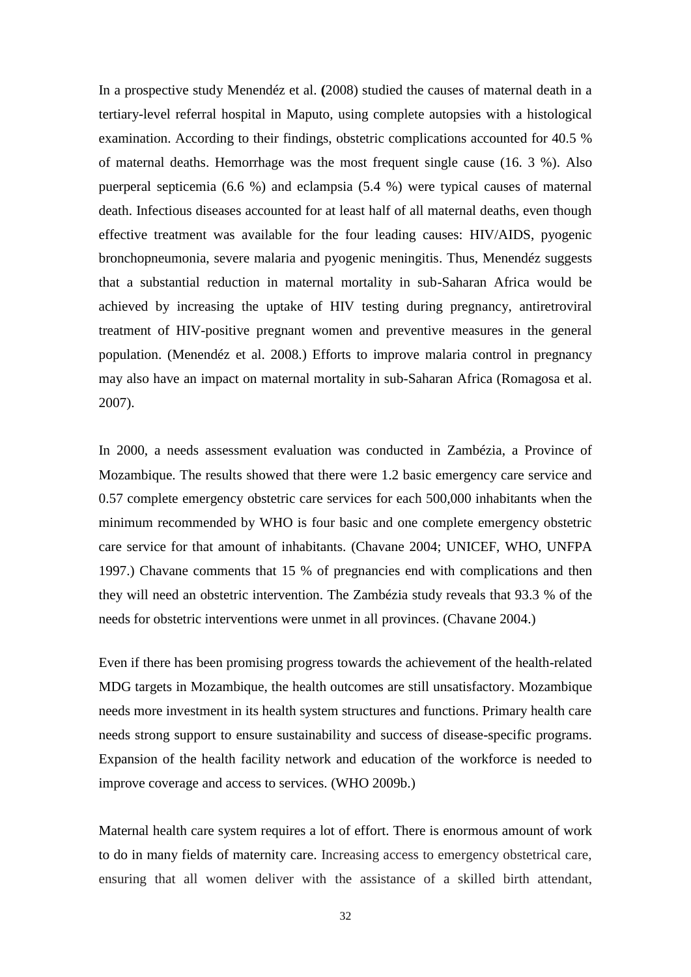In a prospective study Menendéz et al. **(**2008) studied the causes of maternal death in a tertiary-level referral hospital in Maputo, using complete autopsies with a histological examination. According to their findings, obstetric complications accounted for 40.5 % of maternal deaths. Hemorrhage was the most frequent single cause (16. 3 %). Also puerperal septicemia (6.6 %) and eclampsia (5.4 %) were typical causes of maternal death. Infectious diseases accounted for at least half of all maternal deaths, even though effective treatment was available for the four leading causes: HIV/AIDS, pyogenic bronchopneumonia, severe malaria and pyogenic meningitis. Thus, Menendéz suggests that a substantial reduction in maternal mortality in sub-Saharan Africa would be achieved by increasing the uptake of HIV testing during pregnancy, antiretroviral treatment of HIV-positive pregnant women and preventive measures in the general population. (Menendéz et al. 2008.) Efforts to improve malaria control in pregnancy may also have an impact on maternal mortality in sub-Saharan Africa (Romagosa et al. 2007).

In 2000, a needs assessment evaluation was conducted in Zambézia, a Province of Mozambique. The results showed that there were 1.2 basic emergency care service and 0.57 complete emergency obstetric care services for each 500,000 inhabitants when the minimum recommended by WHO is four basic and one complete emergency obstetric care service for that amount of inhabitants. (Chavane 2004; UNICEF, WHO, UNFPA 1997.) Chavane comments that 15 % of pregnancies end with complications and then they will need an obstetric intervention. The Zambézia study reveals that 93.3 % of the needs for obstetric interventions were unmet in all provinces. (Chavane 2004.)

Even if there has been promising progress towards the achievement of the health-related MDG targets in Mozambique, the health outcomes are still unsatisfactory. Mozambique needs more investment in its health system structures and functions. Primary health care needs strong support to ensure sustainability and success of disease-specific programs. Expansion of the health facility network and education of the workforce is needed to improve coverage and access to services. (WHO 2009b.)

Maternal health care system requires a lot of effort. There is enormous amount of work to do in many fields of maternity care. Increasing access to emergency obstetrical care, ensuring that all women deliver with the assistance of a skilled birth attendant,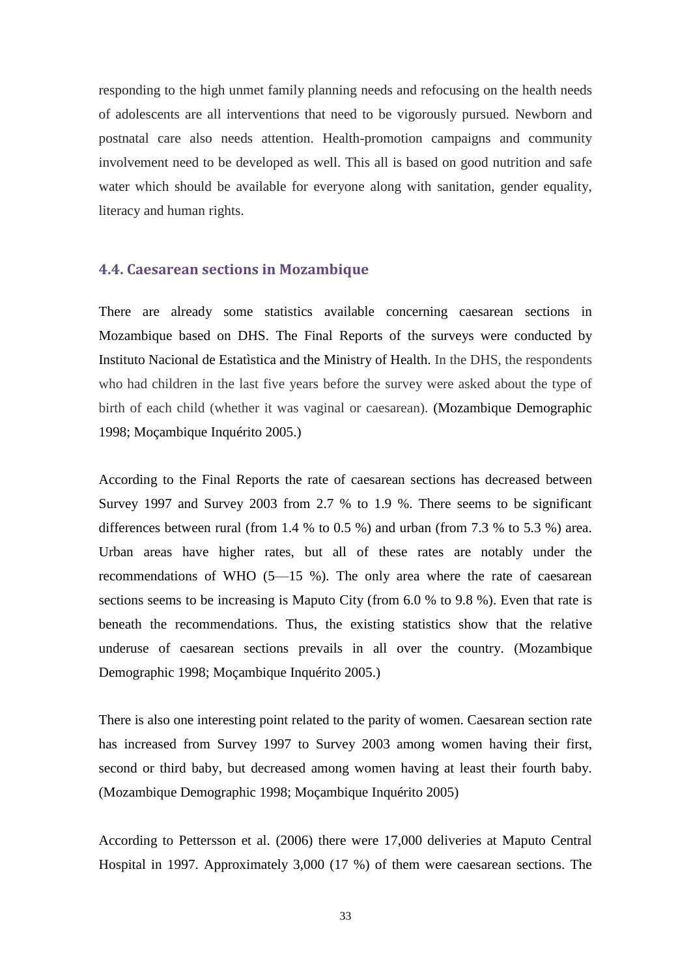responding to the high unmet family planning needs and refocusing on the health needs of adolescents are all interventions that need to be vigorously pursued. Newborn and postnatal care also needs attention. Health-promotion campaigns and community involvement need to be developed as well. This all is based on good nutrition and safe water which should be available for everyone along with sanitation, gender equality, literacy and human rights.

#### <span id="page-28-0"></span>**4.4. Caesarean sections in Mozambique**

There are already some statistics available concerning caesarean sections in Mozambique based on DHS. The Final Reports of the surveys were conducted by Instituto Nacional de Estatìstica and the Ministry of Health. In the DHS, the respondents who had children in the last five years before the survey were asked about the type of birth of each child (whether it was vaginal or caesarean). (Mozambique Demographic 1998; Moçambique Inquérito 2005.)

According to the Final Reports the rate of caesarean sections has decreased between Survey 1997 and Survey 2003 from 2.7 % to 1.9 %. There seems to be significant differences between rural (from 1.4 % to 0.5 %) and urban (from 7.3 % to 5.3 %) area. Urban areas have higher rates, but all of these rates are notably under the recommendations of WHO (5—15 %). The only area where the rate of caesarean sections seems to be increasing is Maputo City (from 6.0 % to 9.8 %). Even that rate is beneath the recommendations. Thus, the existing statistics show that the relative underuse of caesarean sections prevails in all over the country. (Mozambique Demographic 1998; Moçambique Inquérito 2005.)

There is also one interesting point related to the parity of women. Caesarean section rate has increased from Survey 1997 to Survey 2003 among women having their first, second or third baby, but decreased among women having at least their fourth baby. (Mozambique Demographic 1998; Moçambique Inquérito 2005)

According to Pettersson et al. (2006) there were 17,000 deliveries at Maputo Central Hospital in 1997. Approximately 3,000 (17 %) of them were caesarean sections. The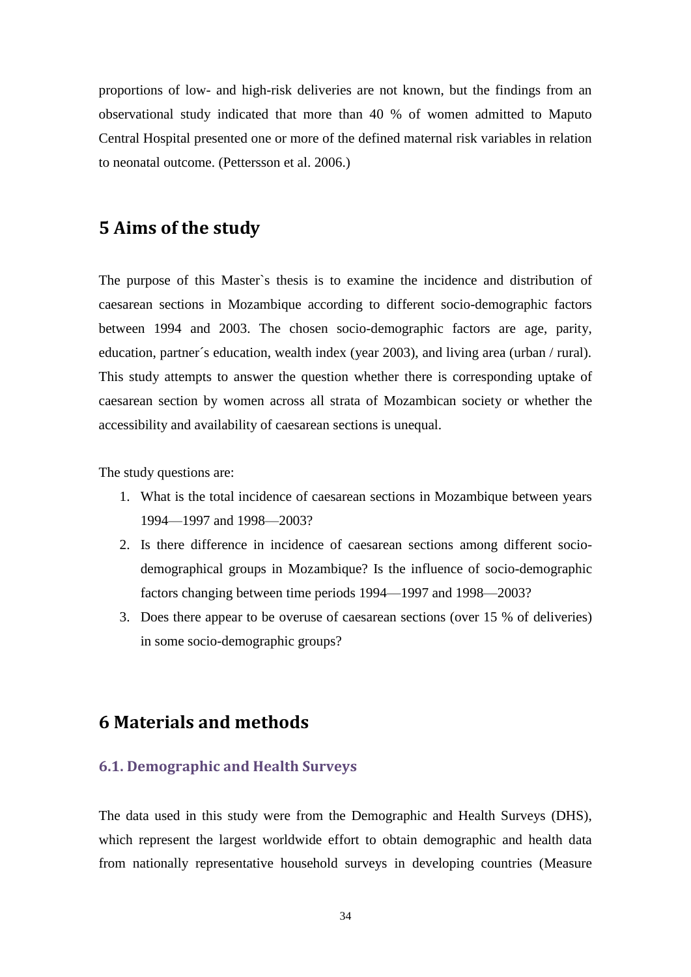proportions of low- and high-risk deliveries are not known, but the findings from an observational study indicated that more than 40 % of women admitted to Maputo Central Hospital presented one or more of the defined maternal risk variables in relation to neonatal outcome. (Pettersson et al. 2006.)

## <span id="page-29-0"></span>**5 Aims of the study**

The purpose of this Master`s thesis is to examine the incidence and distribution of caesarean sections in Mozambique according to different socio-demographic factors between 1994 and 2003. The chosen socio-demographic factors are age, parity, education, partner´s education, wealth index (year 2003), and living area (urban / rural). This study attempts to answer the question whether there is corresponding uptake of caesarean section by women across all strata of Mozambican society or whether the accessibility and availability of caesarean sections is unequal.

The study questions are:

- 1. What is the total incidence of caesarean sections in Mozambique between years 1994—1997 and 1998—2003?
- 2. Is there difference in incidence of caesarean sections among different sociodemographical groups in Mozambique? Is the influence of socio-demographic factors changing between time periods 1994—1997 and 1998—2003?
- 3. Does there appear to be overuse of caesarean sections (over 15 % of deliveries) in some socio-demographic groups?

## <span id="page-29-1"></span>**6 Materials and methods**

### <span id="page-29-2"></span>**6.1. Demographic and Health Surveys**

The data used in this study were from the Demographic and Health Surveys (DHS), which represent the largest worldwide effort to obtain demographic and health data from nationally representative household surveys in developing countries (Measure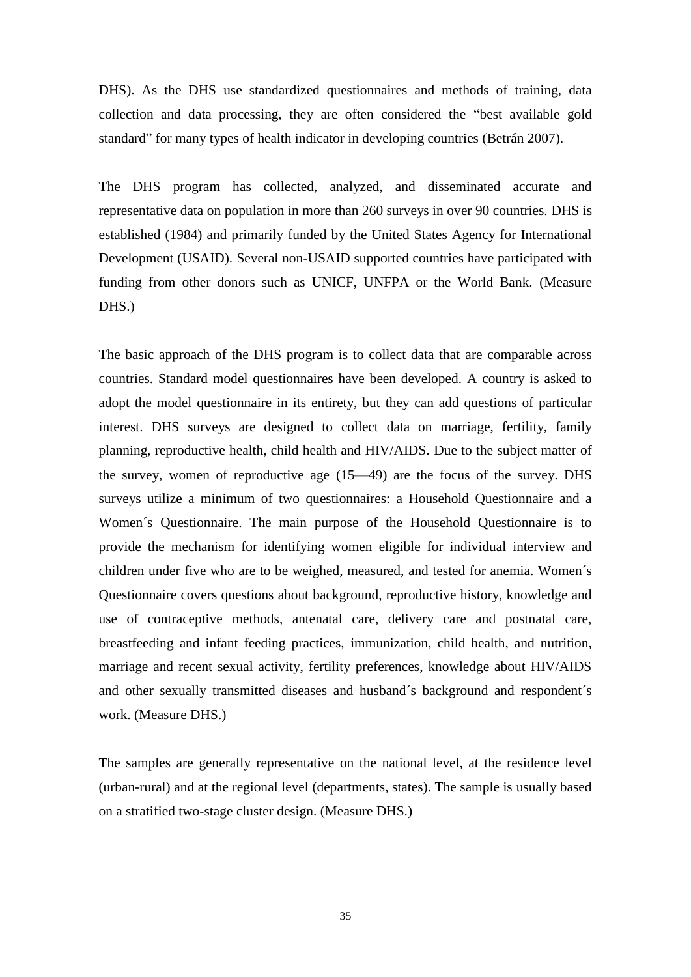DHS). As the DHS use standardized questionnaires and methods of training, data collection and data processing, they are often considered the "best available gold standard" for many types of health indicator in developing countries (Betrán 2007).

The DHS program has collected, analyzed, and disseminated accurate and representative data on population in more than 260 surveys in over 90 countries. DHS is established (1984) and primarily funded by the United States Agency for International Development (USAID). Several non-USAID supported countries have participated with funding from other donors such as UNICF, UNFPA or the World Bank. (Measure DHS.)

The basic approach of the DHS program is to collect data that are comparable across countries. Standard model questionnaires have been developed. A country is asked to adopt the model questionnaire in its entirety, but they can add questions of particular interest. DHS surveys are designed to collect data on marriage, fertility, family planning, reproductive health, child health and HIV/AIDS. Due to the subject matter of the survey, women of reproductive age (15—49) are the focus of the survey. DHS surveys utilize a minimum of two questionnaires: a Household Questionnaire and a Women´s Questionnaire. The main purpose of the Household Questionnaire is to provide the mechanism for identifying women eligible for individual interview and children under five who are to be weighed, measured, and tested for anemia. Women´s Questionnaire covers questions about background, reproductive history, knowledge and use of contraceptive methods, antenatal care, delivery care and postnatal care, breastfeeding and infant feeding practices, immunization, child health, and nutrition, marriage and recent sexual activity, fertility preferences, knowledge about HIV/AIDS and other sexually transmitted diseases and husband´s background and respondent´s work. (Measure DHS.)

The samples are generally representative on the national level, at the residence level (urban-rural) and at the regional level (departments, states). The sample is usually based on a stratified two-stage cluster design. (Measure DHS.)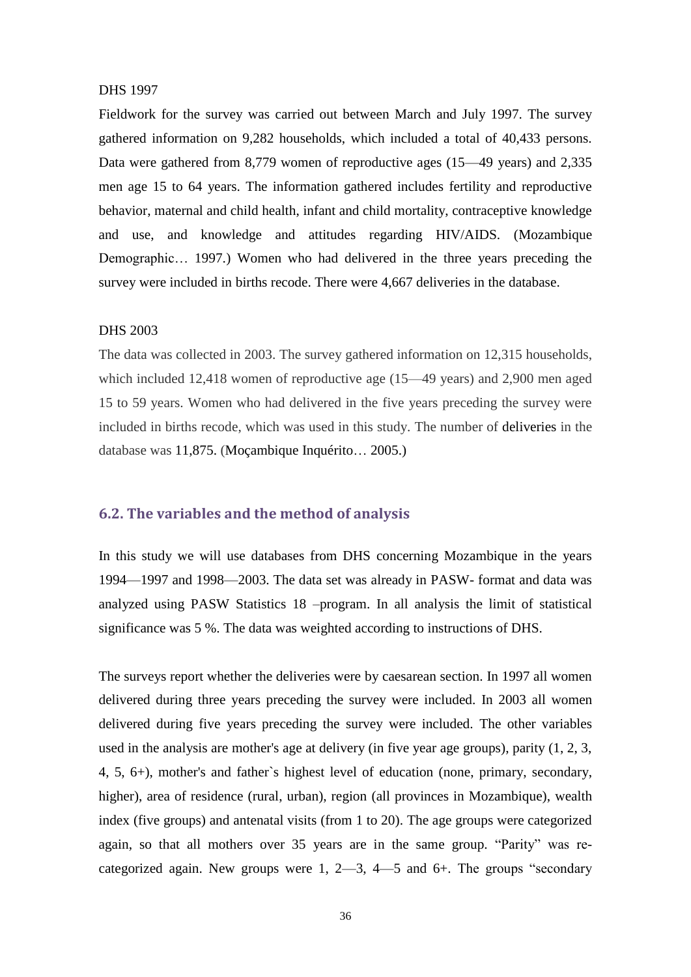#### DHS 1997

Fieldwork for the survey was carried out between March and July 1997. The survey gathered information on 9,282 households, which included a total of 40,433 persons. Data were gathered from 8,779 women of reproductive ages (15—49 years) and 2,335 men age 15 to 64 years. The information gathered includes fertility and reproductive behavior, maternal and child health, infant and child mortality, contraceptive knowledge and use, and knowledge and attitudes regarding HIV/AIDS. (Mozambique Demographic… 1997.) Women who had delivered in the three years preceding the survey were included in births recode. There were 4,667 deliveries in the database.

#### DHS 2003

The data was collected in 2003. The survey gathered information on 12,315 households, which included 12,418 women of reproductive age (15—49 years) and 2,900 men aged 15 to 59 years. Women who had delivered in the five years preceding the survey were included in births recode, which was used in this study. The number of deliveries in the database was 11,875. (Moçambique Inquérito… 2005.)

#### <span id="page-31-0"></span>**6.2. The variables and the method of analysis**

In this study we will use databases from DHS concerning Mozambique in the years 1994—1997 and 1998—2003. The data set was already in PASW- format and data was analyzed using PASW Statistics 18 –program. In all analysis the limit of statistical significance was 5 %. The data was weighted according to instructions of DHS.

The surveys report whether the deliveries were by caesarean section. In 1997 all women delivered during three years preceding the survey were included. In 2003 all women delivered during five years preceding the survey were included. The other variables used in the analysis are mother's age at delivery (in five year age groups), parity (1, 2, 3, 4, 5, 6+), mother's and father`s highest level of education (none, primary, secondary, higher), area of residence (rural, urban), region (all provinces in Mozambique), wealth index (five groups) and antenatal visits (from 1 to 20). The age groups were categorized again, so that all mothers over 35 years are in the same group. "Parity" was recategorized again. New groups were 1,  $2-3$ ,  $4-5$  and  $6+$ . The groups "secondary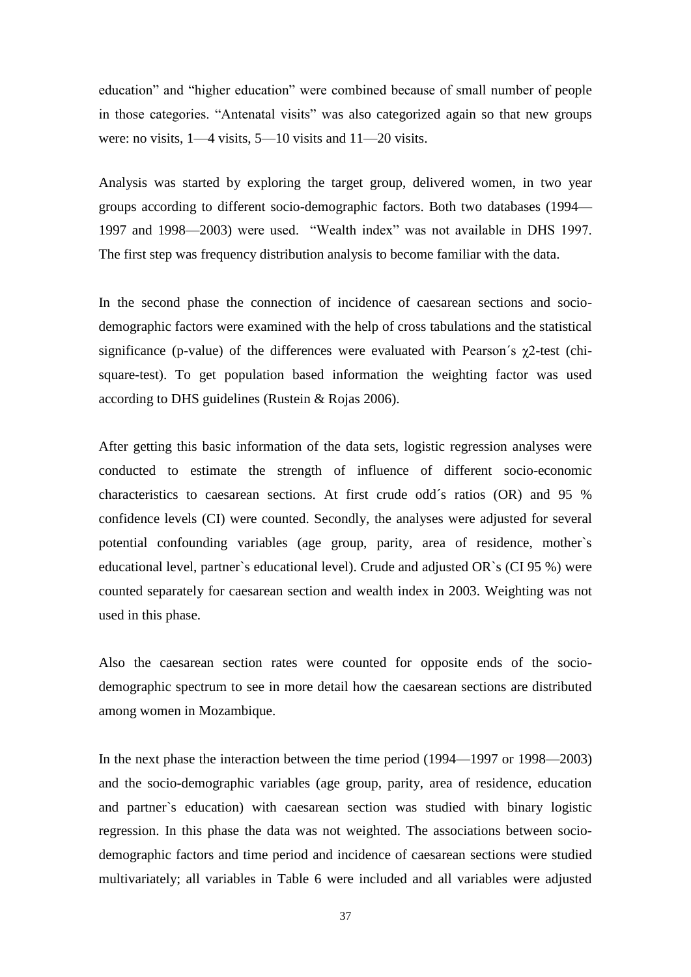education" and "higher education" were combined because of small number of people in those categories. "Antenatal visits" was also categorized again so that new groups were: no visits, 1—4 visits, 5—10 visits and 11—20 visits.

Analysis was started by exploring the target group, delivered women, in two year groups according to different socio-demographic factors. Both two databases (1994— 1997 and 1998—2003) were used. "Wealth index" was not available in DHS 1997. The first step was frequency distribution analysis to become familiar with the data.

In the second phase the connection of incidence of caesarean sections and sociodemographic factors were examined with the help of cross tabulations and the statistical significance (p-value) of the differences were evaluated with Pearson's  $\gamma$ 2-test (chisquare-test). To get population based information the weighting factor was used according to DHS guidelines (Rustein & Rojas 2006).

After getting this basic information of the data sets, logistic regression analyses were conducted to estimate the strength of influence of different socio-economic characteristics to caesarean sections. At first crude odd´s ratios (OR) and 95 % confidence levels (CI) were counted. Secondly, the analyses were adjusted for several potential confounding variables (age group, parity, area of residence, mother`s educational level, partner`s educational level). Crude and adjusted OR`s (CI 95 %) were counted separately for caesarean section and wealth index in 2003. Weighting was not used in this phase.

Also the caesarean section rates were counted for opposite ends of the sociodemographic spectrum to see in more detail how the caesarean sections are distributed among women in Mozambique.

In the next phase the interaction between the time period (1994—1997 or 1998—2003) and the socio-demographic variables (age group, parity, area of residence, education and partner`s education) with caesarean section was studied with binary logistic regression. In this phase the data was not weighted. The associations between sociodemographic factors and time period and incidence of caesarean sections were studied multivariately; all variables in Table 6 were included and all variables were adjusted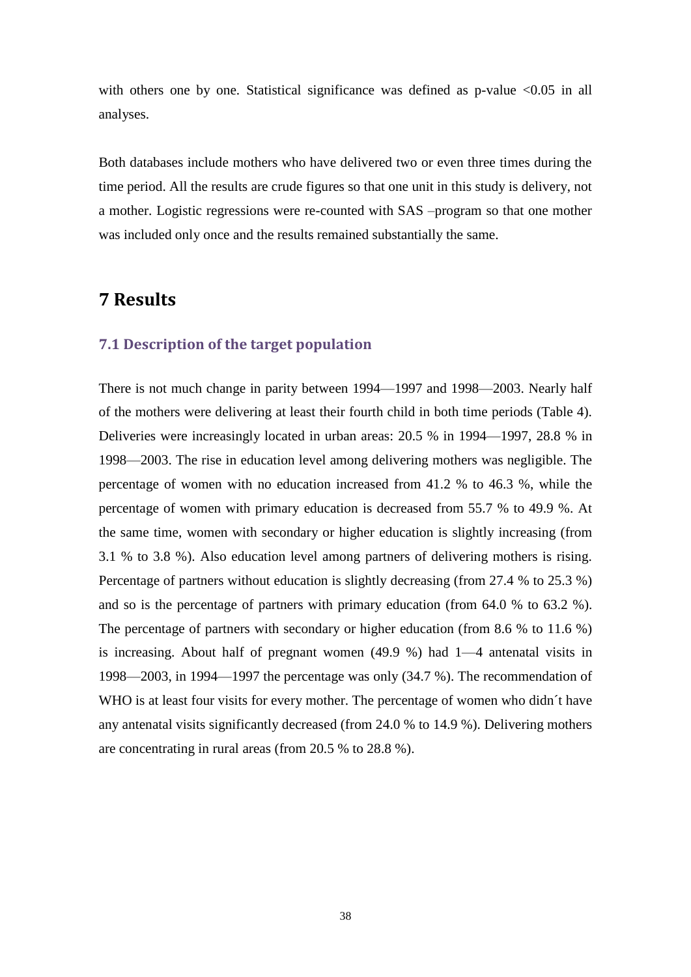with others one by one. Statistical significance was defined as  $p$ -value <0.05 in all analyses.

Both databases include mothers who have delivered two or even three times during the time period. All the results are crude figures so that one unit in this study is delivery, not a mother. Logistic regressions were re-counted with SAS –program so that one mother was included only once and the results remained substantially the same.

## <span id="page-33-0"></span>**7 Results**

### <span id="page-33-1"></span>**7.1 Description of the target population**

There is not much change in parity between 1994—1997 and 1998—2003. Nearly half of the mothers were delivering at least their fourth child in both time periods (Table 4). Deliveries were increasingly located in urban areas: 20.5 % in 1994—1997, 28.8 % in 1998—2003. The rise in education level among delivering mothers was negligible. The percentage of women with no education increased from 41.2 % to 46.3 %, while the percentage of women with primary education is decreased from 55.7 % to 49.9 %. At the same time, women with secondary or higher education is slightly increasing (from 3.1 % to 3.8 %). Also education level among partners of delivering mothers is rising. Percentage of partners without education is slightly decreasing (from 27.4 % to 25.3 %) and so is the percentage of partners with primary education (from 64.0 % to 63.2 %). The percentage of partners with secondary or higher education (from 8.6 % to 11.6 %) is increasing. About half of pregnant women (49.9 %) had 1—4 antenatal visits in 1998—2003, in 1994—1997 the percentage was only (34.7 %). The recommendation of WHO is at least four visits for every mother. The percentage of women who didn´t have any antenatal visits significantly decreased (from 24.0 % to 14.9 %). Delivering mothers are concentrating in rural areas (from 20.5 % to 28.8 %).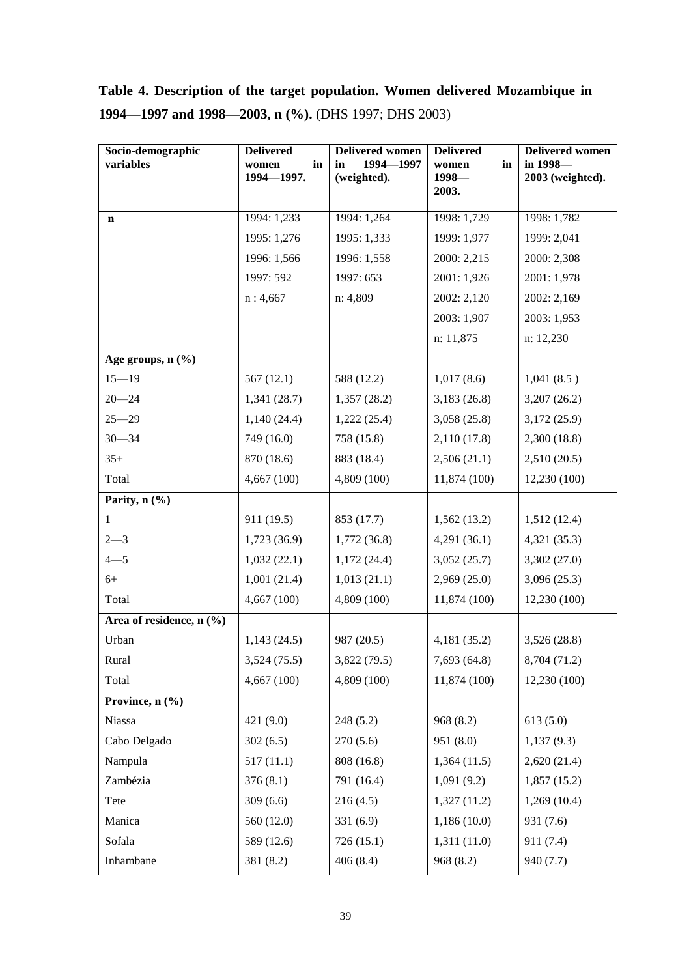# **Table 4. Description of the target population. Women delivered Mozambique in 1994—1997 and 1998—2003, n (%).** (DHS 1997; DHS 2003)

| Socio-demographic               | <b>Delivered</b>          | <b>Delivered women</b><br>1994-1997 | <b>Delivered</b>       | <b>Delivered women</b><br>in 1998- |
|---------------------------------|---------------------------|-------------------------------------|------------------------|------------------------------------|
| variables                       | in<br>women<br>1994-1997. | in<br>(weighted).                   | in<br>women<br>$1998-$ | 2003 (weighted).                   |
|                                 |                           |                                     | 2003.                  |                                    |
| $\mathbf n$                     | 1994: 1,233               | 1994: 1,264                         | 1998: 1,729            | 1998: 1,782                        |
|                                 | 1995: 1,276               | 1995: 1,333                         | 1999: 1,977            | 1999: 2,041                        |
|                                 | 1996: 1,566               | 1996: 1,558                         | 2000: 2,215            | 2000: 2,308                        |
|                                 | 1997: 592                 | 1997: 653                           | 2001: 1,926            | 2001: 1,978                        |
|                                 | n: 4,667                  | n: 4,809                            | 2002: 2,120            | 2002: 2,169                        |
|                                 |                           |                                     | 2003: 1,907            | 2003: 1,953                        |
|                                 |                           |                                     | n: 11,875              | n: 12,230                          |
| Age groups, $n$ $(\frac{9}{6})$ |                           |                                     |                        |                                    |
| $15 - 19$                       | 567(12.1)                 | 588 (12.2)                          | 1,017(8.6)             | 1,041(8.5)                         |
| $20 - 24$                       | 1,341 (28.7)              | 1,357(28.2)                         | 3,183(26.8)            | 3,207(26.2)                        |
| $25 - 29$                       | 1,140(24.4)               | 1,222(25.4)                         | 3,058(25.8)            | 3,172(25.9)                        |
| $30 - 34$                       | 749 (16.0)                | 758 (15.8)                          | 2,110 (17.8)           | 2,300 (18.8)                       |
| $35+$                           | 870 (18.6)                | 883 (18.4)                          | 2,506(21.1)            | 2,510(20.5)                        |
| Total                           | 4,667 (100)               | 4,809 (100)                         | 11,874 (100)           | 12,230 (100)                       |
| Parity, $n$ (%)                 |                           |                                     |                        |                                    |
| 1                               | 911 (19.5)                | 853 (17.7)                          | 1,562(13.2)            | 1,512(12.4)                        |
| $2 - 3$                         | 1,723(36.9)               | 1,772(36.8)                         | 4,291(36.1)            | 4,321(35.3)                        |
| $4 - 5$                         | 1,032(22.1)               | 1,172(24.4)                         | 3,052(25.7)            | 3,302(27.0)                        |
| $6+$                            | 1,001(21.4)               | 1,013(21.1)                         | 2,969 (25.0)           | 3,096(25.3)                        |
| Total                           | 4,667 (100)               | 4,809 (100)                         | 11,874 (100)           | 12,230 (100)                       |
| Area of residence, $n$ (%)      |                           |                                     |                        |                                    |
| Urban                           | 1,143(24.5)               | 987 (20.5)                          | 4,181 (35.2)           | 3,526(28.8)                        |
| Rural                           | 3,524(75.5)               | 3,822 (79.5)                        | 7,693 (64.8)           | 8,704 (71.2)                       |
| Total                           | 4,667(100)                | 4,809 (100)                         | 11,874 (100)           | 12,230(100)                        |
| Province, $n$ (%)               |                           |                                     |                        |                                    |
| Niassa                          | 421 (9.0)                 | 248(5.2)                            | 968 (8.2)              | 613(5.0)                           |
| Cabo Delgado                    | 302(6.5)                  | 270(5.6)                            | 951 (8.0)              | 1,137(9.3)                         |
| Nampula                         | 517(11.1)                 | 808 (16.8)                          | 1,364(11.5)            | 2,620(21.4)                        |
| Zambézia                        | 376(8.1)                  | 791 (16.4)                          | 1,091(9.2)             | 1,857(15.2)                        |
| Tete                            | 309(6.6)                  | 216(4.5)                            | 1,327(11.2)            | 1,269(10.4)                        |
| Manica                          | 560 (12.0)                | 331(6.9)                            | 1,186(10.0)            | 931 (7.6)                          |
| Sofala                          | 589 (12.6)                | 726 (15.1)                          | 1,311 (11.0)           | 911 (7.4)                          |
| Inhambane                       | 381 (8.2)                 | 406(8.4)                            | 968 (8.2)              | 940 (7.7)                          |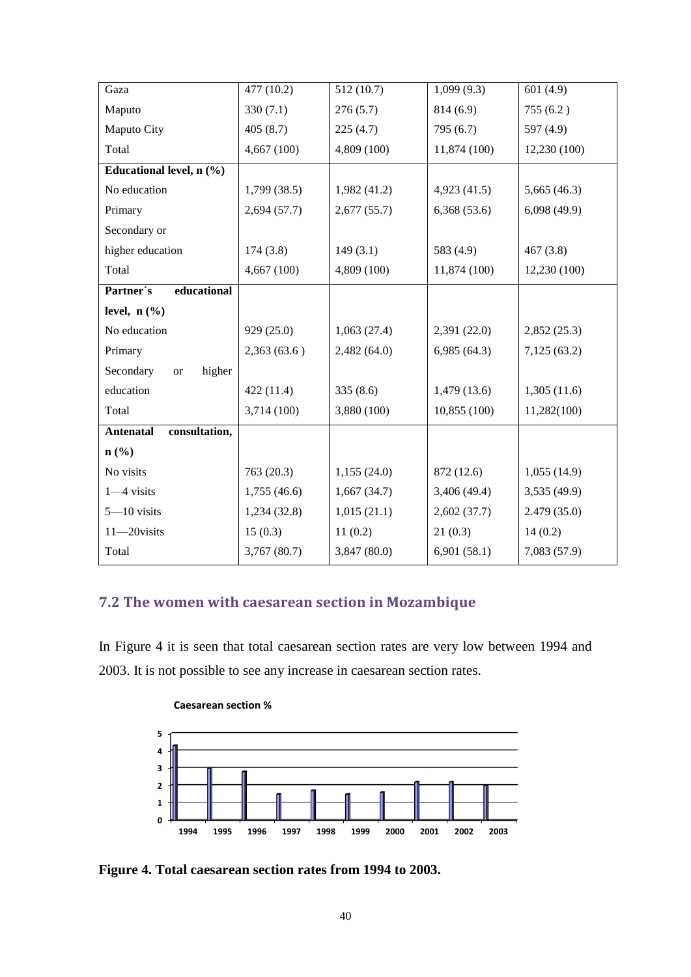| Gaza                                   | 477 (10.2)   | 512(10.7)    | 1,099(9.3)   | 601(4.9)     |
|----------------------------------------|--------------|--------------|--------------|--------------|
| Maputo                                 | 330(7.1)     | 276(5.7)     | 814 (6.9)    | 755(6.2)     |
| Maputo City                            | 405(8.7)     | 225(4.7)     | 795 (6.7)    | 597 (4.9)    |
| Total                                  | 4,667 (100)  | 4,809 (100)  | 11,874 (100) | 12,230 (100) |
| Educational level, $n$ $(\frac{6}{6})$ |              |              |              |              |
| No education                           | 1,799(38.5)  | 1,982(41.2)  | 4,923(41.5)  | 5,665(46.3)  |
| Primary                                | 2,694(57.7)  | 2,677(55.7)  | 6,368(53.6)  | 6,098(49.9)  |
| Secondary or                           |              |              |              |              |
| higher education                       | 174(3.8)     | 149(3.1)     | 583 (4.9)    | 467(3.8)     |
| Total                                  | 4,667(100)   | 4,809 (100)  | 11,874 (100) | 12,230 (100) |
| Partner's<br>educational               |              |              |              |              |
| level, $n$ $(\%$                       |              |              |              |              |
| No education                           | 929 (25.0)   | 1,063(27.4)  | 2,391(22.0)  | 2,852(25.3)  |
| Primary                                | 2,363(63.6)  | 2,482(64.0)  | 6,985(64.3)  | 7,125(63.2)  |
| Secondary<br>higher<br><b>or</b>       |              |              |              |              |
| education                              | 422 (11.4)   | 335(8.6)     | 1,479(13.6)  | 1,305(11.6)  |
| Total                                  | 3,714 (100)  | 3,880 (100)  | 10,855 (100) | 11,282(100)  |
| consultation,<br><b>Antenatal</b>      |              |              |              |              |
| $n$ (%)                                |              |              |              |              |
| No visits                              | 763 (20.3)   | 1,155(24.0)  | 872 (12.6)   | 1,055(14.9)  |
| $1 - 4$ visits                         | 1,755(46.6)  | 1,667(34.7)  | 3,406 (49.4) | 3,535(49.9)  |
| 5-10 visits                            | 1,234(32.8)  | 1,015(21.1)  | 2,602(37.7)  | 2.479(35.0)  |
| 11-20visits                            | 15(0.3)      | 11(0.2)      | 21(0.3)      | 14(0.2)      |
| Total                                  | 3,767 (80.7) | 3,847 (80.0) | 6,901(58.1)  | 7,083 (57.9) |

### <span id="page-35-0"></span>**7.2 The women with caesarean section in Mozambique**

In Figure 4 it is seen that total caesarean section rates are very low between 1994 and 2003. It is not possible to see any increase in caesarean section rates.



#### **Caesarean section %**

**Figure 4. Total caesarean section rates from 1994 to 2003.**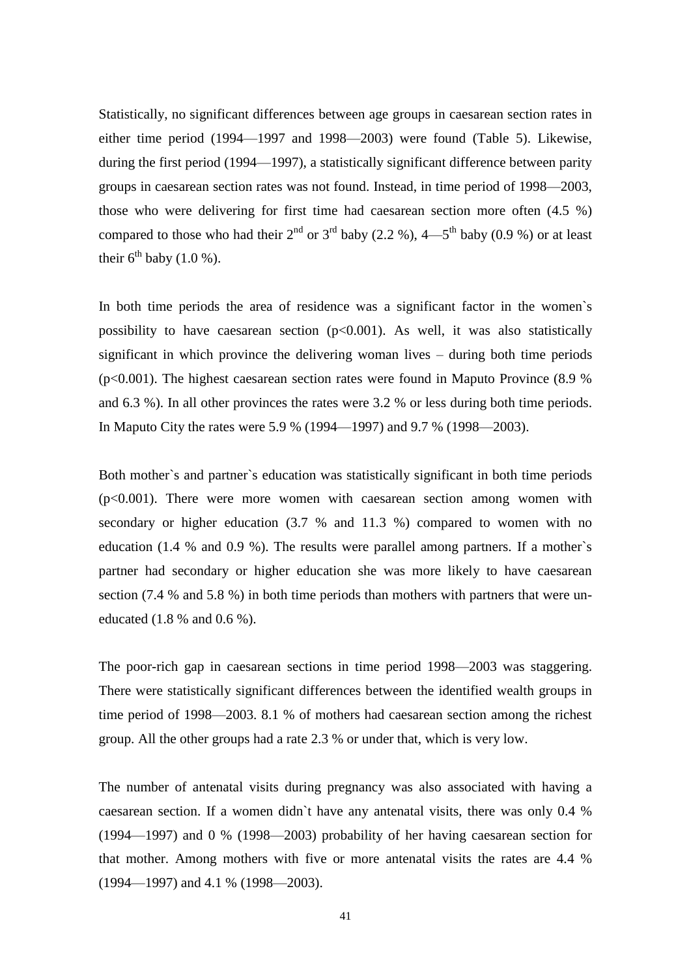Statistically, no significant differences between age groups in caesarean section rates in either time period (1994—1997 and 1998—2003) were found (Table 5). Likewise, during the first period (1994—1997), a statistically significant difference between parity groups in caesarean section rates was not found. Instead, in time period of 1998—2003, those who were delivering for first time had caesarean section more often (4.5 %) compared to those who had their  $2^{nd}$  or  $3^{rd}$  baby  $(2.2\%)$ ,  $4$ —5<sup>th</sup> baby  $(0.9\%)$  or at least their  $6^{th}$  baby (1.0 %).

In both time periods the area of residence was a significant factor in the women`s possibility to have caesarean section  $(p<0.001)$ . As well, it was also statistically significant in which province the delivering woman lives – during both time periods (p<0.001). The highest caesarean section rates were found in Maputo Province (8.9 % and 6.3 %). In all other provinces the rates were 3.2 % or less during both time periods. In Maputo City the rates were 5.9 % (1994—1997) and 9.7 % (1998—2003).

Both mother`s and partner`s education was statistically significant in both time periods  $(p<0.001)$ . There were more women with caesarean section among women with secondary or higher education  $(3.7 %$  and  $11.3 %$  compared to women with no education (1.4 % and 0.9 %). The results were parallel among partners. If a mother`s partner had secondary or higher education she was more likely to have caesarean section (7.4 % and 5.8 %) in both time periods than mothers with partners that were uneducated (1.8 % and 0.6 %).

The poor-rich gap in caesarean sections in time period 1998—2003 was staggering. There were statistically significant differences between the identified wealth groups in time period of 1998—2003. 8.1 % of mothers had caesarean section among the richest group. All the other groups had a rate 2.3 % or under that, which is very low.

The number of antenatal visits during pregnancy was also associated with having a caesarean section. If a women didn`t have any antenatal visits, there was only 0.4 % (1994—1997) and 0 % (1998—2003) probability of her having caesarean section for that mother. Among mothers with five or more antenatal visits the rates are 4.4 % (1994—1997) and 4.1 % (1998—2003).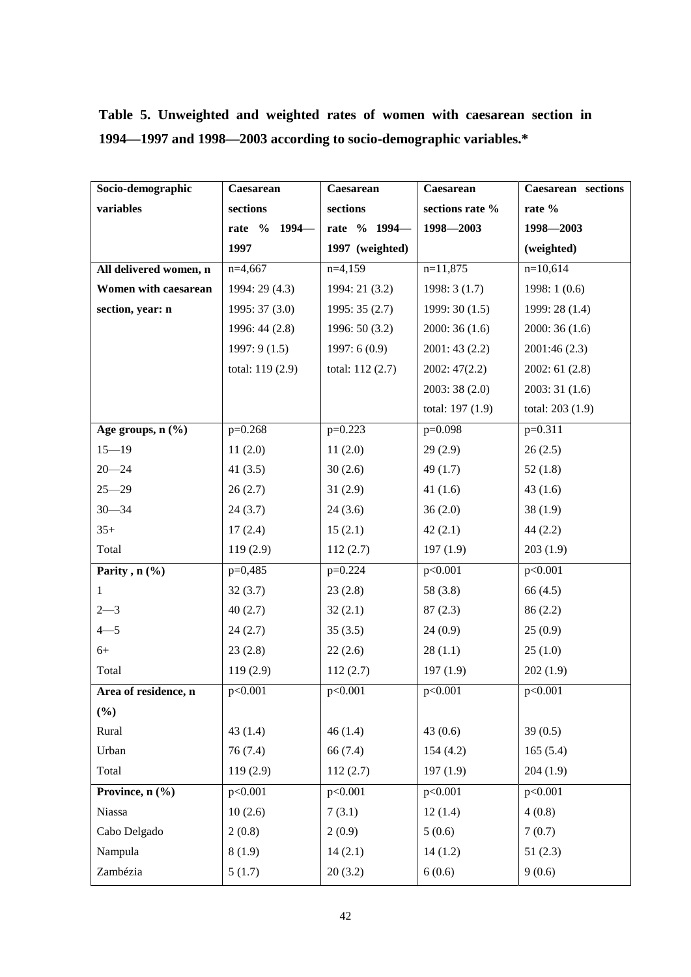| Socio-demographic               | Caesarean        | Caesarean        | Caesarean        | Caesarean sections |
|---------------------------------|------------------|------------------|------------------|--------------------|
| variables                       | sections         | sections         | sections rate %  | rate %             |
|                                 | rate % 1994-     | rate % 1994-     | 1998-2003        | 1998-2003          |
|                                 | 1997             | 1997 (weighted)  |                  | (weighted)         |
| All delivered women, n          | $n=4,667$        | $n=4,159$        | $n=11,875$       | $n=10,614$         |
| Women with caesarean            | 1994: 29 (4.3)   | 1994: 21 (3.2)   | 1998:3(1.7)      | 1998:1(0.6)        |
| section, year: n                | 1995: 37(3.0)    | 1995: 35(2.7)    | 1999:30(1.5)     | 1999: 28 (1.4)     |
|                                 | 1996: 44 (2.8)   | 1996: 50 (3.2)   | 2000:36(1.6)     | 2000:36(1.6)       |
|                                 | 1997:9(1.5)      | 1997:6(0.9)      | 2001:43(2.2)     | 2001:46(2.3)       |
|                                 | total: 119 (2.9) | total: 112 (2.7) | 2002:47(2.2)     | 2002: 61(2.8)      |
|                                 |                  |                  | 2003:38(2.0)     | 2003:31(1.6)       |
|                                 |                  |                  | total: 197 (1.9) | total: 203 (1.9)   |
| Age groups, $n$ $(\frac{9}{6})$ | $p=0.268$        | $p=0.223$        | $p=0.098$        | $p=0.311$          |
| $15 - 19$                       | 11(2.0)          | 11(2.0)          | 29(2.9)          | 26(2.5)            |
| $20 - 24$                       | 41 $(3.5)$       | 30(2.6)          | 49(1.7)          | 52(1.8)            |
| $25 - 29$                       | 26(2.7)          | 31(2.9)          | 41 $(1.6)$       | 43(1.6)            |
| $30 - 34$                       | 24(3.7)          | 24(3.6)          | 36(2.0)          | 38(1.9)            |
| $35+$                           | 17(2.4)          | 15(2.1)          | 42(2.1)          | 44(2.2)            |
| Total                           | 119(2.9)         | 112(2.7)         | 197(1.9)         | 203(1.9)           |
| Parity, $n$ (%)                 | $p=0,485$        | $p=0.224$        | p<0.001          | p<0.001            |
| 1                               | 32(3.7)          | 23(2.8)          | 58 (3.8)         | 66(4.5)            |
| $2 - 3$                         | 40(2.7)          | 32(2.1)          | 87(2.3)          | 86(2.2)            |
| $4 - 5$                         | 24(2.7)          | 35(3.5)          | 24(0.9)          | 25(0.9)            |
| $6+$                            | 23(2.8)          | 22(2.6)          | 28(1.1)          | 25(1.0)            |
| Total                           | 119(2.9)         | 112(2.7)         | 197(1.9)         | 202(1.9)           |
| Area of residence, n            | p<0.001          | p<0.001          | p<0.001          | p<0.001            |
| $(\%)$                          |                  |                  |                  |                    |
| Rural                           | 43(1.4)          | 46(1.4)          | 43(0.6)          | 39(0.5)            |
| Urban                           | 76(7.4)          | 66 (7.4)         | 154(4.2)         | 165(5.4)           |
| Total                           | 119(2.9)         | 112(2.7)         | 197(1.9)         | 204(1.9)           |
| Province, n (%)                 | p<0.001          | p<0.001          | p<0.001          | p<0.001            |
| Niassa                          | 10(2.6)          | 7(3.1)           | 12(1.4)          | 4(0.8)             |
| Cabo Delgado                    | 2(0.8)           | 2(0.9)           | 5(0.6)           | 7(0.7)             |
| Nampula                         | 8(1.9)           | 14(2.1)          | 14(1.2)          | 51(2.3)            |
| Zambézia                        | 5(1.7)           | 20(3.2)          | 6(0.6)           | 9(0.6)             |

# **Table 5. Unweighted and weighted rates of women with caesarean section in 1994—1997 and 1998—2003 according to socio-demographic variables.\***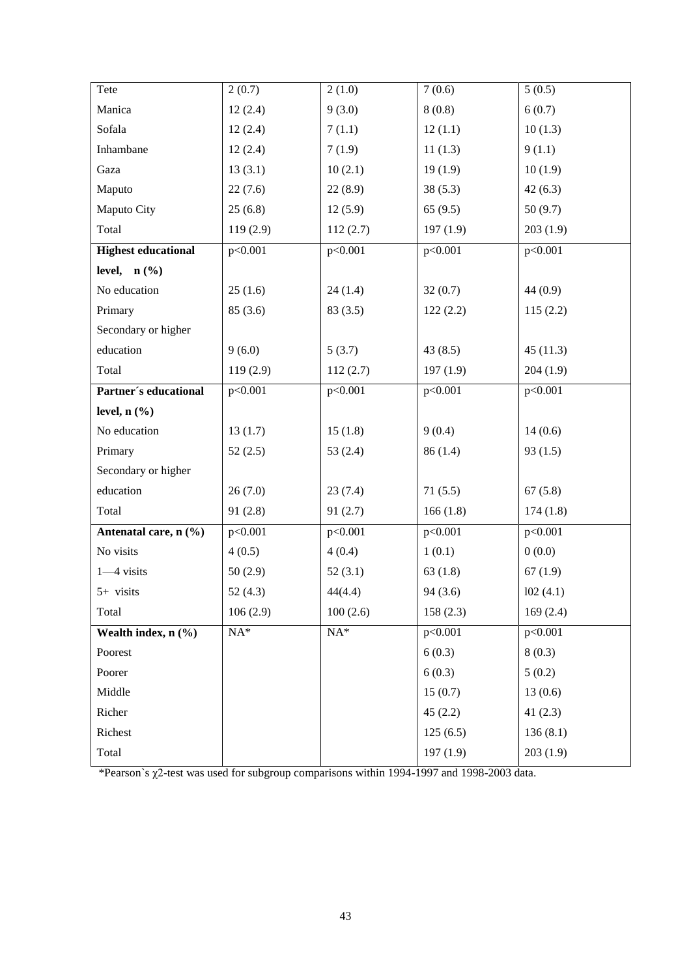| Tete                       | 2(0.7)     | 2(1.0)               | 7(0.6)   | 5(0.5)   |
|----------------------------|------------|----------------------|----------|----------|
| Manica                     | 12(2.4)    | 9(3.0)               | 8(0.8)   | 6(0.7)   |
| Sofala                     | 12(2.4)    | 7(1.1)               | 12(1.1)  | 10(1.3)  |
| Inhambane                  | 12(2.4)    | 7(1.9)               | 11(1.3)  | 9(1.1)   |
| Gaza                       | 13(3.1)    | 10(2.1)              | 19(1.9)  | 10(1.9)  |
| Maputo                     | 22(7.6)    | 22(8.9)              | 38(5.3)  | 42(6.3)  |
| Maputo City                | 25(6.8)    | 12(5.9)              | 65(9.5)  | 50(9.7)  |
| Total                      | 119(2.9)   | 112(2.7)             | 197(1.9) | 203(1.9) |
| <b>Highest educational</b> | p<0.001    | p<0.001              | p<0.001  | p<0.001  |
| level, $n$ (%)             |            |                      |          |          |
| No education               | 25(1.6)    | 24(1.4)              | 32(0.7)  | 44(0.9)  |
| Primary                    | 85(3.6)    | 83(3.5)              | 122(2.2) | 115(2.2) |
| Secondary or higher        |            |                      |          |          |
| education                  | 9(6.0)     | 5(3.7)               | 43(8.5)  | 45(11.3) |
| Total                      | 119(2.9)   | 112(2.7)             | 197(1.9) | 204(1.9) |
| Partner's educational      | p<0.001    | p<0.001              | p<0.001  | p<0.001  |
| level, $n$ $(\frac{9}{6})$ |            |                      |          |          |
| No education               | 13(1.7)    | 15(1.8)              | 9(0.4)   | 14(0.6)  |
| Primary                    | 52(2.5)    | 53 $(2.4)$           | 86(1.4)  | 93(1.5)  |
| Secondary or higher        |            |                      |          |          |
| education                  | 26(7.0)    | 23(7.4)              | 71(5.5)  | 67(5.8)  |
| Total                      | 91(2.8)    | 91(2.7)              | 166(1.8) | 174(1.8) |
| Antenatal care, n (%)      | p<0.001    | p<0.001              | p<0.001  | p<0.001  |
| No visits                  | 4(0.5)     | 4(0.4)               | 1(0.1)   | 0(0.0)   |
| $1 - 4$ visits             | 50(2.9)    | 52(3.1)              | 63(1.8)  | 67(1.9)  |
| 5+ visits                  | 52 $(4.3)$ | 44(4.4)              | 94(3.6)  | 102(4.1) |
| Total                      | 106(2.9)   | 100(2.6)             | 158(2.3) | 169(2.4) |
| Wealth index, $n$ (%)      | $NA^*$     | $\mathrm{NA}^{\ast}$ | p<0.001  | p<0.001  |
| Poorest                    |            |                      | 6(0.3)   | 8(0.3)   |
| Poorer                     |            |                      | 6(0.3)   | 5(0.2)   |
| Middle                     |            |                      | 15(0.7)  | 13(0.6)  |
| Richer                     |            |                      | 45(2.2)  | 41(2.3)  |
| Richest                    |            |                      | 125(6.5) | 136(8.1) |
| Total                      |            |                      | 197(1.9) | 203(1.9) |

\*Pearson`s χ2-test was used for subgroup comparisons within 1994-1997 and 1998-2003 data.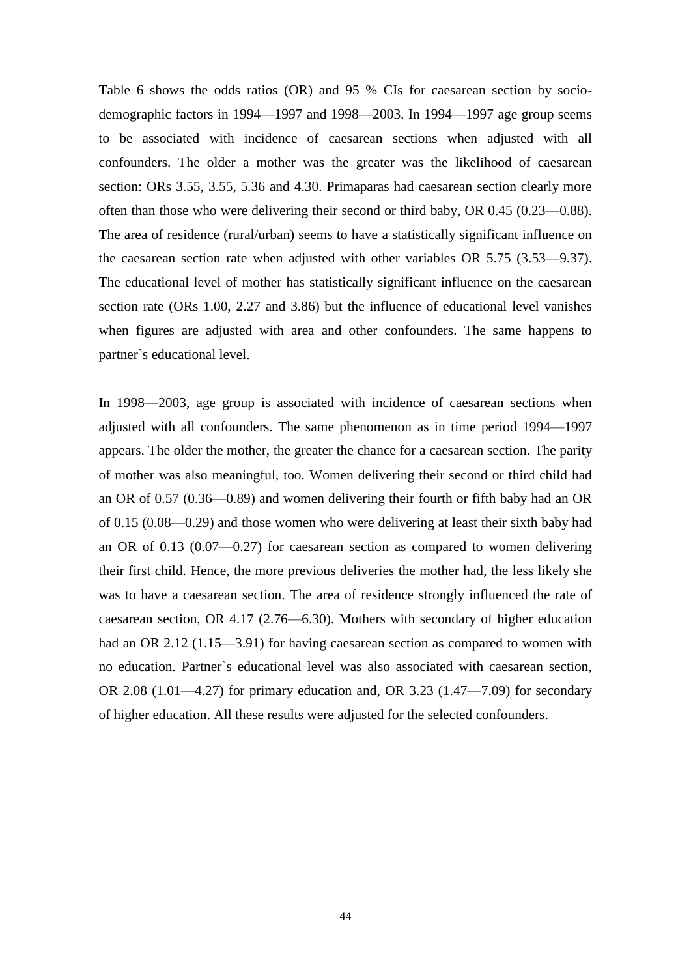Table 6 shows the odds ratios (OR) and 95 % CIs for caesarean section by sociodemographic factors in 1994—1997 and 1998—2003. In 1994—1997 age group seems to be associated with incidence of caesarean sections when adjusted with all confounders. The older a mother was the greater was the likelihood of caesarean section: ORs 3.55, 3.55, 5.36 and 4.30. Primaparas had caesarean section clearly more often than those who were delivering their second or third baby, OR 0.45 (0.23—0.88). The area of residence (rural/urban) seems to have a statistically significant influence on the caesarean section rate when adjusted with other variables OR 5.75 (3.53—9.37). The educational level of mother has statistically significant influence on the caesarean section rate (ORs 1.00, 2.27 and 3.86) but the influence of educational level vanishes when figures are adjusted with area and other confounders. The same happens to partner`s educational level.

In 1998—2003, age group is associated with incidence of caesarean sections when adjusted with all confounders. The same phenomenon as in time period 1994—1997 appears. The older the mother, the greater the chance for a caesarean section. The parity of mother was also meaningful, too. Women delivering their second or third child had an OR of 0.57 (0.36—0.89) and women delivering their fourth or fifth baby had an OR of 0.15 (0.08—0.29) and those women who were delivering at least their sixth baby had an OR of 0.13 (0.07—0.27) for caesarean section as compared to women delivering their first child. Hence, the more previous deliveries the mother had, the less likely she was to have a caesarean section. The area of residence strongly influenced the rate of caesarean section, OR 4.17 (2.76—6.30). Mothers with secondary of higher education had an OR 2.12 (1.15—3.91) for having caesarean section as compared to women with no education. Partner`s educational level was also associated with caesarean section, OR 2.08 (1.01—4.27) for primary education and, OR 3.23 (1.47—7.09) for secondary of higher education. All these results were adjusted for the selected confounders.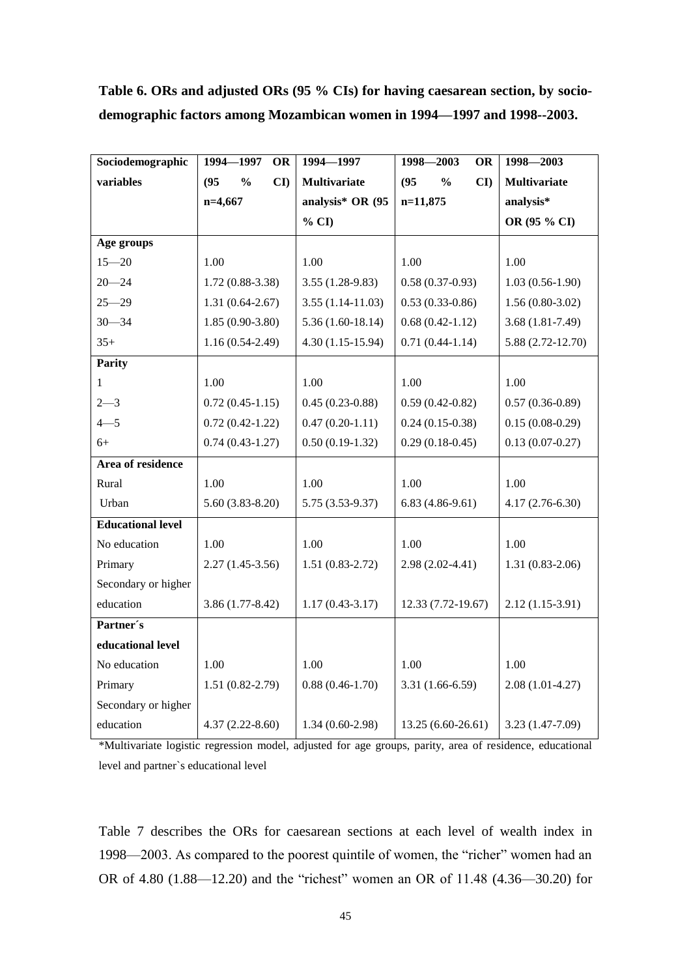| Sociodemographic         | 1994-1997<br><b>OR</b>      | 1994-1997           | 1998-2003<br>OR             | 1998-2003           |
|--------------------------|-----------------------------|---------------------|-----------------------------|---------------------|
| variables                | CI<br>(95)<br>$\frac{6}{9}$ | <b>Multivariate</b> | $\frac{0}{0}$<br>CI<br>(95) | <b>Multivariate</b> |
|                          | $n=4,667$                   | analysis* OR (95    | n=11,875                    | analysis*           |
|                          |                             | % CI                |                             | OR (95 % CI)        |
| Age groups               |                             |                     |                             |                     |
| $15 - 20$                | 1.00                        | 1.00                | 1.00                        | 1.00                |
| $20 - 24$                | $1.72(0.88-3.38)$           | $3.55(1.28-9.83)$   | $0.58(0.37-0.93)$           | $1.03(0.56-1.90)$   |
| $25 - 29$                | $1.31(0.64 - 2.67)$         | $3.55(1.14-11.03)$  | $0.53(0.33-0.86)$           | $1.56(0.80-3.02)$   |
| $30 - 34$                | $1.85(0.90-3.80)$           | $5.36(1.60-18.14)$  | $0.68(0.42-1.12)$           | $3.68(1.81 - 7.49)$ |
| $35+$                    | $1.16(0.54-2.49)$           | $4.30(1.15-15.94)$  | $0.71(0.44-1.14)$           | 5.88 (2.72-12.70)   |
| <b>Parity</b>            |                             |                     |                             |                     |
| 1                        | 1.00                        | 1.00                | 1.00                        | 1.00                |
| $2 - 3$                  | $0.72(0.45-1.15)$           | $0.45(0.23-0.88)$   | $0.59(0.42 - 0.82)$         | $0.57(0.36-0.89)$   |
| $4 - 5$                  | $0.72(0.42 - 1.22)$         | $0.47(0.20-1.11)$   | $0.24(0.15-0.38)$           | $0.15(0.08-0.29)$   |
| $6+$                     | $0.74(0.43-1.27)$           | $0.50(0.19-1.32)$   | $0.29(0.18-0.45)$           | $0.13(0.07 - 0.27)$ |
| <b>Area of residence</b> |                             |                     |                             |                     |
| Rural                    | 1.00                        | 1.00                | 1.00                        | 1.00                |
| Urban                    | $5.60(3.83-8.20)$           | 5.75 (3.53-9.37)    | $6.83(4.86-9.61)$           | $4.17(2.76-6.30)$   |
| <b>Educational level</b> |                             |                     |                             |                     |
| No education             | 1.00                        | 1.00                | 1.00                        | 1.00                |
| Primary                  | $2.27(1.45-3.56)$           | $1.51(0.83-2.72)$   | $2.98(2.02 - 4.41)$         | $1.31(0.83-2.06)$   |
| Secondary or higher      |                             |                     |                             |                     |
| education                | $3.86(1.77-8.42)$           | $1.17(0.43 - 3.17)$ | 12.33 (7.72-19.67)          | $2.12(1.15-3.91)$   |
| Partner's                |                             |                     |                             |                     |
| educational level        |                             |                     |                             |                     |
| No education             | 1.00                        | 1.00                | 1.00                        | 1.00                |
| Primary                  | $1.51(0.82 - 2.79)$         | $0.88(0.46-1.70)$   | 3.31 (1.66-6.59)            | $2.08(1.01-4.27)$   |
| Secondary or higher      |                             |                     |                             |                     |
| education                | $4.37(2.22 - 8.60)$         | $1.34(0.60-2.98)$   | 13.25 (6.60-26.61)          | 3.23 (1.47-7.09)    |

# **Table 6. ORs and adjusted ORs (95 % CIs) for having caesarean section, by sociodemographic factors among Mozambican women in 1994—1997 and 1998--2003.**

\*Multivariate logistic regression model, adjusted for age groups, parity, area of residence, educational level and partner`s educational level

Table 7 describes the ORs for caesarean sections at each level of wealth index in 1998—2003. As compared to the poorest quintile of women, the "richer" women had an OR of 4.80 (1.88—12.20) and the "richest" women an OR of 11.48 (4.36—30.20) for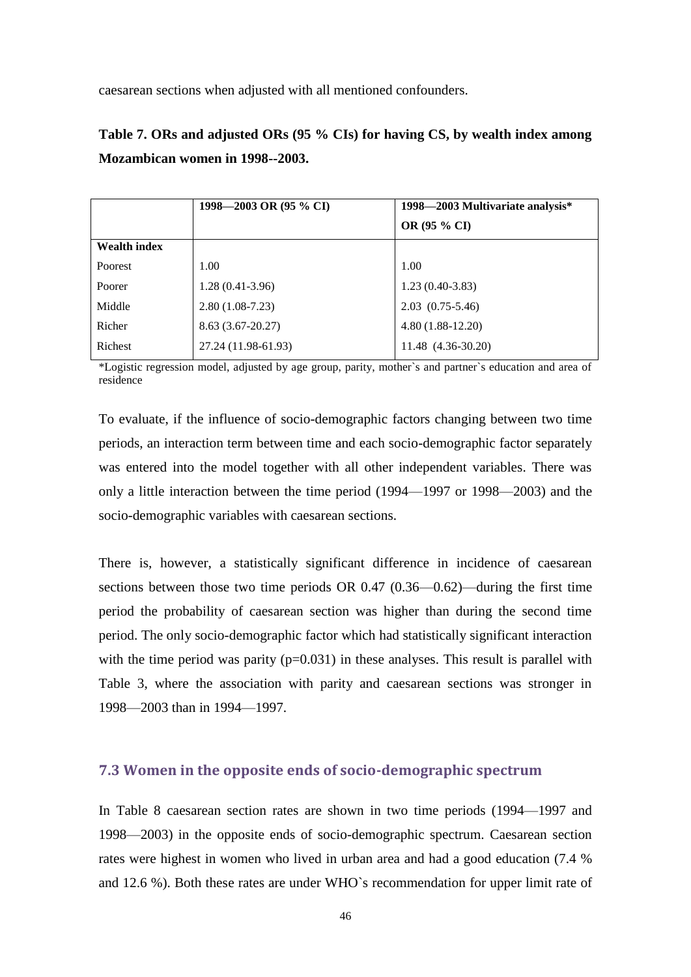caesarean sections when adjusted with all mentioned confounders.

**Table 7. ORs and adjusted ORs (95 % CIs) for having CS, by wealth index among Mozambican women in 1998--2003.**

|                     | 1998–2003 OR (95 % CI) | 1998-2003 Multivariate analysis* |
|---------------------|------------------------|----------------------------------|
|                     |                        | OR (95 % CI)                     |
| <b>Wealth index</b> |                        |                                  |
| Poorest             | 1.00                   | 1.00                             |
| Poorer              | $1.28(0.41-3.96)$      | $1.23(0.40-3.83)$                |
| Middle              | $2.80(1.08-7.23)$      | $2.03$ $(0.75-5.46)$             |
| Richer              | $8.63(3.67-20.27)$     | $4.80(1.88-12.20)$               |
| Richest             | 27.24 (11.98-61.93)    | 11.48 (4.36-30.20)               |

\*Logistic regression model, adjusted by age group, parity, mother`s and partner`s education and area of residence

To evaluate, if the influence of socio-demographic factors changing between two time periods, an interaction term between time and each socio-demographic factor separately was entered into the model together with all other independent variables. There was only a little interaction between the time period (1994—1997 or 1998—2003) and the socio-demographic variables with caesarean sections.

There is, however, a statistically significant difference in incidence of caesarean sections between those two time periods OR 0.47 (0.36—0.62)—during the first time period the probability of caesarean section was higher than during the second time period. The only socio-demographic factor which had statistically significant interaction with the time period was parity  $(p=0.031)$  in these analyses. This result is parallel with Table 3, where the association with parity and caesarean sections was stronger in 1998—2003 than in 1994—1997.

#### <span id="page-41-0"></span>**7.3 Women in the opposite ends of socio-demographic spectrum**

In Table 8 caesarean section rates are shown in two time periods (1994—1997 and 1998—2003) in the opposite ends of socio-demographic spectrum. Caesarean section rates were highest in women who lived in urban area and had a good education (7.4 % and 12.6 %). Both these rates are under WHO`s recommendation for upper limit rate of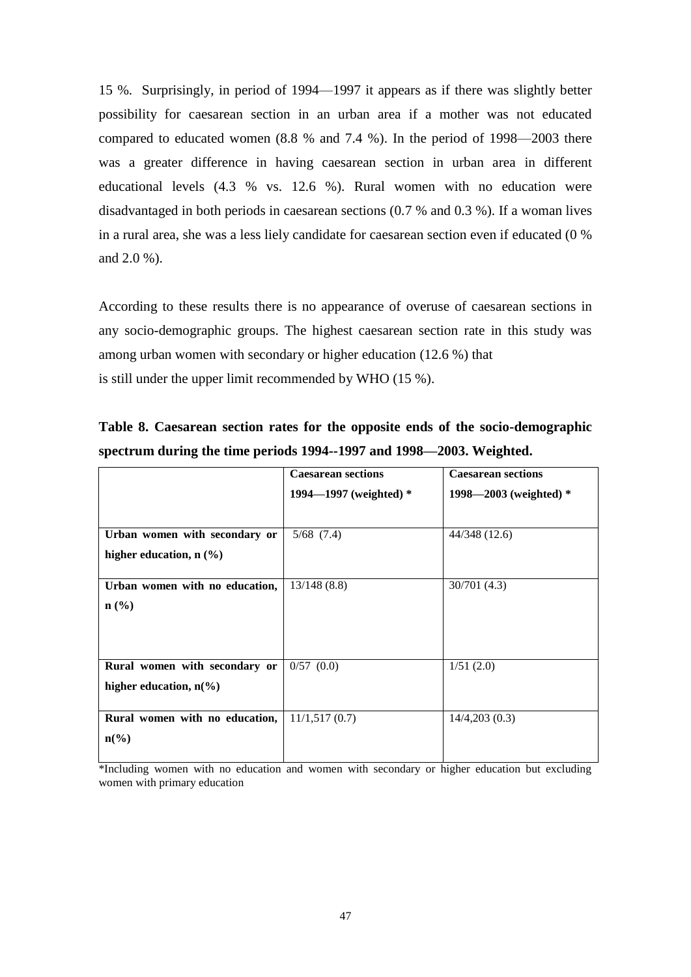15 %. Surprisingly, in period of 1994—1997 it appears as if there was slightly better possibility for caesarean section in an urban area if a mother was not educated compared to educated women (8.8 % and 7.4 %). In the period of 1998—2003 there was a greater difference in having caesarean section in urban area in different educational levels (4.3 % vs. 12.6 %). Rural women with no education were disadvantaged in both periods in caesarean sections (0.7 % and 0.3 %). If a woman lives in a rural area, she was a less liely candidate for caesarean section even if educated (0 % and 2.0 %).

According to these results there is no appearance of overuse of caesarean sections in any socio-demographic groups. The highest caesarean section rate in this study was among urban women with secondary or higher education (12.6 %) that is still under the upper limit recommended by WHO (15 %).

|                                            | <b>Caesarean sections</b> | <b>Caesarean sections</b> |
|--------------------------------------------|---------------------------|---------------------------|
|                                            | 1994—1997 (weighted) $*$  | 1998—2003 (weighted) $*$  |
|                                            |                           |                           |
| Urban women with secondary or              | $5/68$ $(7.4)$            | 44/348 (12.6)             |
| higher education, $n$ $(\%)$               |                           |                           |
| Urban women with no education,             | 13/148(8.8)               | 30/701 (4.3)              |
| $n\left(\frac{0}{0}\right)$                |                           |                           |
|                                            |                           |                           |
|                                            |                           |                           |
| Rural women with secondary or              | $0/57$ $(0.0)$            | 1/51(2.0)                 |
| higher education, $n\llap/$ <sub>0</sub> ) |                           |                           |
| Rural women with no education,             | 11/1,517(0.7)             | 14/4,203(0.3)             |
| $n\left(\frac{0}{0}\right)$                |                           |                           |
|                                            |                           |                           |

| Table 8. Caesarean section rates for the opposite ends of the socio-demographic |  |  |  |  |
|---------------------------------------------------------------------------------|--|--|--|--|
| spectrum during the time periods 1994--1997 and 1998—2003. Weighted.            |  |  |  |  |

\*Including women with no education and women with secondary or higher education but excluding women with primary education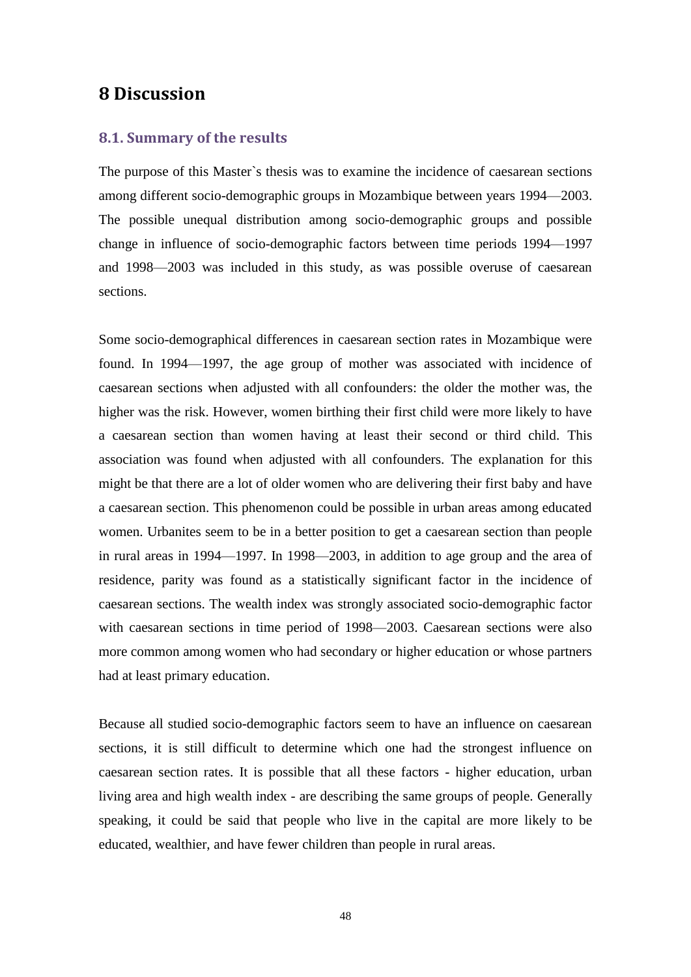### <span id="page-43-0"></span>**8 Discussion**

#### <span id="page-43-1"></span>**8.1. Summary of the results**

The purpose of this Master`s thesis was to examine the incidence of caesarean sections among different socio-demographic groups in Mozambique between years 1994—2003. The possible unequal distribution among socio-demographic groups and possible change in influence of socio-demographic factors between time periods 1994—1997 and 1998—2003 was included in this study, as was possible overuse of caesarean sections.

Some socio-demographical differences in caesarean section rates in Mozambique were found. In 1994—1997, the age group of mother was associated with incidence of caesarean sections when adjusted with all confounders: the older the mother was, the higher was the risk. However, women birthing their first child were more likely to have a caesarean section than women having at least their second or third child. This association was found when adjusted with all confounders. The explanation for this might be that there are a lot of older women who are delivering their first baby and have a caesarean section. This phenomenon could be possible in urban areas among educated women. Urbanites seem to be in a better position to get a caesarean section than people in rural areas in 1994—1997. In 1998—2003, in addition to age group and the area of residence, parity was found as a statistically significant factor in the incidence of caesarean sections. The wealth index was strongly associated socio-demographic factor with caesarean sections in time period of 1998—2003. Caesarean sections were also more common among women who had secondary or higher education or whose partners had at least primary education.

Because all studied socio-demographic factors seem to have an influence on caesarean sections, it is still difficult to determine which one had the strongest influence on caesarean section rates. It is possible that all these factors - higher education, urban living area and high wealth index - are describing the same groups of people. Generally speaking, it could be said that people who live in the capital are more likely to be educated, wealthier, and have fewer children than people in rural areas.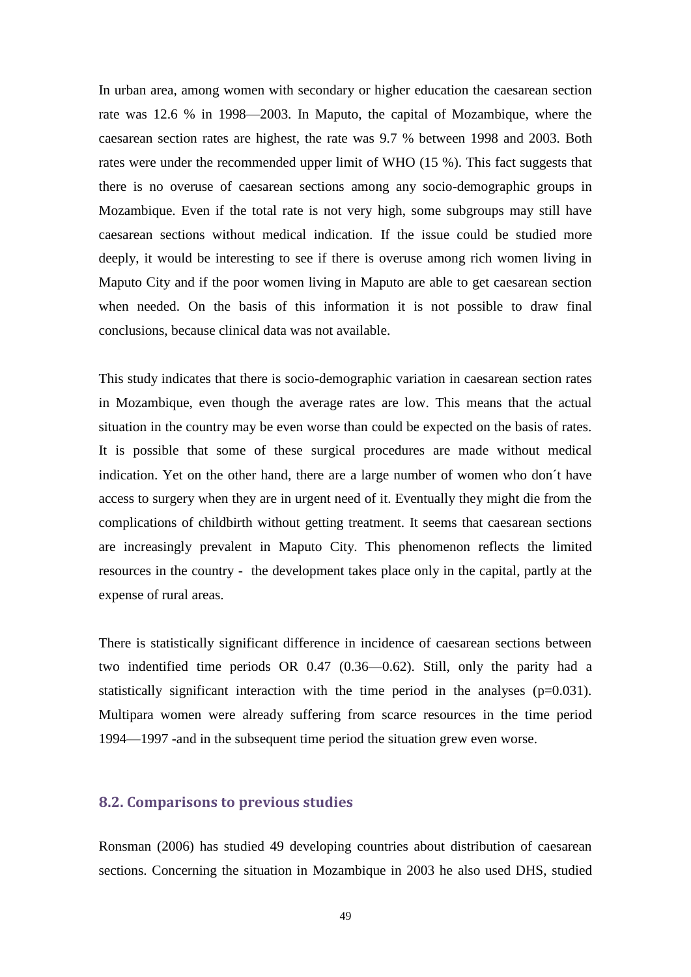In urban area, among women with secondary or higher education the caesarean section rate was 12.6 % in 1998—2003. In Maputo, the capital of Mozambique, where the caesarean section rates are highest, the rate was 9.7 % between 1998 and 2003. Both rates were under the recommended upper limit of WHO (15 %). This fact suggests that there is no overuse of caesarean sections among any socio-demographic groups in Mozambique. Even if the total rate is not very high, some subgroups may still have caesarean sections without medical indication. If the issue could be studied more deeply, it would be interesting to see if there is overuse among rich women living in Maputo City and if the poor women living in Maputo are able to get caesarean section when needed. On the basis of this information it is not possible to draw final conclusions, because clinical data was not available.

This study indicates that there is socio-demographic variation in caesarean section rates in Mozambique, even though the average rates are low. This means that the actual situation in the country may be even worse than could be expected on the basis of rates. It is possible that some of these surgical procedures are made without medical indication. Yet on the other hand, there are a large number of women who don´t have access to surgery when they are in urgent need of it. Eventually they might die from the complications of childbirth without getting treatment. It seems that caesarean sections are increasingly prevalent in Maputo City. This phenomenon reflects the limited resources in the country - the development takes place only in the capital, partly at the expense of rural areas.

There is statistically significant difference in incidence of caesarean sections between two indentified time periods OR 0.47 (0.36—0.62). Still, only the parity had a statistically significant interaction with the time period in the analyses (p=0.031). Multipara women were already suffering from scarce resources in the time period 1994—1997 -and in the subsequent time period the situation grew even worse.

### <span id="page-44-0"></span>**8.2. Comparisons to previous studies**

Ronsman (2006) has studied 49 developing countries about distribution of caesarean sections. Concerning the situation in Mozambique in 2003 he also used DHS, studied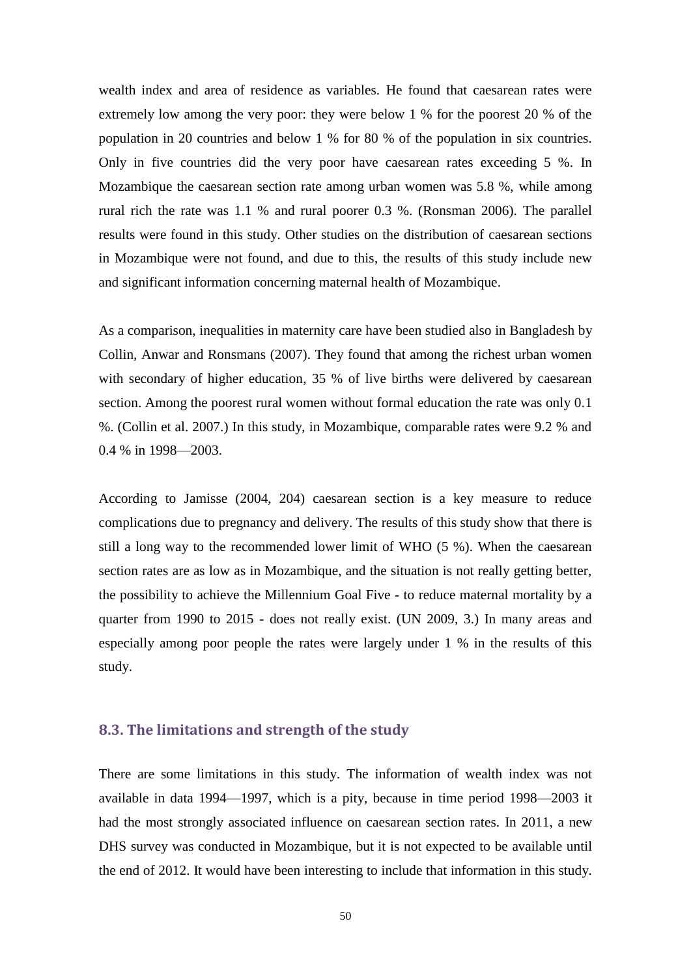wealth index and area of residence as variables. He found that caesarean rates were extremely low among the very poor: they were below 1 % for the poorest 20 % of the population in 20 countries and below 1 % for 80 % of the population in six countries. Only in five countries did the very poor have caesarean rates exceeding 5 %. In Mozambique the caesarean section rate among urban women was 5.8 %, while among rural rich the rate was 1.1 % and rural poorer 0.3 %. (Ronsman 2006). The parallel results were found in this study. Other studies on the distribution of caesarean sections in Mozambique were not found, and due to this, the results of this study include new and significant information concerning maternal health of Mozambique.

As a comparison, inequalities in maternity care have been studied also in Bangladesh by Collin, Anwar and Ronsmans (2007). They found that among the richest urban women with secondary of higher education, 35 % of live births were delivered by caesarean section. Among the poorest rural women without formal education the rate was only 0.1 %. (Collin et al. 2007.) In this study, in Mozambique, comparable rates were 9.2 % and 0.4 % in 1998—2003.

According to Jamisse (2004, 204) caesarean section is a key measure to reduce complications due to pregnancy and delivery. The results of this study show that there is still a long way to the recommended lower limit of WHO (5 %). When the caesarean section rates are as low as in Mozambique, and the situation is not really getting better, the possibility to achieve the Millennium Goal Five - to reduce maternal mortality by a quarter from 1990 to 2015 - does not really exist. (UN 2009, 3.) In many areas and especially among poor people the rates were largely under 1 % in the results of this study.

### <span id="page-45-0"></span>**8.3. The limitations and strength of the study**

There are some limitations in this study. The information of wealth index was not available in data 1994—1997, which is a pity, because in time period 1998—2003 it had the most strongly associated influence on caesarean section rates. In 2011, a new DHS survey was conducted in Mozambique, but it is not expected to be available until the end of 2012. It would have been interesting to include that information in this study.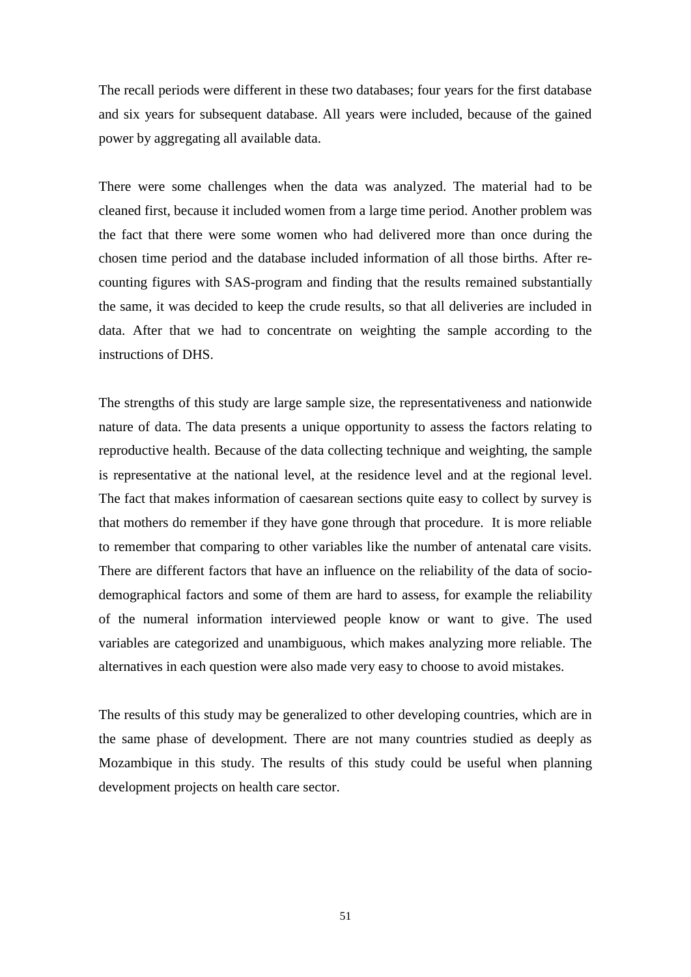The recall periods were different in these two databases; four years for the first database and six years for subsequent database. All years were included, because of the gained power by aggregating all available data.

There were some challenges when the data was analyzed. The material had to be cleaned first, because it included women from a large time period. Another problem was the fact that there were some women who had delivered more than once during the chosen time period and the database included information of all those births. After recounting figures with SAS-program and finding that the results remained substantially the same, it was decided to keep the crude results, so that all deliveries are included in data. After that we had to concentrate on weighting the sample according to the instructions of DHS.

The strengths of this study are large sample size, the representativeness and nationwide nature of data. The data presents a unique opportunity to assess the factors relating to reproductive health. Because of the data collecting technique and weighting, the sample is representative at the national level, at the residence level and at the regional level. The fact that makes information of caesarean sections quite easy to collect by survey is that mothers do remember if they have gone through that procedure. It is more reliable to remember that comparing to other variables like the number of antenatal care visits. There are different factors that have an influence on the reliability of the data of sociodemographical factors and some of them are hard to assess, for example the reliability of the numeral information interviewed people know or want to give. The used variables are categorized and unambiguous, which makes analyzing more reliable. The alternatives in each question were also made very easy to choose to avoid mistakes.

The results of this study may be generalized to other developing countries, which are in the same phase of development. There are not many countries studied as deeply as Mozambique in this study. The results of this study could be useful when planning development projects on health care sector.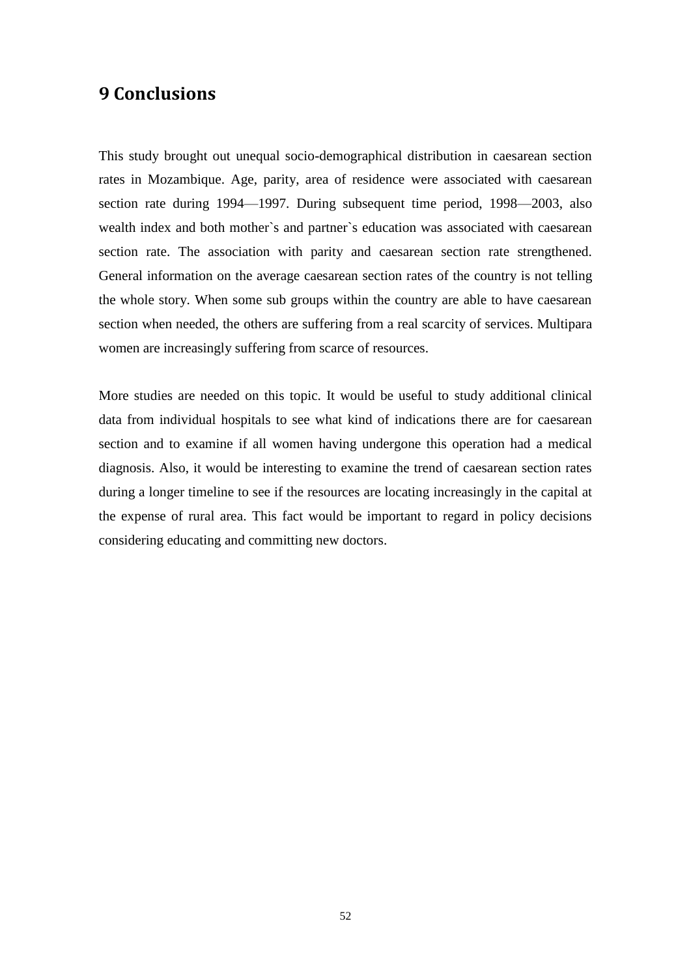# <span id="page-47-0"></span>**9 Conclusions**

This study brought out unequal socio-demographical distribution in caesarean section rates in Mozambique. Age, parity, area of residence were associated with caesarean section rate during 1994—1997. During subsequent time period, 1998—2003, also wealth index and both mother`s and partner`s education was associated with caesarean section rate. The association with parity and caesarean section rate strengthened. General information on the average caesarean section rates of the country is not telling the whole story. When some sub groups within the country are able to have caesarean section when needed, the others are suffering from a real scarcity of services. Multipara women are increasingly suffering from scarce of resources.

More studies are needed on this topic. It would be useful to study additional clinical data from individual hospitals to see what kind of indications there are for caesarean section and to examine if all women having undergone this operation had a medical diagnosis. Also, it would be interesting to examine the trend of caesarean section rates during a longer timeline to see if the resources are locating increasingly in the capital at the expense of rural area. This fact would be important to regard in policy decisions considering educating and committing new doctors.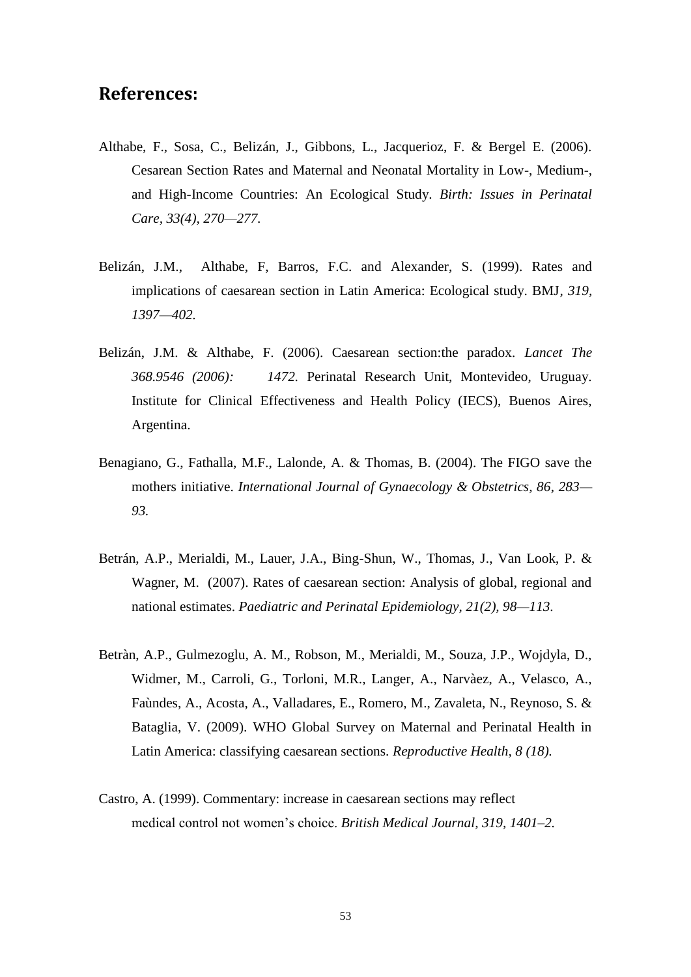### <span id="page-48-0"></span>**References:**

- Althabe, F., Sosa, C., Belizán, J., Gibbons, L., Jacquerioz, F. & Bergel E. (2006). Cesarean Section Rates and Maternal and Neonatal Mortality in Low-, Medium-, and High-Income Countries: An Ecological Study. *Birth: Issues in Perinatal Care, 33(4), 270—277.*
- Belizán, J.M., Althabe, F, Barros, F.C. and Alexander, S. (1999). Rates and implications of caesarean section in Latin America: Ecological study. BMJ*, 319, 1397—402.*
- Belizán, J.M. & Althabe, F. (2006). Caesarean section:the paradox*. Lancet The 368.9546 (2006): 1472.* Perinatal Research Unit, Montevideo, Uruguay. Institute for Clinical Effectiveness and Health Policy (IECS), Buenos Aires, Argentina.
- Benagiano, G., Fathalla, M.F., Lalonde, A. & Thomas, B. (2004). The FIGO save the mothers initiative. *International Journal of Gynaecology & Obstetrics, 86, 283— 93.*
- Betrán, A.P., Merialdi, M., Lauer, J.A., Bing-Shun, W., Thomas, J., Van Look, P. & Wagner, M. (2007). Rates of caesarean section: Analysis of global, regional and national estimates. *Paediatric and Perinatal Epidemiology, 21(2), 98—113.*
- Betràn, A.P., Gulmezoglu, A. M., Robson, M., Merialdi, M., Souza, J.P., Wojdyla, D., Widmer, M., Carroli, G., Torloni, M.R., Langer, A., Narvàez, A., Velasco, A., Faùndes, A., Acosta, A., Valladares, E., Romero, M., Zavaleta, N., Reynoso, S. & Bataglia, V. (2009). WHO Global Survey on Maternal and Perinatal Health in Latin America: classifying caesarean sections. *Reproductive Health, 8 (18).*
- Castro, A. (1999). Commentary: increase in caesarean sections may reflect medical control not women's choice. *British Medical Journal, 319, 1401–2.*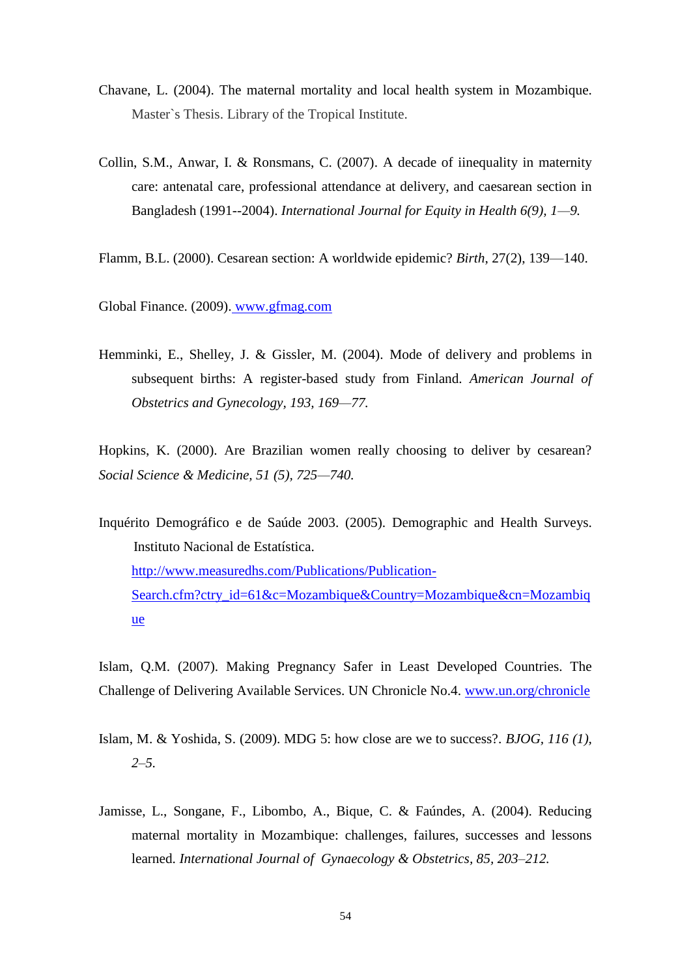- Chavane, L. (2004). The maternal mortality and local health system in Mozambique. Master`s Thesis. Library of the Tropical Institute.
- Collin, S.M., Anwar, I. & Ronsmans, C. (2007). A decade of iinequality in maternity care: antenatal care, professional attendance at delivery, and caesarean section in Bangladesh (1991--2004). *International Journal for Equity in Health 6(9), 1—9.*
- Flamm, B.L. (2000). Cesarean section: A worldwide epidemic? *Birth*, 27(2), 139—140.
- Global Finance. (2009). [www.gfmag.com](http://www.gfmag.com/)
- Hemminki, E., Shelley, J. & Gissler, M. (2004). Mode of delivery and problems in subsequent births: A register-based study from Finland*. American Journal of Obstetrics and Gynecology, 193, 169—77.*

Hopkins, K. (2000). Are Brazilian women really choosing to deliver by cesarean? *Social Science & Medicine, 51 (5), 725—740.*

Inquérito Demográfico e de Saúde 2003. (2005). Demographic and Health Surveys. Instituto Nacional de Estatística. [http://www.measuredhs.com/Publications/Publication-](http://www.measuredhs.com/Publications/Publication-Search.cfm?ctry_id=61&c=Mozambique&Country=Mozambique&cn=Mozambique)[Search.cfm?ctry\\_id=61&c=Mozambique&Country=Mozambique&cn=Mozambiq](http://www.measuredhs.com/Publications/Publication-Search.cfm?ctry_id=61&c=Mozambique&Country=Mozambique&cn=Mozambique) [ue](http://www.measuredhs.com/Publications/Publication-Search.cfm?ctry_id=61&c=Mozambique&Country=Mozambique&cn=Mozambique)

Islam, Q.M. (2007). Making Pregnancy Safer in Least Developed Countries. The Challenge of Delivering Available Services. UN Chronicle No.4. [www.un.org/chronicle](http://www.un.org/chronicle)

- Islam, M. & Yoshida, S. (2009). MDG 5: how close are we to success?. *BJOG, 116 (1), 2–5.*
- Jamisse, L., Songane, F., Libombo, A., Bique, C. & Faúndes, A. (2004). Reducing maternal mortality in Mozambique: challenges, failures, successes and lessons learned. *International Journal of Gynaecology & Obstetrics, 85, 203*–*212.*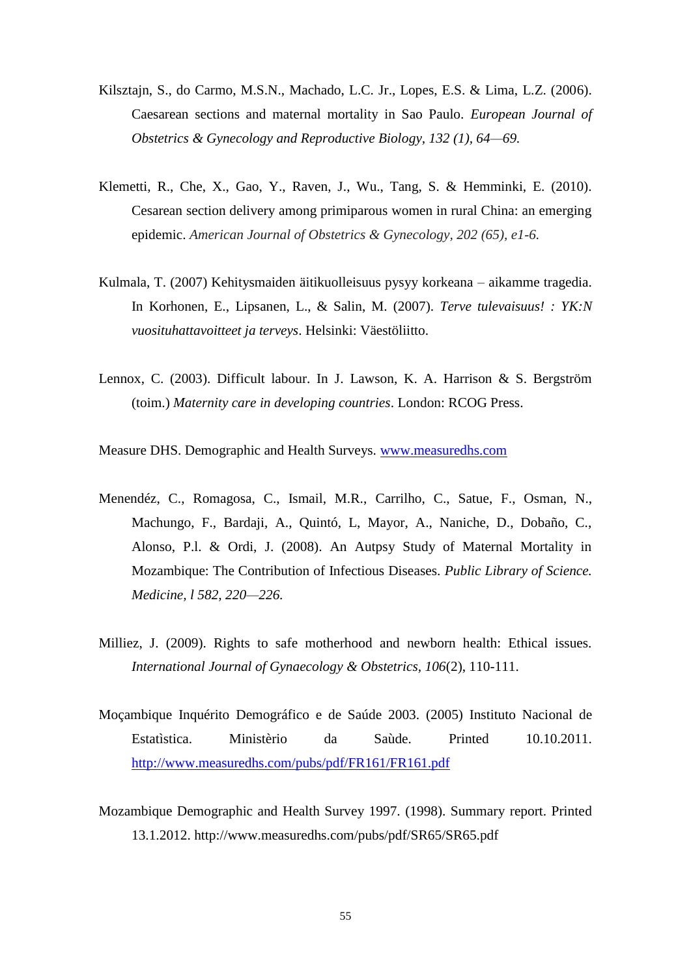- Kilsztajn, S., do Carmo, M.S.N., Machado, L.C. Jr., Lopes, E.S. & Lima, L.Z. (2006). Caesarean sections and maternal mortality in Sao Paulo. *European Journal of Obstetrics & Gynecology and Reproductive Biology, 132 (1), 64—69.*
- Klemetti, R., Che, X., Gao, Y., Raven, J., Wu., Tang, S. & Hemminki, E. (2010). Cesarean section delivery among primiparous women in rural China: an emerging epidemic. *American Journal of Obstetrics & Gynecology, 202 (65), e1-6.*
- Kulmala, T. (2007) Kehitysmaiden äitikuolleisuus pysyy korkeana aikamme tragedia. In Korhonen, E., Lipsanen, L., & Salin, M. (2007). *Terve tulevaisuus! : YK:N vuosituhattavoitteet ja terveys*. Helsinki: Väestöliitto.
- Lennox, C. (2003). Difficult labour. In J. Lawson, K. A. Harrison & S. Bergström (toim.) *Maternity care in developing countries*. London: RCOG Press.

Measure DHS. Demographic and Health Surveys. [www.measuredhs.com](http://www.measuredhs.com/)

- Menendéz, C., Romagosa, C., Ismail, M.R., Carrilho, C., Satue, F., Osman, N., Machungo, F., Bardaji, A., Quintó, L, Mayor, A., Naniche, D., Dobaño, C., Alonso, P.l. & Ordi, J. (2008). An Autpsy Study of Maternal Mortality in Mozambique: The Contribution of Infectious Diseases. *Public Library of Science. Medicine, l 582, 220—226.*
- Milliez, J. (2009). Rights to safe motherhood and newborn health: Ethical issues. *International Journal of Gynaecology & Obstetrics, 106*(2), 110-111.
- Moçambique Inquérito Demográfico e de Saúde 2003. (2005) Instituto Nacional de Estatìstica. Ministèrio da Saùde. Printed 10.10.2011. <http://www.measuredhs.com/pubs/pdf/FR161/FR161.pdf>
- Mozambique Demographic and Health Survey 1997. (1998). Summary report. Printed 13.1.2012. http://www.measuredhs.com/pubs/pdf/SR65/SR65.pdf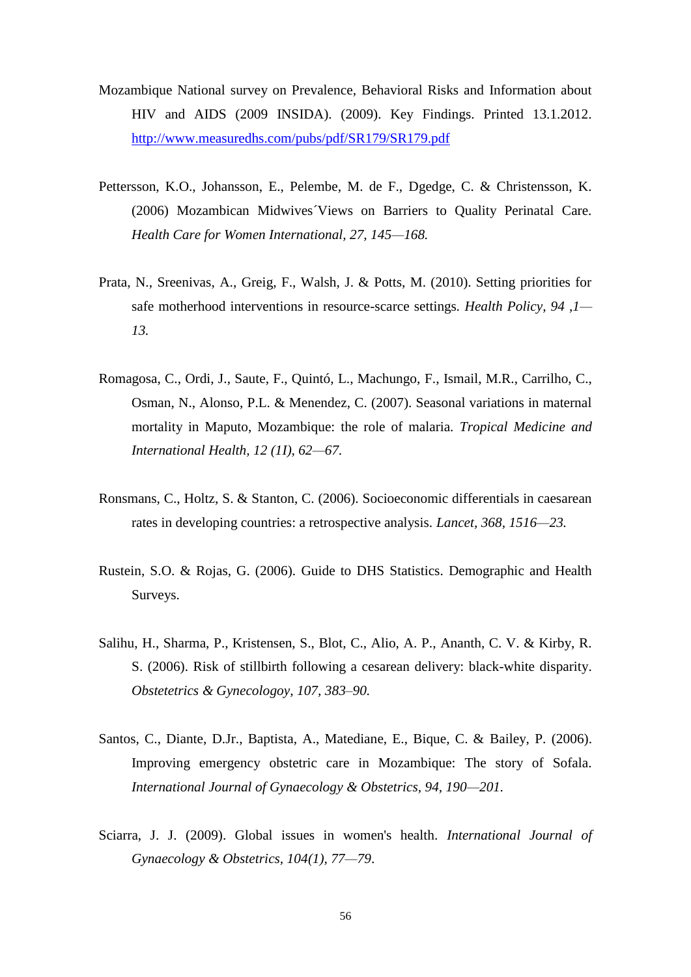- Mozambique National survey on Prevalence, Behavioral Risks and Information about HIV and AIDS (2009 INSIDA). (2009). Key Findings. Printed 13.1.2012. <http://www.measuredhs.com/pubs/pdf/SR179/SR179.pdf>
- Pettersson, K.O., Johansson, E., Pelembe, M. de F., Dgedge, C. & Christensson, K. (2006) Mozambican Midwives´Views on Barriers to Quality Perinatal Care. *Health Care for Women International, 27, 145—168.*
- Prata, N., Sreenivas, A., Greig, F., Walsh, J. & Potts, M. (2010). Setting priorities for safe motherhood interventions in resource-scarce settings*. Health Policy, 94 ,1— 13.*
- Romagosa, C., Ordi, J., Saute, F., Quintó, L., Machungo, F., Ismail, M.R., Carrilho, C., Osman, N., Alonso, P.L. & Menendez, C. (2007). Seasonal variations in maternal mortality in Maputo, Mozambique: the role of malaria. *Tropical Medicine and International Health, 12 (1I), 62—67.*
- Ronsmans, C., Holtz, S. & Stanton, C. (2006). Socioeconomic differentials in caesarean rates in developing countries: a retrospective analysis*. Lancet, 368, 1516—23.*
- Rustein, S.O. & Rojas, G. (2006). Guide to DHS Statistics. Demographic and Health Surveys.
- Salihu, H., Sharma, P., Kristensen, S., Blot, C., Alio, A. P., Ananth, C. V. & Kirby, R. S. (2006). Risk of stillbirth following a cesarean delivery: black-white disparity. *Obstetetrics & Gynecologoy, 107, 383–90.*
- Santos, C., Diante, D.Jr., Baptista, A., Matediane, E., Bique, C. & Bailey, P. (2006). Improving emergency obstetric care in Mozambique: The story of Sofala. *International Journal of Gynaecology & Obstetrics, 94, 190—201.*
- Sciarra, J. J. (2009). Global issues in women's health. *International Journal of Gynaecology & Obstetrics, 104(1), 77—79*.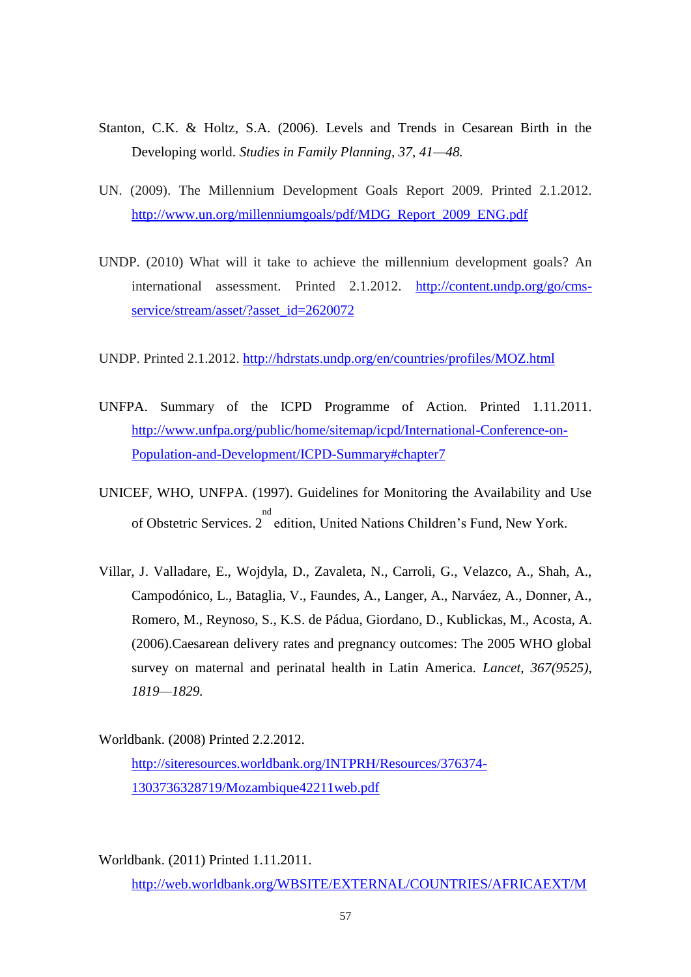- Stanton, C.K. & Holtz, S.A. (2006). Levels and Trends in Cesarean Birth in the Developing world. *Studies in Family Planning, 37, 41—48.*
- UN. (2009). The Millennium Development Goals Report 2009. Printed 2.1.2012. [http://www.un.org/millenniumgoals/pdf/MDG\\_Report\\_2009\\_ENG.pdf](http://www.un.org/millenniumgoals/pdf/MDG_Report_2009_ENG.pdf)
- UNDP. (2010) What will it take to achieve the millennium development goals? An international assessment. Printed 2.1.2012. [http://content.undp.org/go/cms](http://content.undp.org/go/cms-service/stream/asset/?asset_id=2620072)[service/stream/asset/?asset\\_id=2620072](http://content.undp.org/go/cms-service/stream/asset/?asset_id=2620072)

UNDP. Printed 2.1.2012.<http://hdrstats.undp.org/en/countries/profiles/MOZ.html>

- UNFPA. Summary of the ICPD Programme of Action. Printed 1.11.2011. [http://www.unfpa.org/public/home/sitemap/icpd/International-Conference-on-](http://www.unfpa.org/public/home/sitemap/icpd/International-Conference-on-Population-and-Development/ICPD-Summary#chapter7)[Population-and-Development/ICPD-Summary#chapter7](http://www.unfpa.org/public/home/sitemap/icpd/International-Conference-on-Population-and-Development/ICPD-Summary#chapter7)
- UNICEF, WHO, UNFPA. (1997). Guidelines for Monitoring the Availability and Use of Obstetric Services. 2 nd edition, United Nations Children's Fund, New York.
- Villar, J. Valladare, E., Wojdyla, D., Zavaleta, N., Carroli, G., Velazco, A., Shah, A., Campodónico, L., Bataglia, V., Faundes, A., Langer, A., Narváez, A., Donner, A., Romero, M., Reynoso, S., K.S. de Pádua, Giordano, D., Kublickas, M., Acosta, A. (2006).Caesarean delivery rates and pregnancy outcomes: The 2005 WHO global survey on maternal and perinatal health in Latin America. *Lancet, 367(9525), 1819—1829.*

Worldbank. (2008) Printed 2.2.2012. [http://siteresources.worldbank.org/INTPRH/Resources/376374-](http://siteresources.worldbank.org/INTPRH/Resources/376374-1303736328719/Mozambique42211web.pdf) [1303736328719/Mozambique42211web.pdf](http://siteresources.worldbank.org/INTPRH/Resources/376374-1303736328719/Mozambique42211web.pdf)

Worldbank. (2011) Printed 1.11.2011. [http://web.worldbank.org/WBSITE/EXTERNAL/COUNTRIES/AFRICAEXT/M](http://web.worldbank.org/WBSITE/EXTERNAL/COUNTRIES/AFRICAEXT/MOZAMBIQUEEXTN/0,,menuPK:382142~pagePK:141132~piPK:141107~theSitePK:382131,00.html)